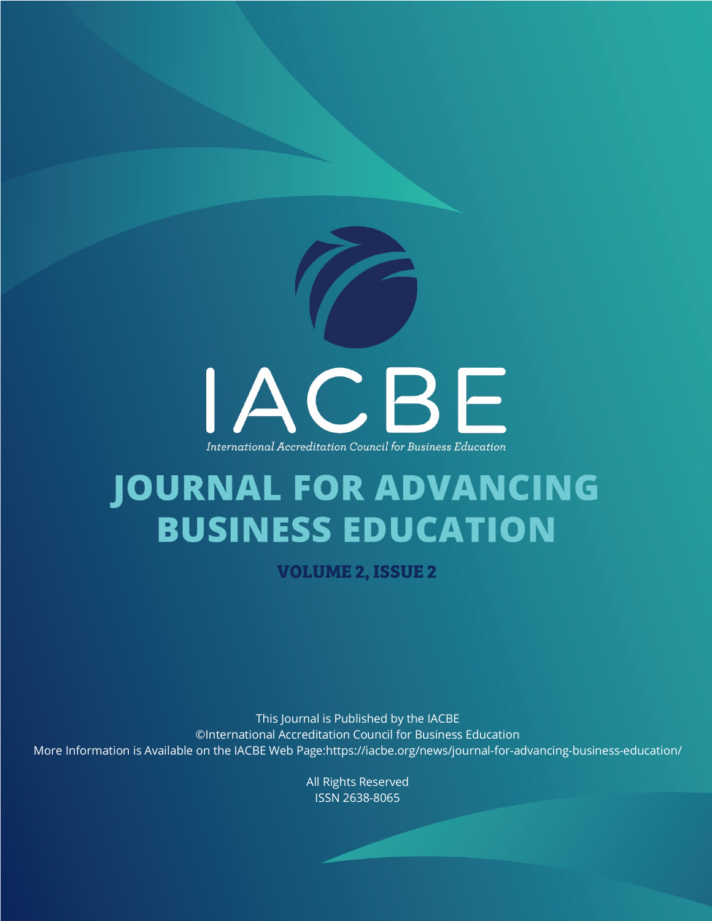

# **JOURNAL FOR ADVANCING BUSINESS EDUCATION**

**VOLUME 2, ISSUE 2**

This Journal is Published by the IACBE ©International Accreditation Council for Business Education More Information is Available on the IACBE Web Page:https://iacbe.org/news/journal-for-advancing-business-education/

> All Rights Reserved ISSN 2638-8065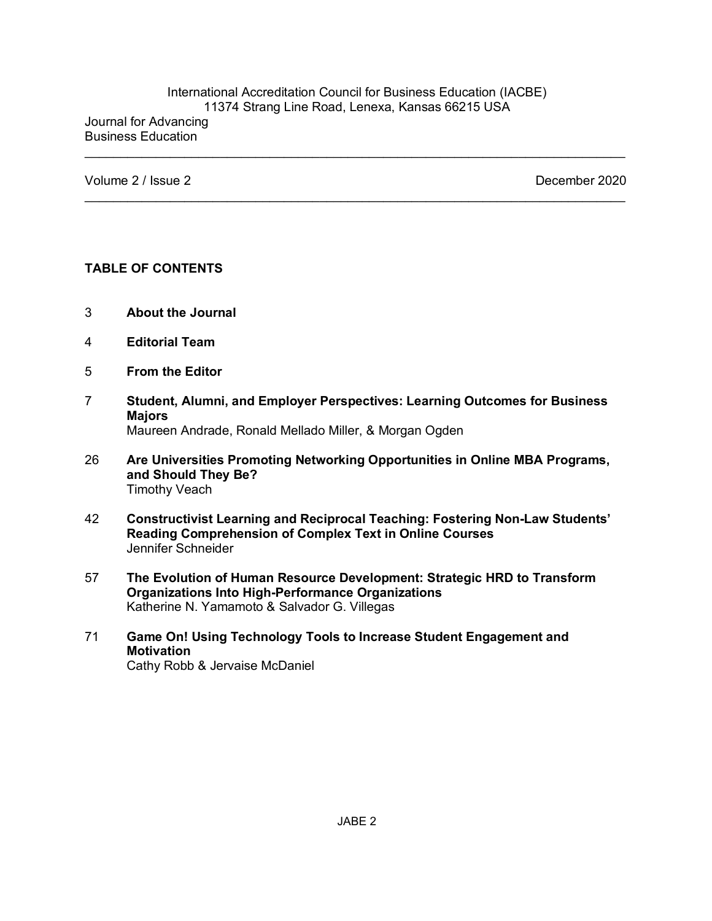#### International Accreditation Council for Business Education (IACBE) 11374 Strang Line Road, Lenexa, Kansas 66215 USA Journal for Advancing Business Education

 $\mathcal{L}_\text{max}$  and  $\mathcal{L}_\text{max}$  and  $\mathcal{L}_\text{max}$  and  $\mathcal{L}_\text{max}$  and  $\mathcal{L}_\text{max}$  and  $\mathcal{L}_\text{max}$ 

Volume 2 / Issue 2 December 2020

#### **TABLE OF CONTENTS**

- 3 **About the Journal**
- 4 **Editorial Team**
- 5 **From the Editor**
- 7 **Student, Alumni, and Employer Perspectives: Learning Outcomes for Business Majors**

Maureen Andrade, Ronald Mellado Miller, & Morgan Ogden

- 26 **Are Universities Promoting Networking Opportunities in Online MBA Programs, and Should They Be?** Timothy Veach
- 42 **Constructivist Learning and Reciprocal Teaching: Fostering Non-Law Students' Reading Comprehension of Complex Text in Online Courses** Jennifer Schneider
- 57 **The Evolution of Human Resource Development: Strategic HRD to Transform Organizations Into High-Performance Organizations** Katherine N. Yamamoto & Salvador G. Villegas
- 71 **Game On! Using Technology Tools to Increase Student Engagement and Motivation** Cathy Robb & Jervaise McDaniel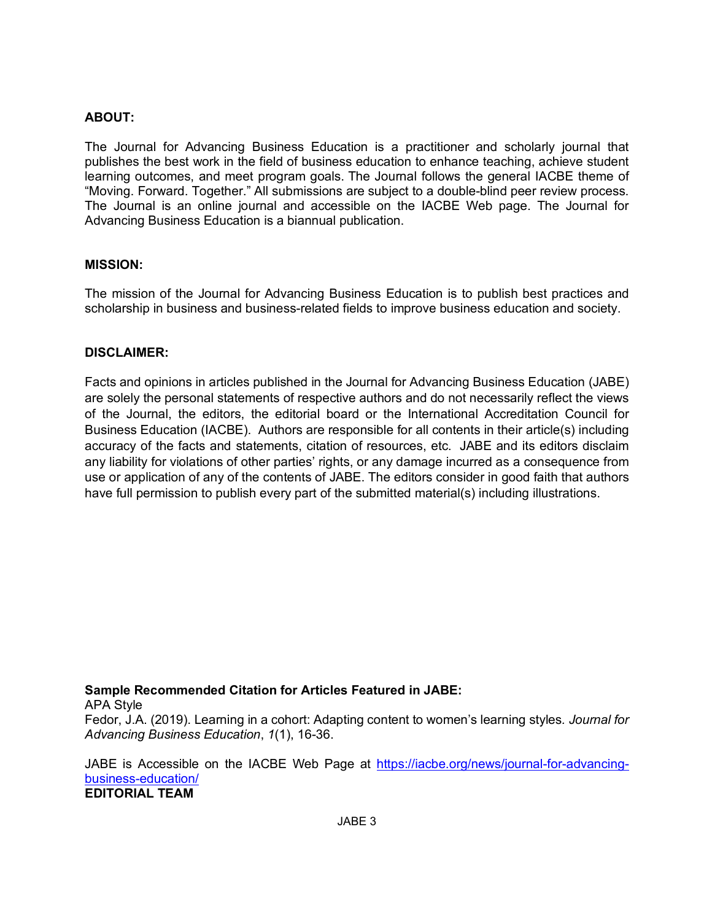## **ABOUT:**

The Journal for Advancing Business Education is a practitioner and scholarly journal that publishes the best work in the field of business education to enhance teaching, achieve student learning outcomes, and meet program goals. The Journal follows the general IACBE theme of "Moving. Forward. Together." All submissions are subject to a double-blind peer review process. The Journal is an online journal and accessible on the IACBE Web page. The Journal for Advancing Business Education is a biannual publication.

#### **MISSION:**

The mission of the Journal for Advancing Business Education is to publish best practices and scholarship in business and business-related fields to improve business education and society.

#### **DISCLAIMER:**

Facts and opinions in articles published in the Journal for Advancing Business Education (JABE) are solely the personal statements of respective authors and do not necessarily reflect the views of the Journal, the editors, the editorial board or the International Accreditation Council for Business Education (IACBE). Authors are responsible for all contents in their article(s) including accuracy of the facts and statements, citation of resources, etc. JABE and its editors disclaim any liability for violations of other parties' rights, or any damage incurred as a consequence from use or application of any of the contents of JABE. The editors consider in good faith that authors have full permission to publish every part of the submitted material(s) including illustrations.

#### **Sample Recommended Citation for Articles Featured in JABE:**

APA Style

Fedor, J.A. (2019). Learning in a cohort: Adapting content to women's learning styles*. Journal for Advancing Business Education*, *1*(1), 16-36.

JABE is Accessible on the IACBE Web Page at https://iacbe.org/news/journal-for-advancingbusiness-education/ **EDITORIAL TEAM**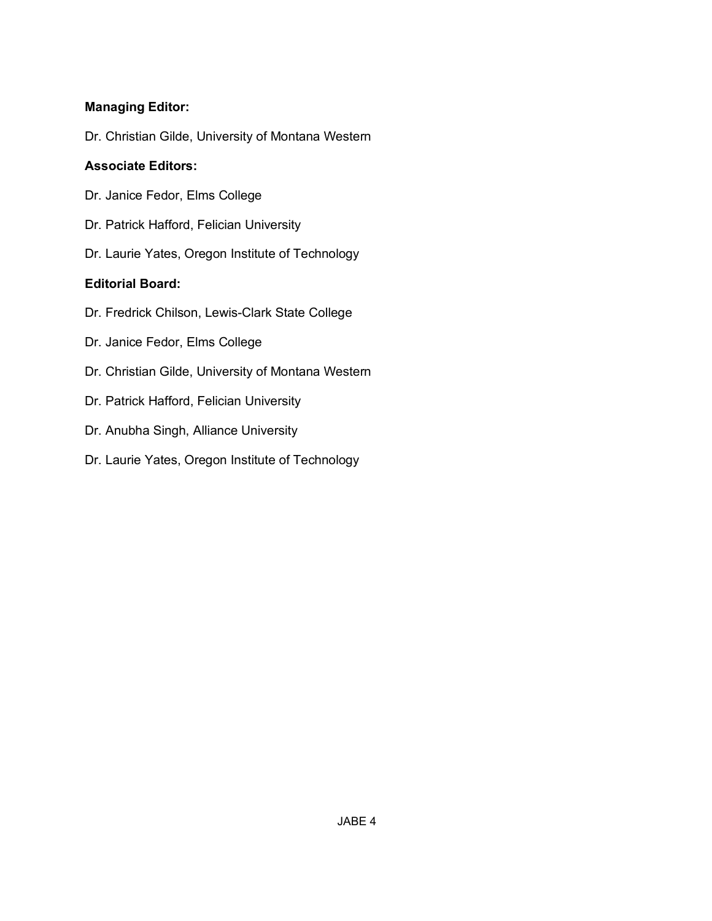## **Managing Editor:**

Dr. Christian Gilde, University of Montana Western

## **Associate Editors:**

- Dr. Janice Fedor, Elms College
- Dr. Patrick Hafford, Felician University
- Dr. Laurie Yates, Oregon Institute of Technology

## **Editorial Board:**

- Dr. Fredrick Chilson, Lewis-Clark State College
- Dr. Janice Fedor, Elms College
- Dr. Christian Gilde, University of Montana Western
- Dr. Patrick Hafford, Felician University
- Dr. Anubha Singh, Alliance University
- Dr. Laurie Yates, Oregon Institute of Technology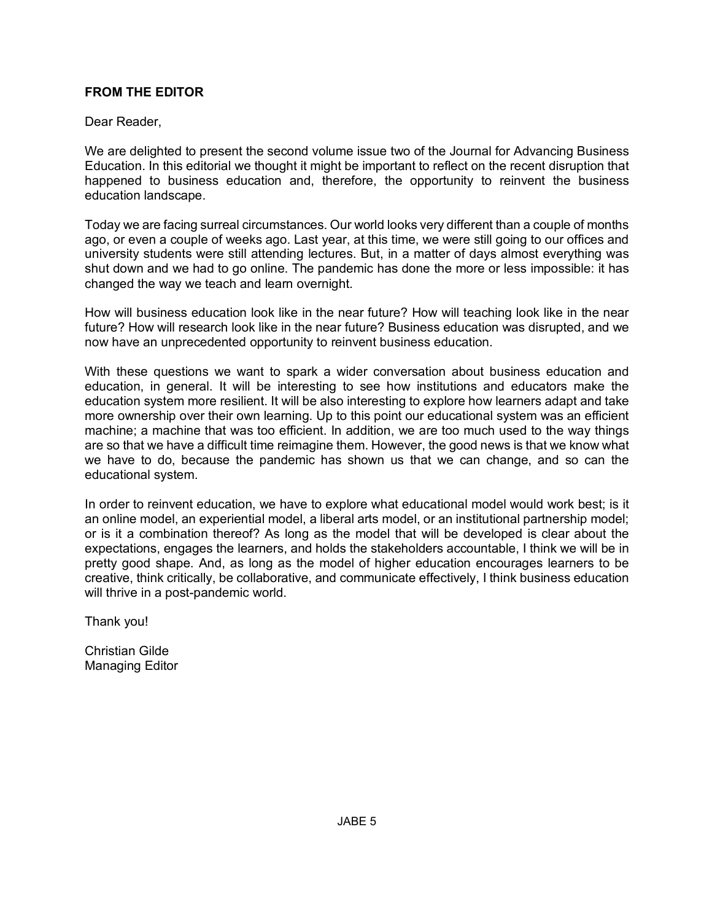## **FROM THE EDITOR**

#### Dear Reader,

We are delighted to present the second volume issue two of the Journal for Advancing Business Education. In this editorial we thought it might be important to reflect on the recent disruption that happened to business education and, therefore, the opportunity to reinvent the business education landscape.

Today we are facing surreal circumstances. Our world looks very different than a couple of months ago, or even a couple of weeks ago. Last year, at this time, we were still going to our offices and university students were still attending lectures. But, in a matter of days almost everything was shut down and we had to go online. The pandemic has done the more or less impossible: it has changed the way we teach and learn overnight.

How will business education look like in the near future? How will teaching look like in the near future? How will research look like in the near future? Business education was disrupted, and we now have an unprecedented opportunity to reinvent business education.

With these questions we want to spark a wider conversation about business education and education, in general. It will be interesting to see how institutions and educators make the education system more resilient. It will be also interesting to explore how learners adapt and take more ownership over their own learning. Up to this point our educational system was an efficient machine; a machine that was too efficient. In addition, we are too much used to the way things are so that we have a difficult time reimagine them. However, the good news is that we know what we have to do, because the pandemic has shown us that we can change, and so can the educational system.

In order to reinvent education, we have to explore what educational model would work best; is it an online model, an experiential model, a liberal arts model, or an institutional partnership model; or is it a combination thereof? As long as the model that will be developed is clear about the expectations, engages the learners, and holds the stakeholders accountable, I think we will be in pretty good shape. And, as long as the model of higher education encourages learners to be creative, think critically, be collaborative, and communicate effectively, I think business education will thrive in a post-pandemic world.

Thank you!

Christian Gilde Managing Editor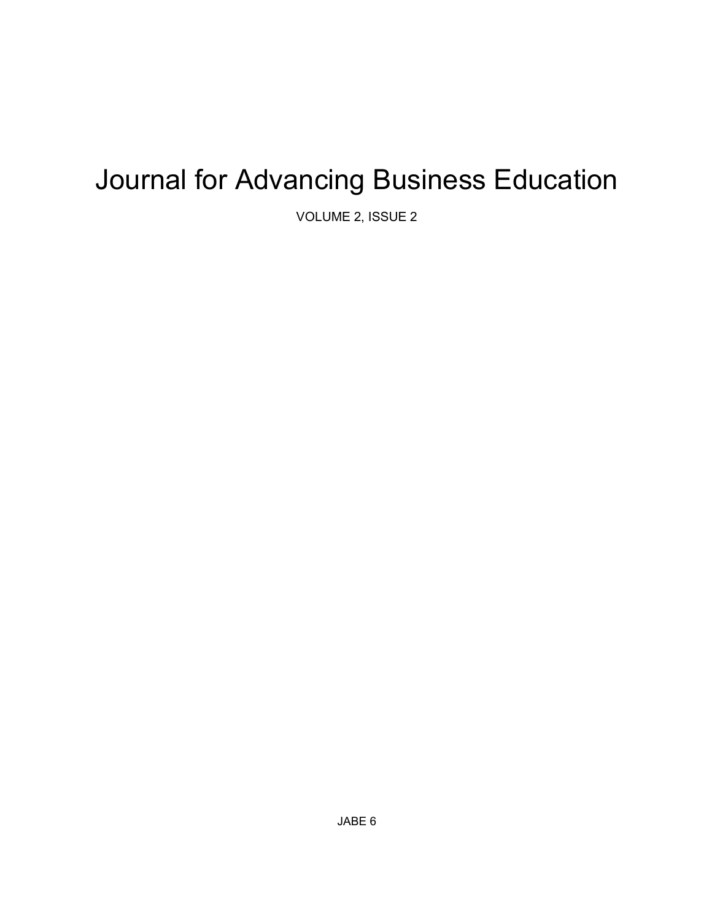## Journal for Advancing Business Education

VOLUME 2, ISSUE 2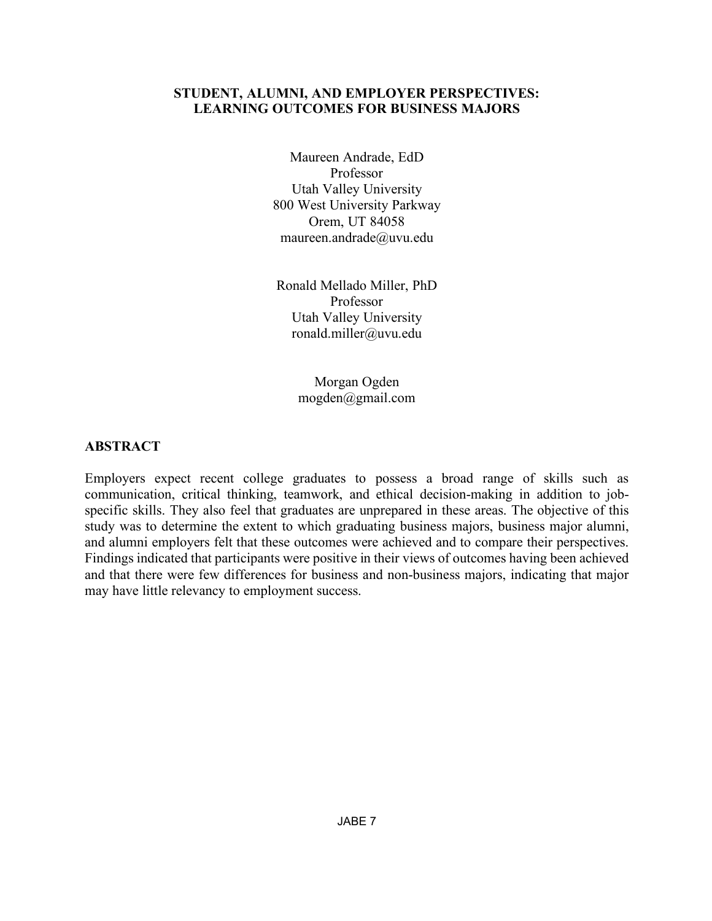## **STUDENT, ALUMNI, AND EMPLOYER PERSPECTIVES: LEARNING OUTCOMES FOR BUSINESS MAJORS**

Maureen Andrade, EdD Professor Utah Valley University 800 West University Parkway Orem, UT 84058 maureen.andrade@uvu.edu

Ronald Mellado Miller, PhD Professor Utah Valley University ronald.miller@uvu.edu

> Morgan Ogden mogden@gmail.com

## **ABSTRACT**

Employers expect recent college graduates to possess a broad range of skills such as communication, critical thinking, teamwork, and ethical decision-making in addition to jobspecific skills. They also feel that graduates are unprepared in these areas. The objective of this study was to determine the extent to which graduating business majors, business major alumni, and alumni employers felt that these outcomes were achieved and to compare their perspectives. Findings indicated that participants were positive in their views of outcomes having been achieved and that there were few differences for business and non-business majors, indicating that major may have little relevancy to employment success.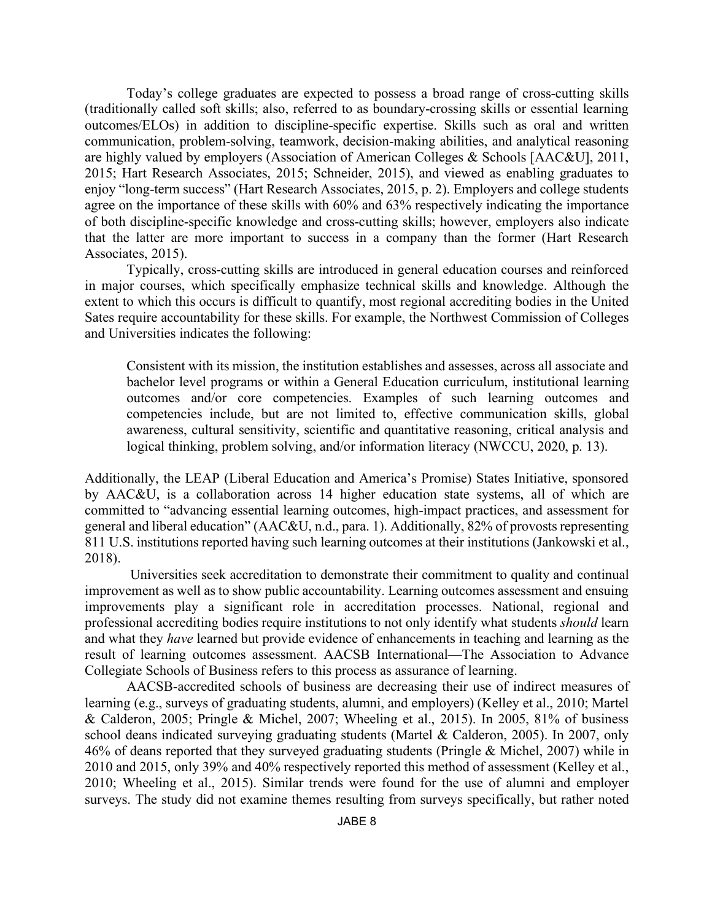Today's college graduates are expected to possess a broad range of cross-cutting skills (traditionally called soft skills; also, referred to as boundary-crossing skills or essential learning outcomes/ELOs) in addition to discipline-specific expertise. Skills such as oral and written communication, problem-solving, teamwork, decision-making abilities, and analytical reasoning are highly valued by employers (Association of American Colleges & Schools [AAC&U], 2011, 2015; Hart Research Associates, 2015; Schneider, 2015), and viewed as enabling graduates to enjoy "long-term success" (Hart Research Associates, 2015, p. 2). Employers and college students agree on the importance of these skills with 60% and 63% respectively indicating the importance of both discipline-specific knowledge and cross-cutting skills; however, employers also indicate that the latter are more important to success in a company than the former (Hart Research Associates, 2015).

Typically, cross-cutting skills are introduced in general education courses and reinforced in major courses, which specifically emphasize technical skills and knowledge. Although the extent to which this occurs is difficult to quantify, most regional accrediting bodies in the United Sates require accountability for these skills. For example, the Northwest Commission of Colleges and Universities indicates the following:

Consistent with its mission, the institution establishes and assesses, across all associate and bachelor level programs or within a General Education curriculum, institutional learning outcomes and/or core competencies. Examples of such learning outcomes and competencies include, but are not limited to, effective communication skills, global awareness, cultural sensitivity, scientific and quantitative reasoning, critical analysis and logical thinking, problem solving, and/or information literacy (NWCCU, 2020, p. 13).

Additionally, the LEAP (Liberal Education and America's Promise) States Initiative, sponsored by AAC&U, is a collaboration across 14 higher education state systems, all of which are committed to "advancing essential learning outcomes, high-impact practices, and assessment for general and liberal education" (AAC&U, n.d., para. 1). Additionally, 82% of provosts representing 811 U.S. institutions reported having such learning outcomes at their institutions (Jankowski et al., 2018).

Universities seek accreditation to demonstrate their commitment to quality and continual improvement as well as to show public accountability. Learning outcomes assessment and ensuing improvements play a significant role in accreditation processes. National, regional and professional accrediting bodies require institutions to not only identify what students *should* learn and what they *have* learned but provide evidence of enhancements in teaching and learning as the result of learning outcomes assessment. AACSB International—The Association to Advance Collegiate Schools of Business refers to this process as assurance of learning.

AACSB-accredited schools of business are decreasing their use of indirect measures of learning (e.g., surveys of graduating students, alumni, and employers) (Kelley et al., 2010; Martel & Calderon, 2005; Pringle & Michel, 2007; Wheeling et al., 2015). In 2005, 81% of business school deans indicated surveying graduating students (Martel & Calderon, 2005). In 2007, only 46% of deans reported that they surveyed graduating students (Pringle & Michel, 2007) while in 2010 and 2015, only 39% and 40% respectively reported this method of assessment (Kelley et al., 2010; Wheeling et al., 2015). Similar trends were found for the use of alumni and employer surveys. The study did not examine themes resulting from surveys specifically, but rather noted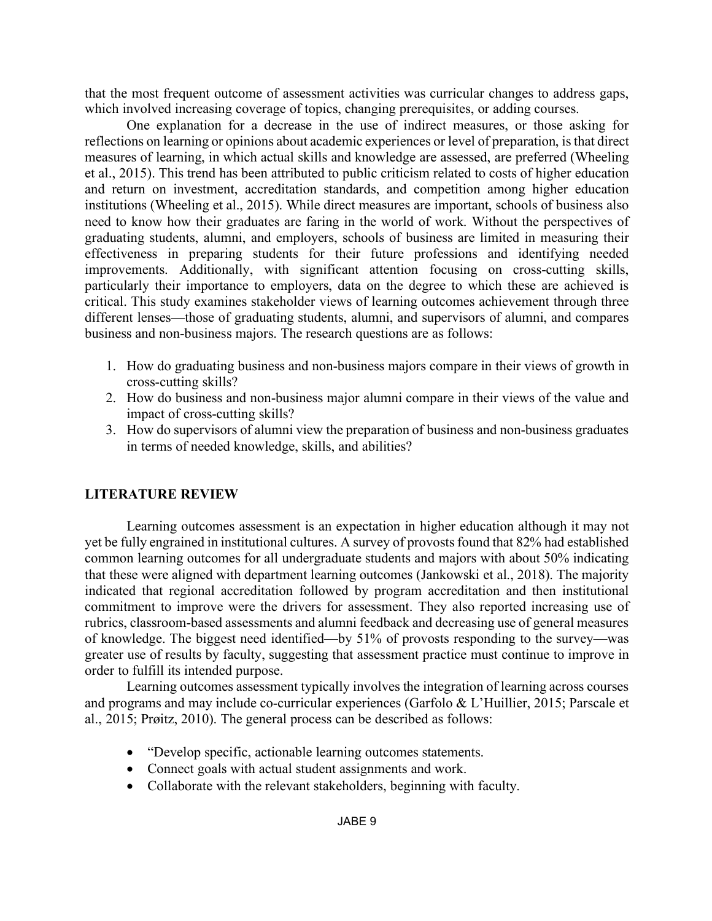that the most frequent outcome of assessment activities was curricular changes to address gaps, which involved increasing coverage of topics, changing prerequisites, or adding courses.

One explanation for a decrease in the use of indirect measures, or those asking for reflections on learning or opinions about academic experiences or level of preparation, is that direct measures of learning, in which actual skills and knowledge are assessed, are preferred (Wheeling et al., 2015). This trend has been attributed to public criticism related to costs of higher education and return on investment, accreditation standards, and competition among higher education institutions (Wheeling et al., 2015). While direct measures are important, schools of business also need to know how their graduates are faring in the world of work. Without the perspectives of graduating students, alumni, and employers, schools of business are limited in measuring their effectiveness in preparing students for their future professions and identifying needed improvements. Additionally, with significant attention focusing on cross-cutting skills, particularly their importance to employers, data on the degree to which these are achieved is critical. This study examines stakeholder views of learning outcomes achievement through three different lenses—those of graduating students, alumni, and supervisors of alumni, and compares business and non-business majors. The research questions are as follows:

- 1. How do graduating business and non-business majors compare in their views of growth in cross-cutting skills?
- 2. How do business and non-business major alumni compare in their views of the value and impact of cross-cutting skills?
- 3. How do supervisors of alumni view the preparation of business and non-business graduates in terms of needed knowledge, skills, and abilities?

## **LITERATURE REVIEW**

Learning outcomes assessment is an expectation in higher education although it may not yet be fully engrained in institutional cultures. A survey of provosts found that 82% had established common learning outcomes for all undergraduate students and majors with about 50% indicating that these were aligned with department learning outcomes (Jankowski et al., 2018). The majority indicated that regional accreditation followed by program accreditation and then institutional commitment to improve were the drivers for assessment. They also reported increasing use of rubrics, classroom-based assessments and alumni feedback and decreasing use of general measures of knowledge. The biggest need identified—by 51% of provosts responding to the survey—was greater use of results by faculty, suggesting that assessment practice must continue to improve in order to fulfill its intended purpose.

Learning outcomes assessment typically involves the integration of learning across courses and programs and may include co-curricular experiences (Garfolo & L'Huillier, 2015; Parscale et al., 2015; Prøitz, 2010). The general process can be described as follows:

- "Develop specific, actionable learning outcomes statements.
- Connect goals with actual student assignments and work.
- Collaborate with the relevant stakeholders, beginning with faculty.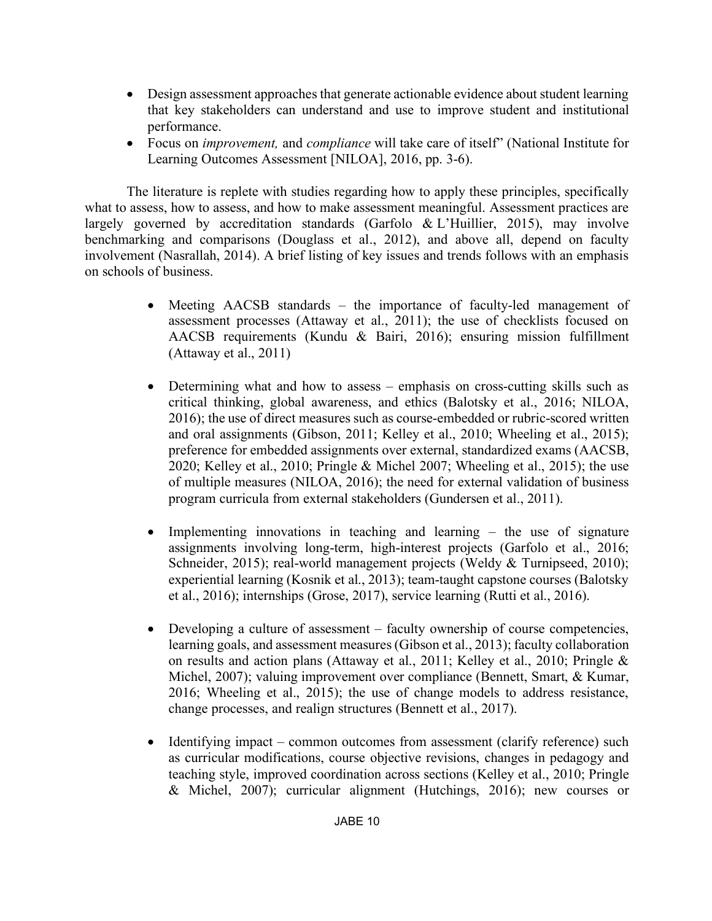- Design assessment approaches that generate actionable evidence about student learning that key stakeholders can understand and use to improve student and institutional performance.
- Focus on *improvement,* and *compliance* will take care of itself" (National Institute for Learning Outcomes Assessment [NILOA], 2016, pp. 3-6).

The literature is replete with studies regarding how to apply these principles, specifically what to assess, how to assess, and how to make assessment meaningful. Assessment practices are largely governed by accreditation standards (Garfolo & L'Huillier, 2015), may involve benchmarking and comparisons (Douglass et al., 2012), and above all, depend on faculty involvement (Nasrallah, 2014). A brief listing of key issues and trends follows with an emphasis on schools of business.

- Meeting AACSB standards the importance of faculty-led management of assessment processes (Attaway et al., 2011); the use of checklists focused on AACSB requirements (Kundu & Bairi, 2016); ensuring mission fulfillment (Attaway et al., 2011)
- Determining what and how to assess emphasis on cross-cutting skills such as critical thinking, global awareness, and ethics (Balotsky et al., 2016; NILOA, 2016); the use of direct measures such as course-embedded or rubric-scored written and oral assignments (Gibson, 2011; Kelley et al., 2010; Wheeling et al., 2015); preference for embedded assignments over external, standardized exams (AACSB, 2020; Kelley et al., 2010; Pringle & Michel 2007; Wheeling et al., 2015); the use of multiple measures (NILOA, 2016); the need for external validation of business program curricula from external stakeholders (Gundersen et al., 2011).
- Implementing innovations in teaching and learning the use of signature assignments involving long-term, high-interest projects (Garfolo et al., 2016; Schneider, 2015); real-world management projects (Weldy & Turnipseed, 2010); experiential learning (Kosnik et al., 2013); team-taught capstone courses (Balotsky et al., 2016); internships (Grose, 2017), service learning (Rutti et al., 2016).
- Developing a culture of assessment faculty ownership of course competencies, learning goals, and assessment measures (Gibson et al., 2013); faculty collaboration on results and action plans (Attaway et al., 2011; Kelley et al., 2010; Pringle & Michel, 2007); valuing improvement over compliance (Bennett, Smart, & Kumar, 2016; Wheeling et al., 2015); the use of change models to address resistance, change processes, and realign structures (Bennett et al., 2017).
- Identifying impact common outcomes from assessment (clarify reference) such as curricular modifications, course objective revisions, changes in pedagogy and teaching style, improved coordination across sections (Kelley et al., 2010; Pringle & Michel, 2007); curricular alignment (Hutchings, 2016); new courses or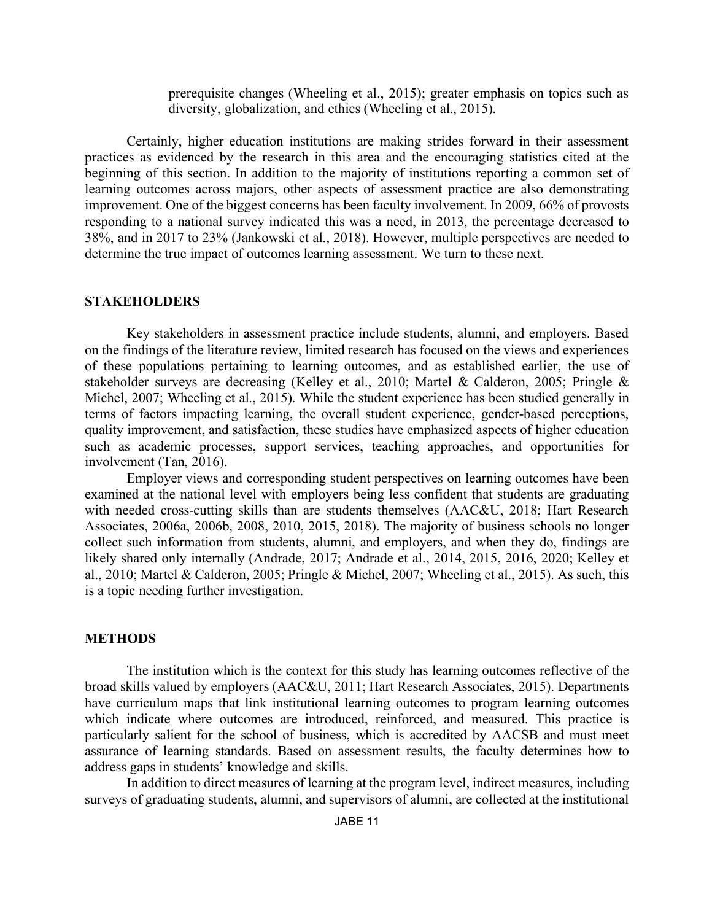prerequisite changes (Wheeling et al., 2015); greater emphasis on topics such as diversity, globalization, and ethics (Wheeling et al., 2015).

Certainly, higher education institutions are making strides forward in their assessment practices as evidenced by the research in this area and the encouraging statistics cited at the beginning of this section. In addition to the majority of institutions reporting a common set of learning outcomes across majors, other aspects of assessment practice are also demonstrating improvement. One of the biggest concerns has been faculty involvement. In 2009, 66% of provosts responding to a national survey indicated this was a need, in 2013, the percentage decreased to 38%, and in 2017 to 23% (Jankowski et al., 2018). However, multiple perspectives are needed to determine the true impact of outcomes learning assessment. We turn to these next.

#### **STAKEHOLDERS**

Key stakeholders in assessment practice include students, alumni, and employers. Based on the findings of the literature review, limited research has focused on the views and experiences of these populations pertaining to learning outcomes, and as established earlier, the use of stakeholder surveys are decreasing (Kelley et al., 2010; Martel & Calderon, 2005; Pringle & Michel, 2007; Wheeling et al., 2015). While the student experience has been studied generally in terms of factors impacting learning, the overall student experience, gender-based perceptions, quality improvement, and satisfaction, these studies have emphasized aspects of higher education such as academic processes, support services, teaching approaches, and opportunities for involvement (Tan, 2016).

Employer views and corresponding student perspectives on learning outcomes have been examined at the national level with employers being less confident that students are graduating with needed cross-cutting skills than are students themselves (AAC&U, 2018; Hart Research Associates, 2006a, 2006b, 2008, 2010, 2015, 2018). The majority of business schools no longer collect such information from students, alumni, and employers, and when they do, findings are likely shared only internally (Andrade, 2017; Andrade et al., 2014, 2015, 2016, 2020; Kelley et al., 2010; Martel & Calderon, 2005; Pringle & Michel, 2007; Wheeling et al., 2015). As such, this is a topic needing further investigation.

#### **METHODS**

The institution which is the context for this study has learning outcomes reflective of the broad skills valued by employers (AAC&U, 2011; Hart Research Associates, 2015). Departments have curriculum maps that link institutional learning outcomes to program learning outcomes which indicate where outcomes are introduced, reinforced, and measured. This practice is particularly salient for the school of business, which is accredited by AACSB and must meet assurance of learning standards. Based on assessment results, the faculty determines how to address gaps in students' knowledge and skills.

In addition to direct measures of learning at the program level, indirect measures, including surveys of graduating students, alumni, and supervisors of alumni, are collected at the institutional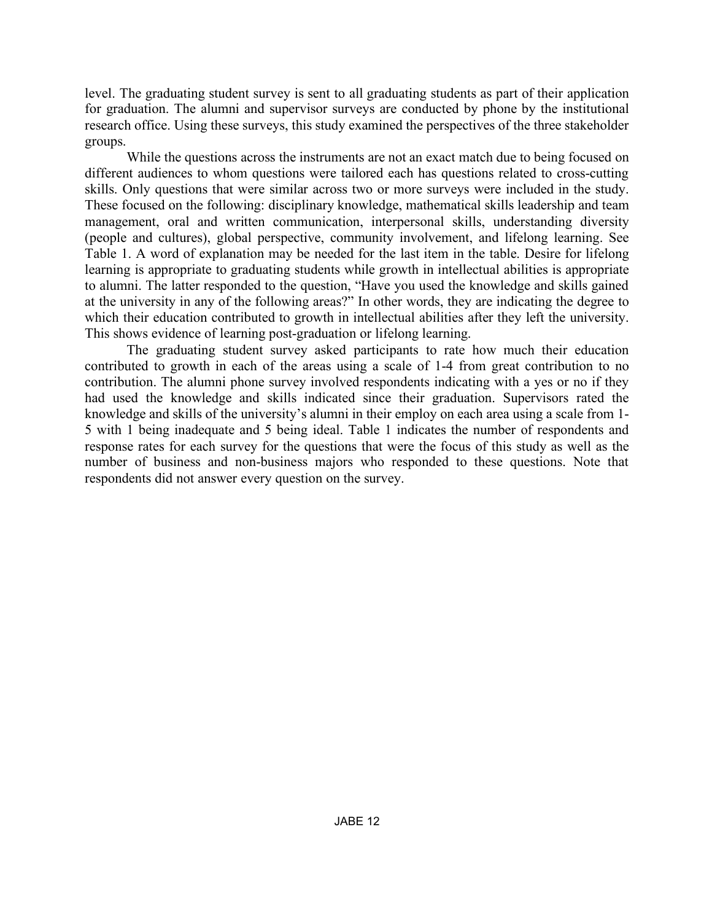level. The graduating student survey is sent to all graduating students as part of their application for graduation. The alumni and supervisor surveys are conducted by phone by the institutional research office. Using these surveys, this study examined the perspectives of the three stakeholder groups.

While the questions across the instruments are not an exact match due to being focused on different audiences to whom questions were tailored each has questions related to cross-cutting skills. Only questions that were similar across two or more surveys were included in the study. These focused on the following: disciplinary knowledge, mathematical skills leadership and team management, oral and written communication, interpersonal skills, understanding diversity (people and cultures), global perspective, community involvement, and lifelong learning. See Table 1. A word of explanation may be needed for the last item in the table. Desire for lifelong learning is appropriate to graduating students while growth in intellectual abilities is appropriate to alumni. The latter responded to the question, "Have you used the knowledge and skills gained at the university in any of the following areas?" In other words, they are indicating the degree to which their education contributed to growth in intellectual abilities after they left the university. This shows evidence of learning post-graduation or lifelong learning.

The graduating student survey asked participants to rate how much their education contributed to growth in each of the areas using a scale of 1-4 from great contribution to no contribution. The alumni phone survey involved respondents indicating with a yes or no if they had used the knowledge and skills indicated since their graduation. Supervisors rated the knowledge and skills of the university's alumni in their employ on each area using a scale from 1- 5 with 1 being inadequate and 5 being ideal. Table 1 indicates the number of respondents and response rates for each survey for the questions that were the focus of this study as well as the number of business and non-business majors who responded to these questions. Note that respondents did not answer every question on the survey.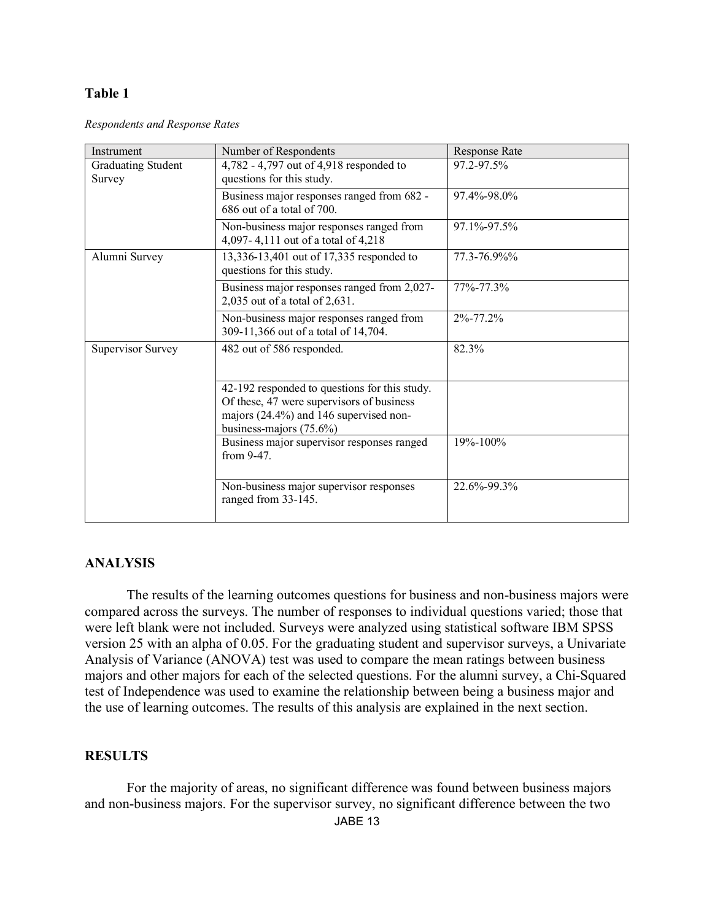#### **Table 1**

*Respondents and Response Rates* 

| Instrument                          | Number of Respondents                                                                                                                                              | <b>Response Rate</b> |
|-------------------------------------|--------------------------------------------------------------------------------------------------------------------------------------------------------------------|----------------------|
| <b>Graduating Student</b><br>Survey | 4,782 - 4,797 out of 4,918 responded to<br>questions for this study.                                                                                               | 97.2-97.5%           |
|                                     | Business major responses ranged from 682 -<br>686 out of a total of 700.                                                                                           | 97.4%-98.0%          |
|                                     | Non-business major responses ranged from<br>4,097-4,111 out of a total of 4,218                                                                                    | 97.1%-97.5%          |
| Alumni Survey                       | 13,336-13,401 out of 17,335 responded to<br>questions for this study.                                                                                              | 77.3-76.9%%          |
|                                     | Business major responses ranged from 2,027-<br>2,035 out of a total of 2,631.                                                                                      | 77%-77.3%            |
|                                     | Non-business major responses ranged from<br>309-11,366 out of a total of 14,704.                                                                                   | 2%-77.2%             |
| <b>Supervisor Survey</b>            | 482 out of 586 responded.                                                                                                                                          | 82.3%                |
|                                     | 42-192 responded to questions for this study.<br>Of these, 47 were supervisors of business<br>majors (24.4%) and 146 supervised non-<br>business-majors $(75.6\%)$ |                      |
|                                     | Business major supervisor responses ranged<br>from 9-47.                                                                                                           | 19%-100%             |
|                                     | Non-business major supervisor responses<br>ranged from 33-145.                                                                                                     | 22.6%-99.3%          |

## **ANALYSIS**

The results of the learning outcomes questions for business and non-business majors were compared across the surveys. The number of responses to individual questions varied; those that were left blank were not included. Surveys were analyzed using statistical software IBM SPSS version 25 with an alpha of 0.05. For the graduating student and supervisor surveys, a Univariate Analysis of Variance (ANOVA) test was used to compare the mean ratings between business majors and other majors for each of the selected questions. For the alumni survey, a Chi-Squared test of Independence was used to examine the relationship between being a business major and the use of learning outcomes. The results of this analysis are explained in the next section.

## **RESULTS**

For the majority of areas, no significant difference was found between business majors and non-business majors. For the supervisor survey, no significant difference between the two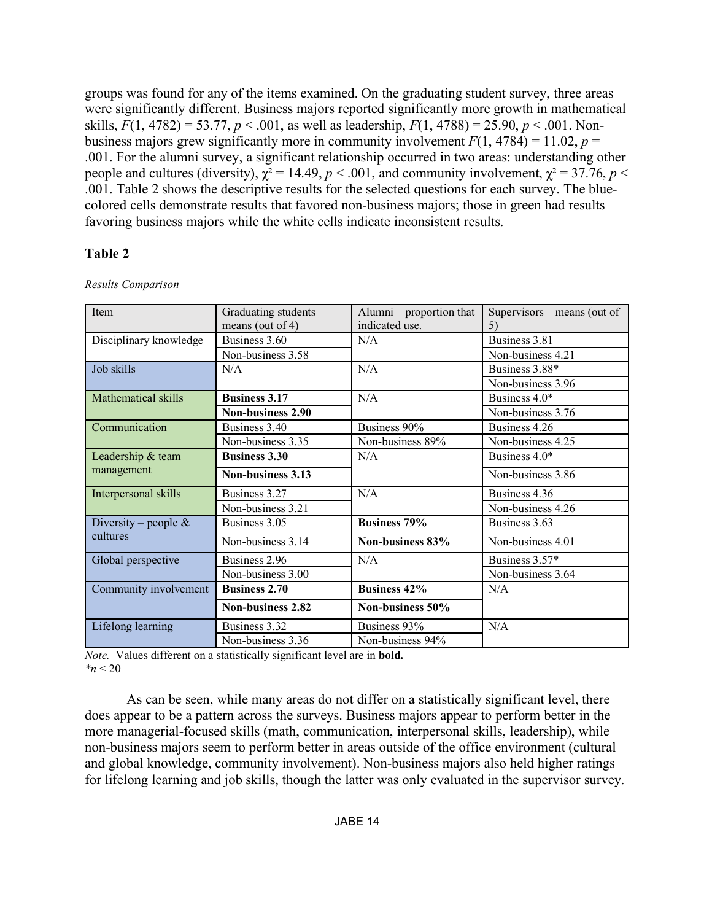groups was found for any of the items examined. On the graduating student survey, three areas were significantly different. Business majors reported significantly more growth in mathematical skills,  $F(1, 4782) = 53.77$ ,  $p < .001$ , as well as leadership,  $F(1, 4788) = 25.90$ ,  $p < .001$ . Nonbusiness majors grew significantly more in community involvement  $F(1, 4784) = 11.02$ ,  $p =$ .001. For the alumni survey, a significant relationship occurred in two areas: understanding other people and cultures (diversity),  $\chi^2 = 14.49$ ,  $p < .001$ , and community involvement,  $\chi^2 = 37.76$ ,  $p <$ .001. Table 2 shows the descriptive results for the selected questions for each survey. The bluecolored cells demonstrate results that favored non-business majors; those in green had results favoring business majors while the white cells indicate inconsistent results.

## **Table 2**

| Item                    | Graduating students –    | Alumni – proportion that | Supervisors – means (out of |
|-------------------------|--------------------------|--------------------------|-----------------------------|
|                         | means (out of 4)         | indicated use.           | 5)                          |
| Disciplinary knowledge  | Business 3.60            | N/A                      | Business 3.81               |
|                         | Non-business 3.58        |                          | Non-business 4.21           |
| Job skills              | N/A                      | N/A                      | Business 3.88*              |
|                         |                          |                          | Non-business 3.96           |
| Mathematical skills     | <b>Business 3.17</b>     | N/A                      | Business 4.0*               |
|                         | <b>Non-business 2.90</b> |                          | Non-business 3.76           |
| Communication           | Business 3.40            | Business 90%             | Business 4.26               |
|                         | Non-business 3.35        | Non-business 89%         | Non-business 4.25           |
| Leadership & team       | <b>Business 3.30</b>     | N/A                      | Business 4.0*               |
| management              | Non-business 3.13        |                          | Non-business 3.86           |
| Interpersonal skills    | Business 3.27            | N/A                      | Business 4.36               |
|                         | Non-business 3.21        |                          | Non-business 4.26           |
| Diversity – people $\&$ | Business 3.05            | <b>Business 79%</b>      | Business 3.63               |
| cultures                | Non-business 3.14        | Non-business 83%         | Non-business 4.01           |
| Global perspective      | Business 2.96            | N/A                      | Business 3.57*              |
|                         | Non-business 3.00        |                          | Non-business 3.64           |
| Community involvement   | <b>Business 2.70</b>     | <b>Business 42%</b>      | N/A                         |
|                         | Non-business 2.82        | Non-business 50%         |                             |
| Lifelong learning       | Business 3.32            | Business 93%             | N/A                         |
|                         | Non-business 3.36        | Non-business 94%         |                             |

*Results Comparison*

*Note.* Values different on a statistically significant level are in **bold.** *\*n* < 20

As can be seen, while many areas do not differ on a statistically significant level, there does appear to be a pattern across the surveys. Business majors appear to perform better in the more managerial-focused skills (math, communication, interpersonal skills, leadership), while non-business majors seem to perform better in areas outside of the office environment (cultural and global knowledge, community involvement). Non-business majors also held higher ratings for lifelong learning and job skills, though the latter was only evaluated in the supervisor survey.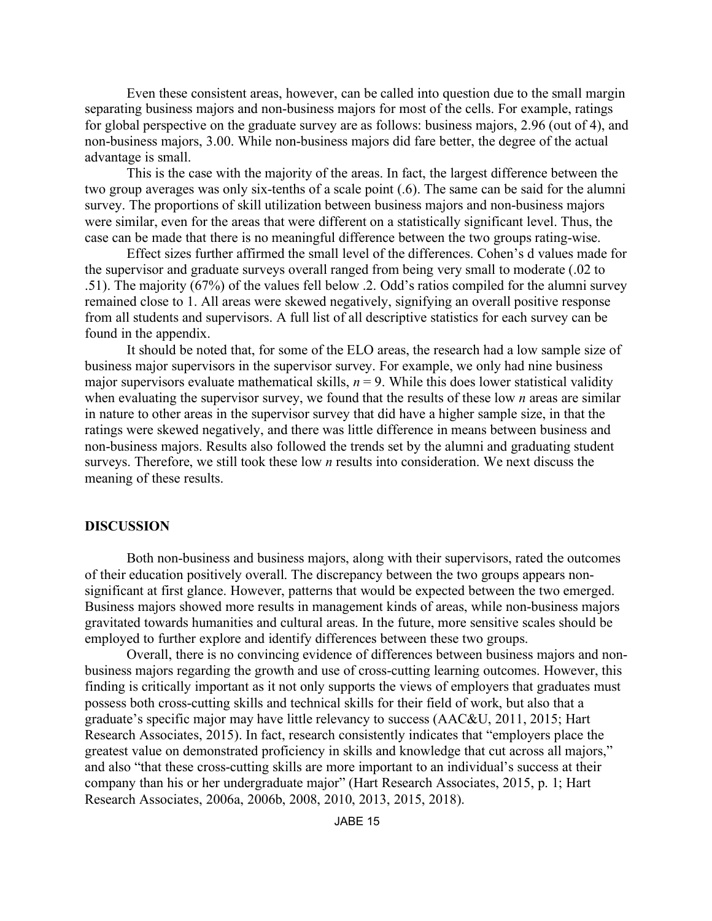Even these consistent areas, however, can be called into question due to the small margin separating business majors and non-business majors for most of the cells. For example, ratings for global perspective on the graduate survey are as follows: business majors, 2.96 (out of 4), and non-business majors, 3.00. While non-business majors did fare better, the degree of the actual advantage is small.

This is the case with the majority of the areas. In fact, the largest difference between the two group averages was only six-tenths of a scale point (.6). The same can be said for the alumni survey. The proportions of skill utilization between business majors and non-business majors were similar, even for the areas that were different on a statistically significant level. Thus, the case can be made that there is no meaningful difference between the two groups rating-wise.

Effect sizes further affirmed the small level of the differences. Cohen's d values made for the supervisor and graduate surveys overall ranged from being very small to moderate (.02 to .51). The majority (67%) of the values fell below .2. Odd's ratios compiled for the alumni survey remained close to 1. All areas were skewed negatively, signifying an overall positive response from all students and supervisors. A full list of all descriptive statistics for each survey can be found in the appendix.

It should be noted that, for some of the ELO areas, the research had a low sample size of business major supervisors in the supervisor survey. For example, we only had nine business major supervisors evaluate mathematical skills,  $n = 9$ . While this does lower statistical validity when evaluating the supervisor survey, we found that the results of these low *n* areas are similar in nature to other areas in the supervisor survey that did have a higher sample size, in that the ratings were skewed negatively, and there was little difference in means between business and non-business majors. Results also followed the trends set by the alumni and graduating student surveys. Therefore, we still took these low *n* results into consideration. We next discuss the meaning of these results.

#### **DISCUSSION**

Both non-business and business majors, along with their supervisors, rated the outcomes of their education positively overall. The discrepancy between the two groups appears nonsignificant at first glance. However, patterns that would be expected between the two emerged. Business majors showed more results in management kinds of areas, while non-business majors gravitated towards humanities and cultural areas. In the future, more sensitive scales should be employed to further explore and identify differences between these two groups.

Overall, there is no convincing evidence of differences between business majors and nonbusiness majors regarding the growth and use of cross-cutting learning outcomes. However, this finding is critically important as it not only supports the views of employers that graduates must possess both cross-cutting skills and technical skills for their field of work, but also that a graduate's specific major may have little relevancy to success (AAC&U, 2011, 2015; Hart Research Associates, 2015). In fact, research consistently indicates that "employers place the greatest value on demonstrated proficiency in skills and knowledge that cut across all majors," and also "that these cross-cutting skills are more important to an individual's success at their company than his or her undergraduate major" (Hart Research Associates, 2015, p. 1; Hart Research Associates, 2006a, 2006b, 2008, 2010, 2013, 2015, 2018).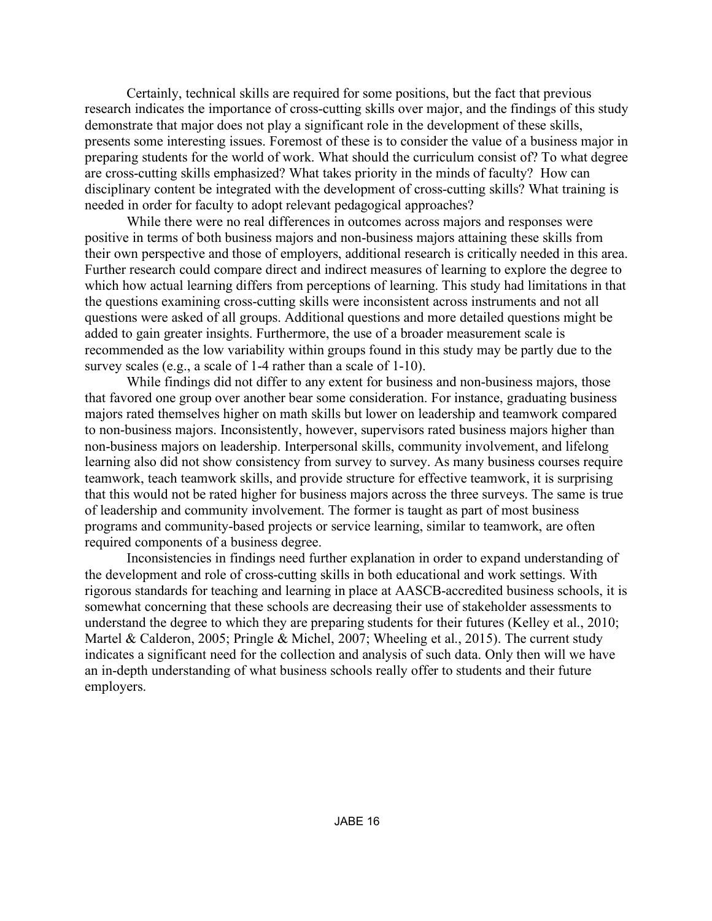Certainly, technical skills are required for some positions, but the fact that previous research indicates the importance of cross-cutting skills over major, and the findings of this study demonstrate that major does not play a significant role in the development of these skills, presents some interesting issues. Foremost of these is to consider the value of a business major in preparing students for the world of work. What should the curriculum consist of? To what degree are cross-cutting skills emphasized? What takes priority in the minds of faculty? How can disciplinary content be integrated with the development of cross-cutting skills? What training is needed in order for faculty to adopt relevant pedagogical approaches?

While there were no real differences in outcomes across majors and responses were positive in terms of both business majors and non-business majors attaining these skills from their own perspective and those of employers, additional research is critically needed in this area. Further research could compare direct and indirect measures of learning to explore the degree to which how actual learning differs from perceptions of learning. This study had limitations in that the questions examining cross-cutting skills were inconsistent across instruments and not all questions were asked of all groups. Additional questions and more detailed questions might be added to gain greater insights. Furthermore, the use of a broader measurement scale is recommended as the low variability within groups found in this study may be partly due to the survey scales (e.g., a scale of 1-4 rather than a scale of 1-10).

While findings did not differ to any extent for business and non-business majors, those that favored one group over another bear some consideration. For instance, graduating business majors rated themselves higher on math skills but lower on leadership and teamwork compared to non-business majors. Inconsistently, however, supervisors rated business majors higher than non-business majors on leadership. Interpersonal skills, community involvement, and lifelong learning also did not show consistency from survey to survey. As many business courses require teamwork, teach teamwork skills, and provide structure for effective teamwork, it is surprising that this would not be rated higher for business majors across the three surveys. The same is true of leadership and community involvement. The former is taught as part of most business programs and community-based projects or service learning, similar to teamwork, are often required components of a business degree.

Inconsistencies in findings need further explanation in order to expand understanding of the development and role of cross-cutting skills in both educational and work settings. With rigorous standards for teaching and learning in place at AASCB-accredited business schools, it is somewhat concerning that these schools are decreasing their use of stakeholder assessments to understand the degree to which they are preparing students for their futures (Kelley et al., 2010; Martel & Calderon, 2005; Pringle & Michel, 2007; Wheeling et al., 2015). The current study indicates a significant need for the collection and analysis of such data. Only then will we have an in-depth understanding of what business schools really offer to students and their future employers.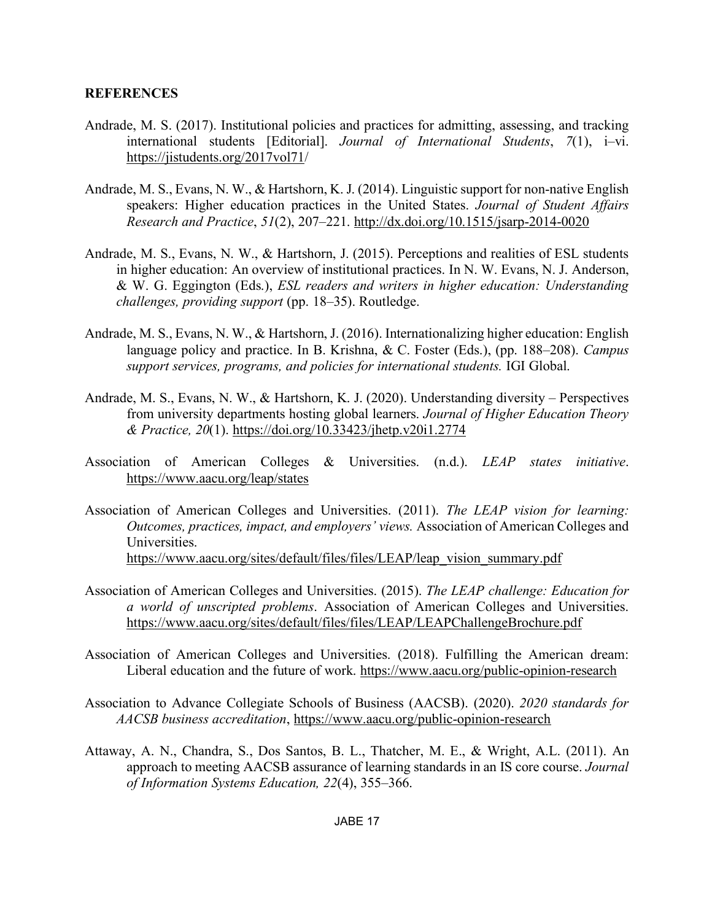## **REFERENCES**

- Andrade, M. S. (2017). Institutional policies and practices for admitting, assessing, and tracking international students [Editorial]. *Journal of International Students*, *7*(1), i–vi. https://jistudents.org/2017vol71/
- Andrade, M. S., Evans, N. W., & Hartshorn, K. J. (2014). Linguistic support for non-native English speakers: Higher education practices in the United States. *Journal of Student Affairs Research and Practice*, *51*(2), 207–221. http://dx.doi.org/10.1515/jsarp-2014-0020
- Andrade, M. S., Evans, N. W., & Hartshorn, J. (2015). Perceptions and realities of ESL students in higher education: An overview of institutional practices. In N. W. Evans, N. J. Anderson, & W. G. Eggington (Eds.), *ESL readers and writers in higher education: Understanding challenges, providing support* (pp. 18–35). Routledge.
- Andrade, M. S., Evans, N. W., & Hartshorn, J. (2016). Internationalizing higher education: English language policy and practice. In B. Krishna, & C. Foster (Eds.), (pp. 188–208). *Campus support services, programs, and policies for international students.* IGI Global.
- Andrade, M. S., Evans, N. W., & Hartshorn, K. J. (2020). Understanding diversity Perspectives from university departments hosting global learners. *Journal of Higher Education Theory & Practice, 20*(1). https://doi.org/10.33423/jhetp.v20i1.2774
- Association of American Colleges & Universities. (n.d.). *LEAP states initiative*. https://www.aacu.org/leap/states
- Association of American Colleges and Universities. (2011). *The LEAP vision for learning: Outcomes, practices, impact, and employers' views.* Association of American Colleges and Universities. https://www.aacu.org/sites/default/files/files/LEAP/leap\_vision\_summary.pdf
- Association of American Colleges and Universities. (2015). *The LEAP challenge: Education for a world of unscripted problems*. Association of American Colleges and Universities. https://www.aacu.org/sites/default/files/files/LEAP/LEAPChallengeBrochure.pdf
- Association of American Colleges and Universities. (2018). Fulfilling the American dream: Liberal education and the future of work. https://www.aacu.org/public-opinion-research
- Association to Advance Collegiate Schools of Business (AACSB). (2020). *2020 standards for AACSB business accreditation*, https://www.aacu.org/public-opinion-research
- Attaway, A. N., Chandra, S., Dos Santos, B. L., Thatcher, M. E., & Wright, A.L. (2011). An approach to meeting AACSB assurance of learning standards in an IS core course. *Journal of Information Systems Education, 22*(4), 355–366.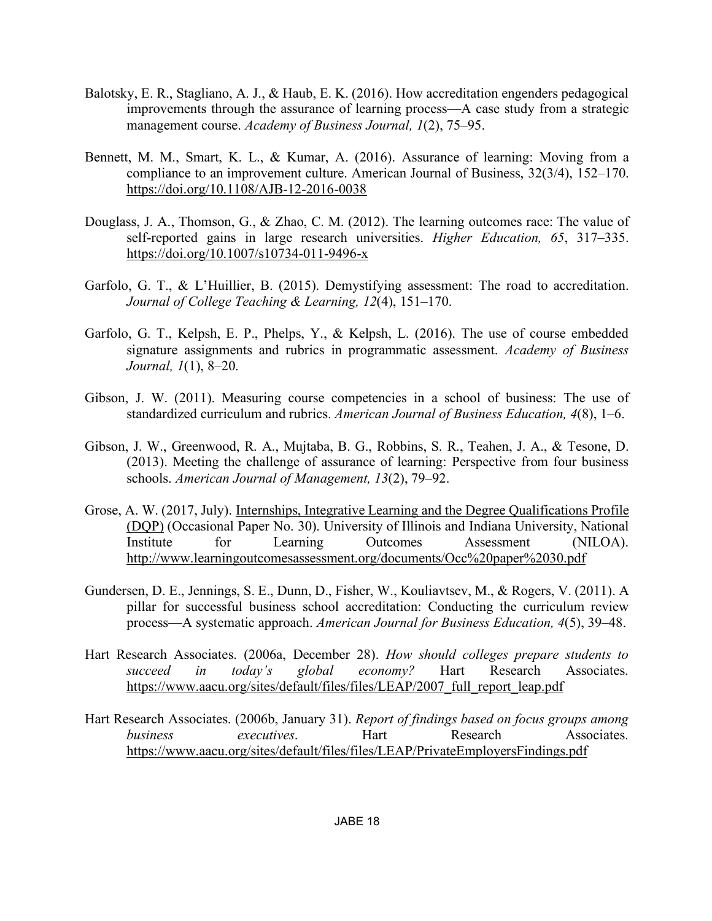- Balotsky, E. R., Stagliano, A. J., & Haub, E. K. (2016). How accreditation engenders pedagogical improvements through the assurance of learning process—A case study from a strategic management course. *Academy of Business Journal, 1*(2), 75–95.
- Bennett, M. M., Smart, K. L., & Kumar, A. (2016). Assurance of learning: Moving from a compliance to an improvement culture. American Journal of Business, 32(3/4), 152–170. https://doi.org/10.1108/AJB-12-2016-0038
- Douglass, J. A., Thomson, G., & Zhao, C. M. (2012). The learning outcomes race: The value of self-reported gains in large research universities. *Higher Education, 65*, 317–335. https://doi.org/10.1007/s10734-011-9496-x
- Garfolo, G. T., & L'Huillier, B. (2015). Demystifying assessment: The road to accreditation. *Journal of College Teaching & Learning, 12*(4), 151–170.
- Garfolo, G. T., Kelpsh, E. P., Phelps, Y., & Kelpsh, L. (2016). The use of course embedded signature assignments and rubrics in programmatic assessment. *Academy of Business Journal, 1*(1), 8–20.
- Gibson, J. W. (2011). Measuring course competencies in a school of business: The use of standardized curriculum and rubrics. *American Journal of Business Education, 4*(8), 1–6.
- Gibson, J. W., Greenwood, R. A., Mujtaba, B. G., Robbins, S. R., Teahen, J. A., & Tesone, D. (2013). Meeting the challenge of assurance of learning: Perspective from four business schools. *American Journal of Management, 13*(2), 79–92.
- Grose, A. W. (2017, July). Internships, Integrative Learning and the Degree Qualifications Profile (DQP) (Occasional Paper No. 30). University of Illinois and Indiana University, National Institute for Learning Outcomes Assessment (NILOA). http://www.learningoutcomesassessment.org/documents/Occ%20paper%2030.pdf
- Gundersen, D. E., Jennings, S. E., Dunn, D., Fisher, W., Kouliavtsev, M., & Rogers, V. (2011). A pillar for successful business school accreditation: Conducting the curriculum review process—A systematic approach. *American Journal for Business Education, 4*(5), 39–48.
- Hart Research Associates. (2006a, December 28). *How should colleges prepare students to succeed in today's global economy?* Hart Research Associates. https://www.aacu.org/sites/default/files/files/LEAP/2007 full\_report\_leap.pdf
- Hart Research Associates. (2006b, January 31). *Report of findings based on focus groups among business executives*. Hart Research Associates. https://www.aacu.org/sites/default/files/files/LEAP/PrivateEmployersFindings.pdf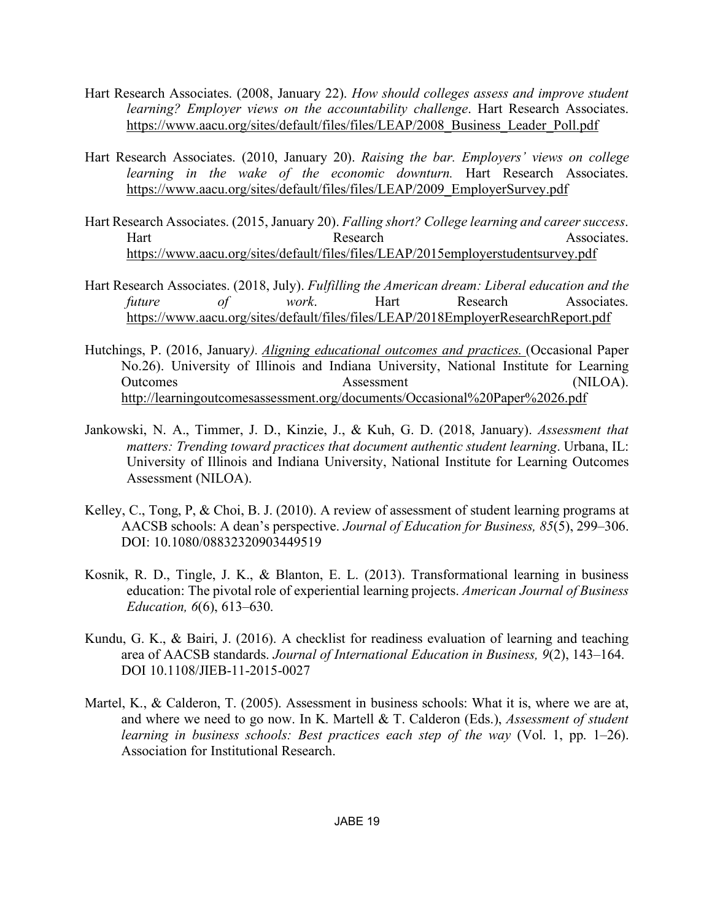- Hart Research Associates. (2008, January 22). *How should colleges assess and improve student learning? Employer views on the accountability challenge*. Hart Research Associates. https://www.aacu.org/sites/default/files/files/LEAP/2008\_Business\_Leader\_Poll.pdf
- Hart Research Associates. (2010, January 20). *Raising the bar. Employers' views on college learning in the wake of the economic downturn.* Hart Research Associates. https://www.aacu.org/sites/default/files/files/LEAP/2009\_EmployerSurvey.pdf
- Hart Research Associates. (2015, January 20). *Falling short? College learning and career success*. Hart Research **Research** Associates. https://www.aacu.org/sites/default/files/files/LEAP/2015employerstudentsurvey.pdf
- Hart Research Associates. (2018, July). *Fulfilling the American dream: Liberal education and the future of work*. Hart Research Associates. https://www.aacu.org/sites/default/files/files/LEAP/2018EmployerResearchReport.pdf
- Hutchings, P. (2016, January*). Aligning educational outcomes and practices.* (Occasional Paper No.26). University of Illinois and Indiana University, National Institute for Learning Outcomes Assessment (NILOA). http://learningoutcomesassessment.org/documents/Occasional%20Paper%2026.pdf
- Jankowski, N. A., Timmer, J. D., Kinzie, J., & Kuh, G. D. (2018, January). *Assessment that matters: Trending toward practices that document authentic student learning*. Urbana, IL: University of Illinois and Indiana University, National Institute for Learning Outcomes Assessment (NILOA).
- Kelley, C., Tong, P, & Choi, B. J. (2010). A review of assessment of student learning programs at AACSB schools: A dean's perspective. *Journal of Education for Business, 85*(5), 299–306. DOI: 10.1080/08832320903449519
- Kosnik, R. D., Tingle, J. K., & Blanton, E. L. (2013). Transformational learning in business education: The pivotal role of experiential learning projects. *American Journal of Business Education, 6*(6), 613–630.
- Kundu, G. K., & Bairi, J. (2016). A checklist for readiness evaluation of learning and teaching area of AACSB standards. *Journal of International Education in Business, 9*(2), 143–164. DOI 10.1108/JIEB-11-2015-0027
- Martel, K., & Calderon, T. (2005). Assessment in business schools: What it is, where we are at, and where we need to go now. In K. Martell & T. Calderon (Eds.), *Assessment of student learning in business schools: Best practices each step of the way* (Vol. 1, pp. 1–26). Association for Institutional Research.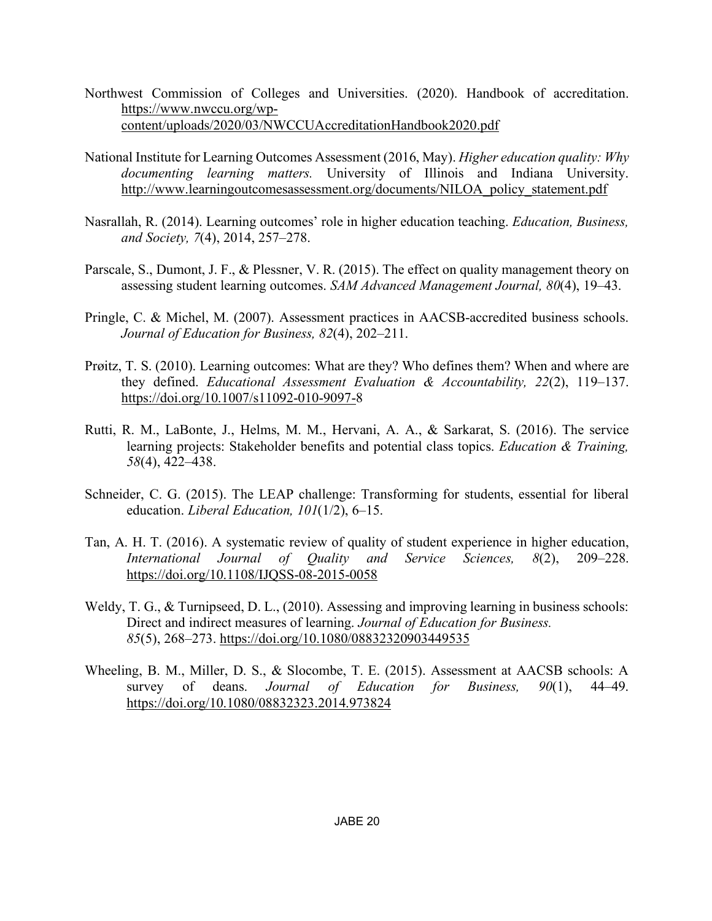- Northwest Commission of Colleges and Universities. (2020). Handbook of accreditation. https://www.nwccu.org/wpcontent/uploads/2020/03/NWCCUAccreditationHandbook2020.pdf
- National Institute for Learning Outcomes Assessment (2016, May). *Higher education quality: Why documenting learning matters.* University of Illinois and Indiana University. http://www.learningoutcomesassessment.org/documents/NILOA\_policy\_statement.pdf
- Nasrallah, R. (2014). Learning outcomes' role in higher education teaching. *Education, Business, and Society, 7*(4), 2014, 257–278.
- Parscale, S., Dumont, J. F., & Plessner, V. R. (2015). The effect on quality management theory on assessing student learning outcomes. *SAM Advanced Management Journal, 80*(4), 19–43.
- Pringle, C. & Michel, M. (2007). Assessment practices in AACSB-accredited business schools. *Journal of Education for Business, 82*(4), 202–211.
- Prøitz, T. S. (2010). Learning outcomes: What are they? Who defines them? When and where are they defined. *Educational Assessment Evaluation & Accountability, 22*(2), 119–137. https://doi.org/10.1007/s11092-010-9097-8
- Rutti, R. M., LaBonte, J., Helms, M. M., Hervani, A. A., & Sarkarat, S. (2016). The service learning projects: Stakeholder benefits and potential class topics. *Education & Training, 58*(4), 422–438.
- Schneider, C. G. (2015). The LEAP challenge: Transforming for students, essential for liberal education. *Liberal Education, 101*(1/2), 6–15.
- Tan, A. H. T. (2016). A systematic review of quality of student experience in higher education, *International Journal of Quality and Service Sciences, 8*(2), 209–228. https://doi.org/10.1108/IJQSS-08-2015-0058
- Weldy, T. G., & Turnipseed, D. L., (2010). Assessing and improving learning in business schools: Direct and indirect measures of learning. *Journal of Education for Business. 85*(5), 268–273. https://doi.org/10.1080/08832320903449535
- Wheeling, B. M., Miller, D. S., & Slocombe, T. E. (2015). Assessment at AACSB schools: A survey of deans. *Journal of Education for Business, 90*(1), 44–49. https://doi.org/10.1080/08832323.2014.973824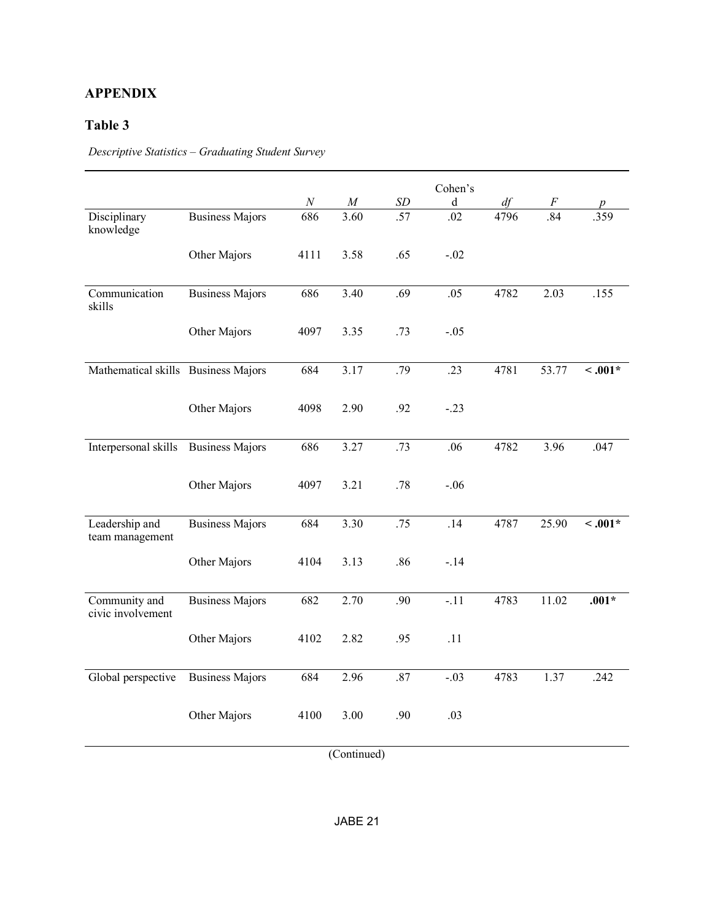## **APPENDIX**

## **Table 3**

*Descriptive Statistics – Graduating Student Survey*

|                                     |                        | $N_{\rm}$ | $\cal M$ | $\cal SD$ | Cohen's<br>d | df   | F                 |              |
|-------------------------------------|------------------------|-----------|----------|-----------|--------------|------|-------------------|--------------|
| Disciplinary<br>knowledge           | <b>Business Majors</b> | 686       | 3.60     | .57       | .02          | 4796 | 84                | 359          |
|                                     | Other Majors           | 4111      | 3.58     | .65       | $-.02$       |      |                   |              |
| Communication<br>skills             | <b>Business Majors</b> | 686       | 3.40     | .69       | .05          | 4782 | $2.\overline{03}$ | .155         |
|                                     | Other Majors           | 4097      | 3.35     | .73       | $-.05$       |      |                   |              |
| Mathematical skills Business Majors |                        | 684       | 3.17     | .79       | .23          | 4781 | 53.77             | $\leq .001*$ |
|                                     | Other Majors           | 4098      | 2.90     | .92       | $-.23$       |      |                   |              |
| Interpersonal skills                | <b>Business Majors</b> | 686       | 3.27     | .73       | .06          | 4782 | 3.96              | .047         |
|                                     | Other Majors           | 4097      | 3.21     | .78       | $-.06$       |      |                   |              |
| Leadership and<br>team management   | <b>Business Majors</b> | 684       | 3.30     | .75       | .14          | 4787 | 25.90             | $\leq .001*$ |
|                                     | Other Majors           | 4104      | 3.13     | .86       | $-.14$       |      |                   |              |
| Community and<br>civic involvement  | <b>Business Majors</b> | 682       | 2.70     | .90       | $-.11$       | 4783 | 11.02             | $.001*$      |
|                                     | Other Majors           | 4102      | 2.82     | .95       | .11          |      |                   |              |
| Global perspective                  | <b>Business Majors</b> | 684       | 2.96     | .87       | $-.03$       | 4783 | 1.37              | .242         |
|                                     | Other Majors           | 4100      | 3.00     | .90       | .03          |      |                   |              |

(Continued)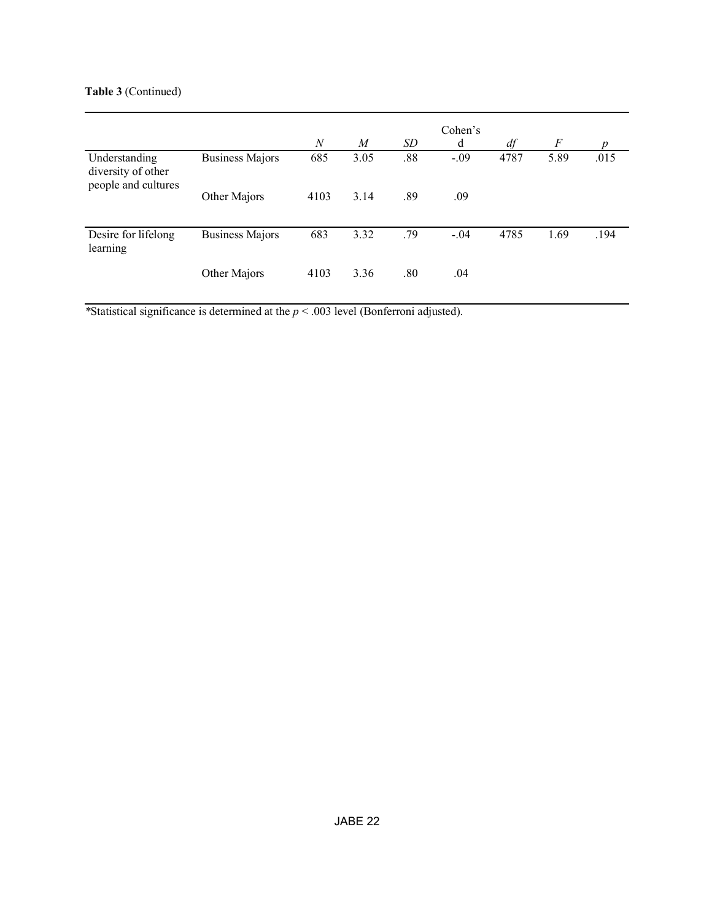## **Table 3** (Continued)

|                                                            |                        | $\overline{N}$ | M    | SD  | Cohen's<br>d | df   | $\overline{F}$ | <sub>n</sub> |
|------------------------------------------------------------|------------------------|----------------|------|-----|--------------|------|----------------|--------------|
| Understanding<br>diversity of other<br>people and cultures | <b>Business Majors</b> | 685            | 3.05 | .88 | $-.09$       | 4787 | 5.89           | .015         |
|                                                            | Other Majors           | 4103           | 3.14 | .89 | .09          |      |                |              |
| Desire for lifelong<br>learning                            | <b>Business Majors</b> | 683            | 3.32 | .79 | $-.04$       | 4785 | 1.69           | .194         |
|                                                            | Other Majors           | 4103           | 3.36 | .80 | .04          |      |                |              |

*\**Statistical significance is determined at the *p* < .003 level (Bonferroni adjusted).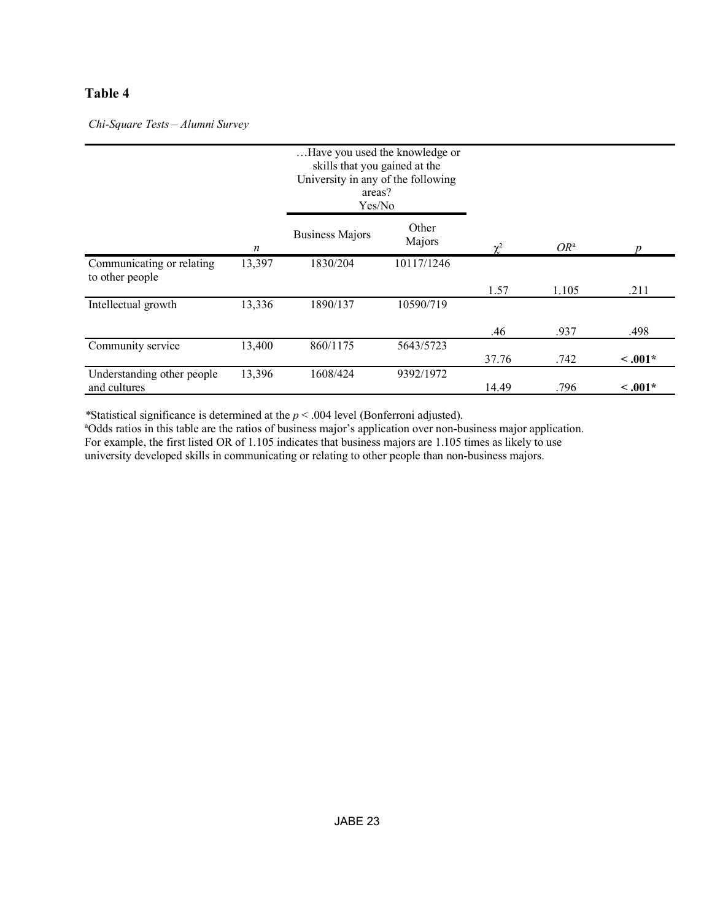## **Table 4**

*Chi-Square Tests – Alumni Survey*

|                                              |        | Have you used the knowledge or<br>skills that you gained at the<br>University in any of the following<br>areas?<br>Yes/No |                 |                |        |              |
|----------------------------------------------|--------|---------------------------------------------------------------------------------------------------------------------------|-----------------|----------------|--------|--------------|
|                                              | n      | <b>Business Majors</b>                                                                                                    | Other<br>Majors | $\mathbf{v}^2$ | $OR^a$ |              |
| Communicating or relating<br>to other people | 13,397 | 1830/204                                                                                                                  | 10117/1246      |                |        |              |
|                                              |        |                                                                                                                           |                 | 1.57           | 1.105  | .211         |
| Intellectual growth                          | 13,336 | 1890/137                                                                                                                  | 10590/719       |                |        |              |
|                                              |        |                                                                                                                           |                 | .46            | .937   | .498         |
| Community service                            | 13,400 | 860/1175                                                                                                                  | 5643/5723       |                |        |              |
|                                              |        |                                                                                                                           |                 | 37.76          | .742   | $\leq .001*$ |
| Understanding other people<br>and cultures   | 13,396 | 1608/424                                                                                                                  | 9392/1972       | 14.49          | .796   | $\leq .001*$ |

*\**Statistical significance is determined at the *p* < .004 level (Bonferroni adjusted).

<sup>a</sup>Odds ratios in this table are the ratios of business major's application over non-business major application. For example, the first listed OR of 1.105 indicates that business majors are 1.105 times as likely to use university developed skills in communicating or relating to other people than non-business majors.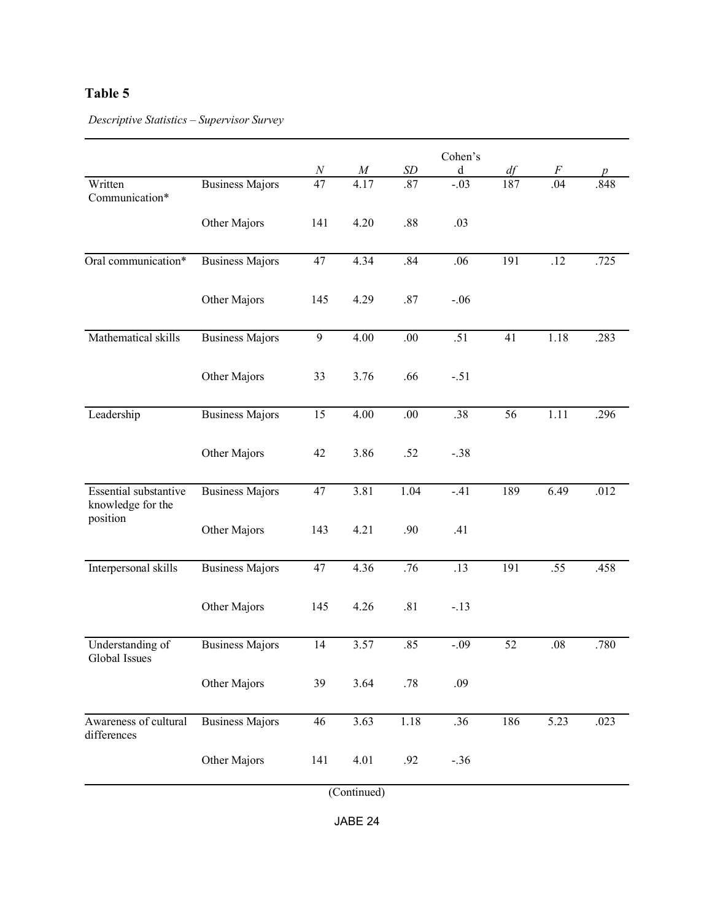## **Table 5**

*Descriptive Statistics – Supervisor Survey*

|                                            |                        | $\boldsymbol{N}$ | $\boldsymbol{M}$ | <b>SD</b> | Cohen's<br>d | df  | $\,F$   | p    |
|--------------------------------------------|------------------------|------------------|------------------|-----------|--------------|-----|---------|------|
| Written<br>Communication*                  | <b>Business Majors</b> | 47               | 4.17             | .87       | $-.03$       | 187 | .04     | .848 |
|                                            | Other Majors           | 141              | 4.20             | .88       | .03          |     |         |      |
| Oral communication*                        | <b>Business Majors</b> | 47               | 4.34             | .84       | .06          | 191 | .12     | .725 |
|                                            | Other Majors           | 145              | 4.29             | .87       | $-.06$       |     |         |      |
| Mathematical skills                        | <b>Business Majors</b> | 9                | 4.00             | .00.      | .51          | 41  | 1.18    | .283 |
|                                            | Other Majors           | 33               | 3.76             | .66       | $-.51$       |     |         |      |
| Leadership                                 | <b>Business Majors</b> | 15               | 4.00             | .00       | .38          | 56  | 1.11    | .296 |
|                                            | Other Majors           | 42               | 3.86             | .52       | $-.38$       |     |         |      |
| Essential substantive<br>knowledge for the | <b>Business Majors</b> | 47               | 3.81             | 1.04      | $-41$        | 189 | 6.49    | .012 |
| position                                   | Other Majors           | 143              | 4.21             | .90       | .41          |     |         |      |
| Interpersonal skills                       | <b>Business Majors</b> | 47               | 4.36             | .76       | .13          | 191 | .55     | .458 |
|                                            | Other Majors           | 145              | 4.26             | .81       | $-.13$       |     |         |      |
| Understanding of<br>Global Issues          | <b>Business Majors</b> | 14               | 3.57             | .85       | $-.09$       | 52  | $.08\,$ | .780 |
|                                            | Other Majors           | 39               | 3.64             | .78       | .09          |     |         |      |
| Awareness of cultural<br>differences       | <b>Business Majors</b> | 46               | 3.63             | 1.18      | .36          | 186 | 5.23    | .023 |
|                                            | Other Majors           | 141              | 4.01             | .92       | $-.36$       |     |         |      |

(Continued)

JABE 24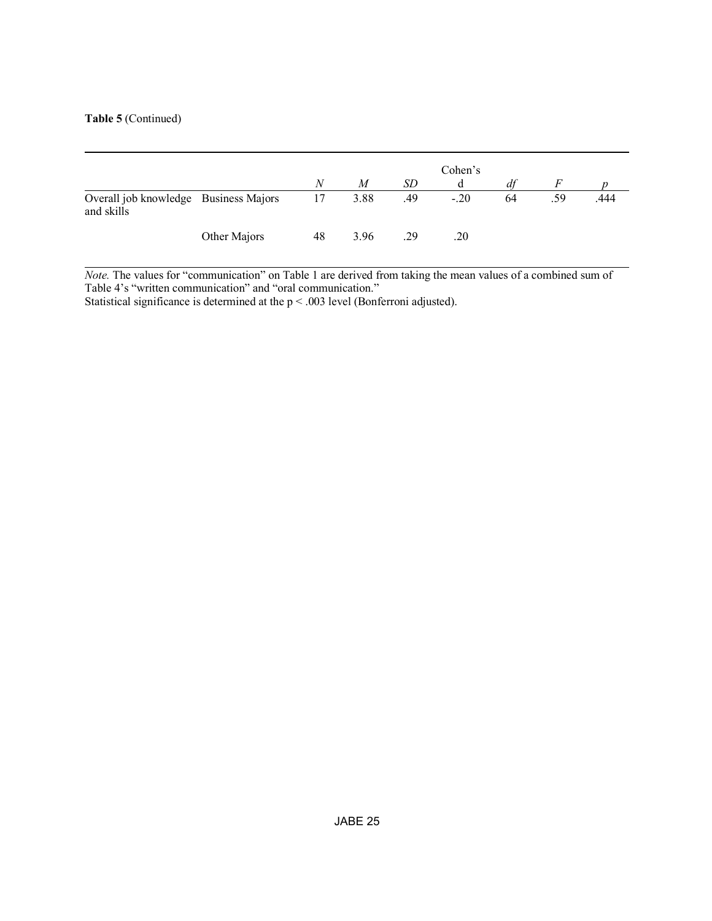#### **Table 5** (Continued)

|                                                     |              | N  | M    | SD  | Cohen's | df |     |      |
|-----------------------------------------------------|--------------|----|------|-----|---------|----|-----|------|
| Overall job knowledge Business Majors<br>and skills |              | 17 | 3.88 | .49 | $-.20$  | 64 | .59 | .444 |
|                                                     | Other Majors | 48 | 3.96 | .29 | .20     |    |     |      |

*Note.* The values for "communication" on Table 1 are derived from taking the mean values of a combined sum of Table 4's "written communication" and "oral communication."

Statistical significance is determined at the  $p < .003$  level (Bonferroni adjusted).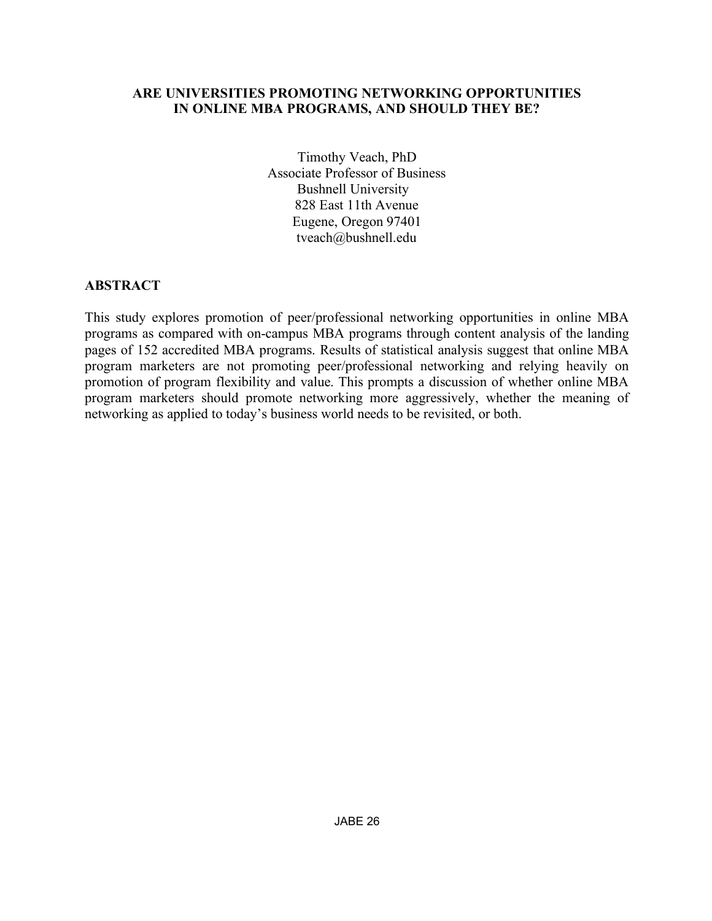## **ARE UNIVERSITIES PROMOTING NETWORKING OPPORTUNITIES IN ONLINE MBA PROGRAMS, AND SHOULD THEY BE?**

Timothy Veach, PhD Associate Professor of Business Bushnell University 828 East 11th Avenue Eugene, Oregon 97401 tveach@bushnell.edu

## **ABSTRACT**

This study explores promotion of peer/professional networking opportunities in online MBA programs as compared with on-campus MBA programs through content analysis of the landing pages of 152 accredited MBA programs. Results of statistical analysis suggest that online MBA program marketers are not promoting peer/professional networking and relying heavily on promotion of program flexibility and value. This prompts a discussion of whether online MBA program marketers should promote networking more aggressively, whether the meaning of networking as applied to today's business world needs to be revisited, or both.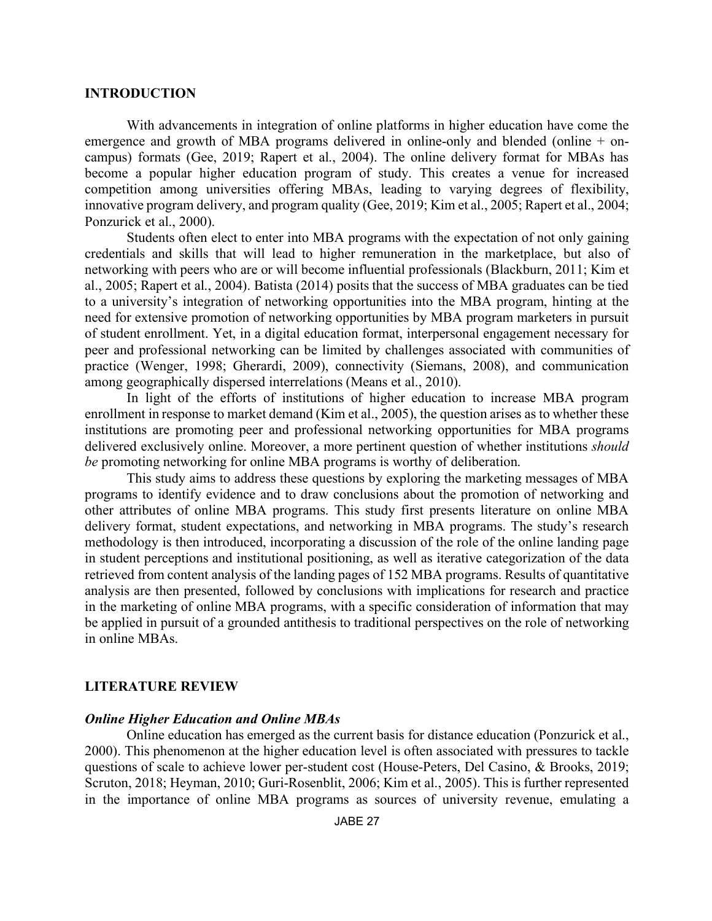#### **INTRODUCTION**

With advancements in integration of online platforms in higher education have come the emergence and growth of MBA programs delivered in online-only and blended (online + oncampus) formats (Gee, 2019; Rapert et al., 2004). The online delivery format for MBAs has become a popular higher education program of study. This creates a venue for increased competition among universities offering MBAs, leading to varying degrees of flexibility, innovative program delivery, and program quality (Gee, 2019; Kim et al., 2005; Rapert et al., 2004; Ponzurick et al., 2000).

Students often elect to enter into MBA programs with the expectation of not only gaining credentials and skills that will lead to higher remuneration in the marketplace, but also of networking with peers who are or will become influential professionals (Blackburn, 2011; Kim et al., 2005; Rapert et al., 2004). Batista (2014) posits that the success of MBA graduates can be tied to a university's integration of networking opportunities into the MBA program, hinting at the need for extensive promotion of networking opportunities by MBA program marketers in pursuit of student enrollment. Yet, in a digital education format, interpersonal engagement necessary for peer and professional networking can be limited by challenges associated with communities of practice (Wenger, 1998; Gherardi, 2009), connectivity (Siemans, 2008), and communication among geographically dispersed interrelations (Means et al., 2010).

In light of the efforts of institutions of higher education to increase MBA program enrollment in response to market demand (Kim et al., 2005), the question arises as to whether these institutions are promoting peer and professional networking opportunities for MBA programs delivered exclusively online. Moreover, a more pertinent question of whether institutions *should be* promoting networking for online MBA programs is worthy of deliberation.

This study aims to address these questions by exploring the marketing messages of MBA programs to identify evidence and to draw conclusions about the promotion of networking and other attributes of online MBA programs. This study first presents literature on online MBA delivery format, student expectations, and networking in MBA programs. The study's research methodology is then introduced, incorporating a discussion of the role of the online landing page in student perceptions and institutional positioning, as well as iterative categorization of the data retrieved from content analysis of the landing pages of 152 MBA programs. Results of quantitative analysis are then presented, followed by conclusions with implications for research and practice in the marketing of online MBA programs, with a specific consideration of information that may be applied in pursuit of a grounded antithesis to traditional perspectives on the role of networking in online MBAs.

#### **LITERATURE REVIEW**

#### *Online Higher Education and Online MBAs*

Online education has emerged as the current basis for distance education (Ponzurick et al., 2000). This phenomenon at the higher education level is often associated with pressures to tackle questions of scale to achieve lower per-student cost (House-Peters, Del Casino, & Brooks, 2019; Scruton, 2018; Heyman, 2010; Guri-Rosenblit, 2006; Kim et al., 2005). This is further represented in the importance of online MBA programs as sources of university revenue, emulating a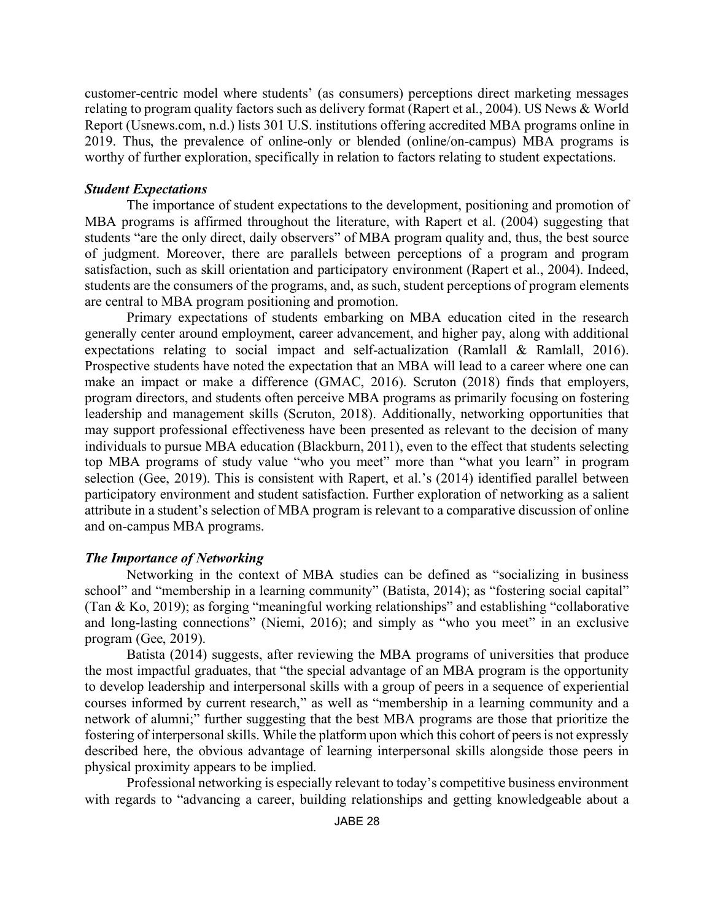customer-centric model where students' (as consumers) perceptions direct marketing messages relating to program quality factors such as delivery format (Rapert et al., 2004). US News & World Report (Usnews.com, n.d.) lists 301 U.S. institutions offering accredited MBA programs online in 2019. Thus, the prevalence of online-only or blended (online/on-campus) MBA programs is worthy of further exploration, specifically in relation to factors relating to student expectations.

#### *Student Expectations*

The importance of student expectations to the development, positioning and promotion of MBA programs is affirmed throughout the literature, with Rapert et al. (2004) suggesting that students "are the only direct, daily observers" of MBA program quality and, thus, the best source of judgment. Moreover, there are parallels between perceptions of a program and program satisfaction, such as skill orientation and participatory environment (Rapert et al., 2004). Indeed, students are the consumers of the programs, and, as such, student perceptions of program elements are central to MBA program positioning and promotion.

Primary expectations of students embarking on MBA education cited in the research generally center around employment, career advancement, and higher pay, along with additional expectations relating to social impact and self-actualization (Ramlall & Ramlall, 2016). Prospective students have noted the expectation that an MBA will lead to a career where one can make an impact or make a difference (GMAC, 2016). Scruton (2018) finds that employers, program directors, and students often perceive MBA programs as primarily focusing on fostering leadership and management skills (Scruton, 2018). Additionally, networking opportunities that may support professional effectiveness have been presented as relevant to the decision of many individuals to pursue MBA education (Blackburn, 2011), even to the effect that students selecting top MBA programs of study value "who you meet" more than "what you learn" in program selection (Gee, 2019). This is consistent with Rapert, et al.'s (2014) identified parallel between participatory environment and student satisfaction. Further exploration of networking as a salient attribute in a student's selection of MBA program is relevant to a comparative discussion of online and on-campus MBA programs.

#### *The Importance of Networking*

Networking in the context of MBA studies can be defined as "socializing in business school" and "membership in a learning community" (Batista, 2014); as "fostering social capital" (Tan & Ko, 2019); as forging "meaningful working relationships" and establishing "collaborative and long-lasting connections" (Niemi, 2016); and simply as "who you meet" in an exclusive program (Gee, 2019).

Batista (2014) suggests, after reviewing the MBA programs of universities that produce the most impactful graduates, that "the special advantage of an MBA program is the opportunity to develop leadership and interpersonal skills with a group of peers in a sequence of experiential courses informed by current research," as well as "membership in a learning community and a network of alumni;" further suggesting that the best MBA programs are those that prioritize the fostering of interpersonal skills. While the platform upon which this cohort of peers is not expressly described here, the obvious advantage of learning interpersonal skills alongside those peers in physical proximity appears to be implied.

Professional networking is especially relevant to today's competitive business environment with regards to "advancing a career, building relationships and getting knowledgeable about a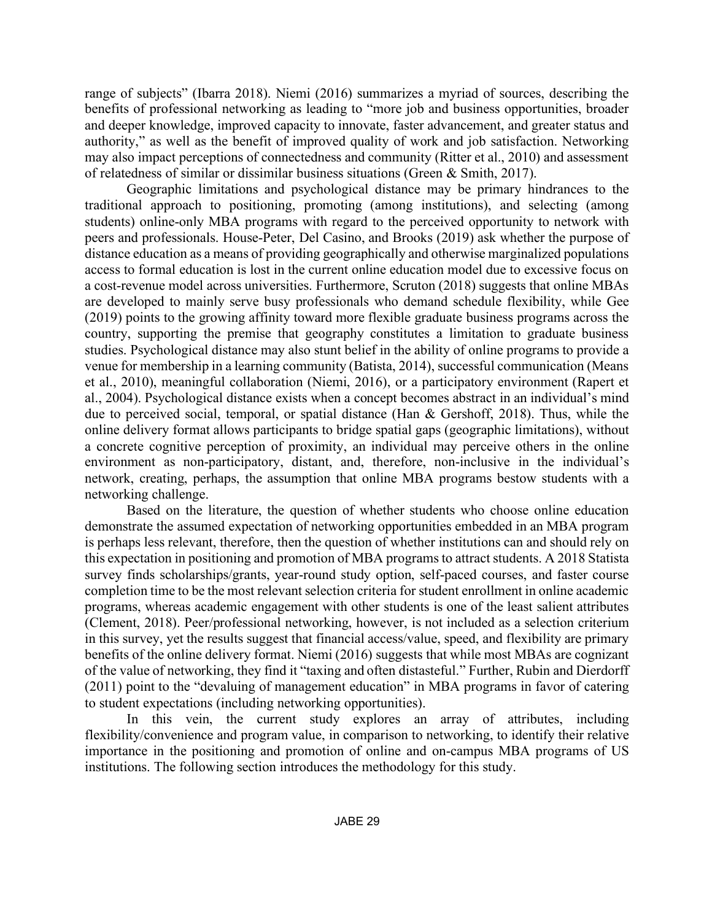range of subjects" (Ibarra 2018). Niemi (2016) summarizes a myriad of sources, describing the benefits of professional networking as leading to "more job and business opportunities, broader and deeper knowledge, improved capacity to innovate, faster advancement, and greater status and authority," as well as the benefit of improved quality of work and job satisfaction. Networking may also impact perceptions of connectedness and community (Ritter et al., 2010) and assessment of relatedness of similar or dissimilar business situations (Green & Smith, 2017).

Geographic limitations and psychological distance may be primary hindrances to the traditional approach to positioning, promoting (among institutions), and selecting (among students) online-only MBA programs with regard to the perceived opportunity to network with peers and professionals. House-Peter, Del Casino, and Brooks (2019) ask whether the purpose of distance education as a means of providing geographically and otherwise marginalized populations access to formal education is lost in the current online education model due to excessive focus on a cost-revenue model across universities. Furthermore, Scruton (2018) suggests that online MBAs are developed to mainly serve busy professionals who demand schedule flexibility, while Gee (2019) points to the growing affinity toward more flexible graduate business programs across the country, supporting the premise that geography constitutes a limitation to graduate business studies. Psychological distance may also stunt belief in the ability of online programs to provide a venue for membership in a learning community (Batista, 2014), successful communication (Means et al., 2010), meaningful collaboration (Niemi, 2016), or a participatory environment (Rapert et al., 2004). Psychological distance exists when a concept becomes abstract in an individual's mind due to perceived social, temporal, or spatial distance (Han & Gershoff, 2018). Thus, while the online delivery format allows participants to bridge spatial gaps (geographic limitations), without a concrete cognitive perception of proximity, an individual may perceive others in the online environment as non-participatory, distant, and, therefore, non-inclusive in the individual's network, creating, perhaps, the assumption that online MBA programs bestow students with a networking challenge.

Based on the literature, the question of whether students who choose online education demonstrate the assumed expectation of networking opportunities embedded in an MBA program is perhaps less relevant, therefore, then the question of whether institutions can and should rely on this expectation in positioning and promotion of MBA programs to attract students. A 2018 Statista survey finds scholarships/grants, year-round study option, self-paced courses, and faster course completion time to be the most relevant selection criteria for student enrollment in online academic programs, whereas academic engagement with other students is one of the least salient attributes (Clement, 2018). Peer/professional networking, however, is not included as a selection criterium in this survey, yet the results suggest that financial access/value, speed, and flexibility are primary benefits of the online delivery format. Niemi (2016) suggests that while most MBAs are cognizant of the value of networking, they find it "taxing and often distasteful." Further, Rubin and Dierdorff (2011) point to the "devaluing of management education" in MBA programs in favor of catering to student expectations (including networking opportunities).

In this vein, the current study explores an array of attributes, including flexibility/convenience and program value, in comparison to networking, to identify their relative importance in the positioning and promotion of online and on-campus MBA programs of US institutions. The following section introduces the methodology for this study.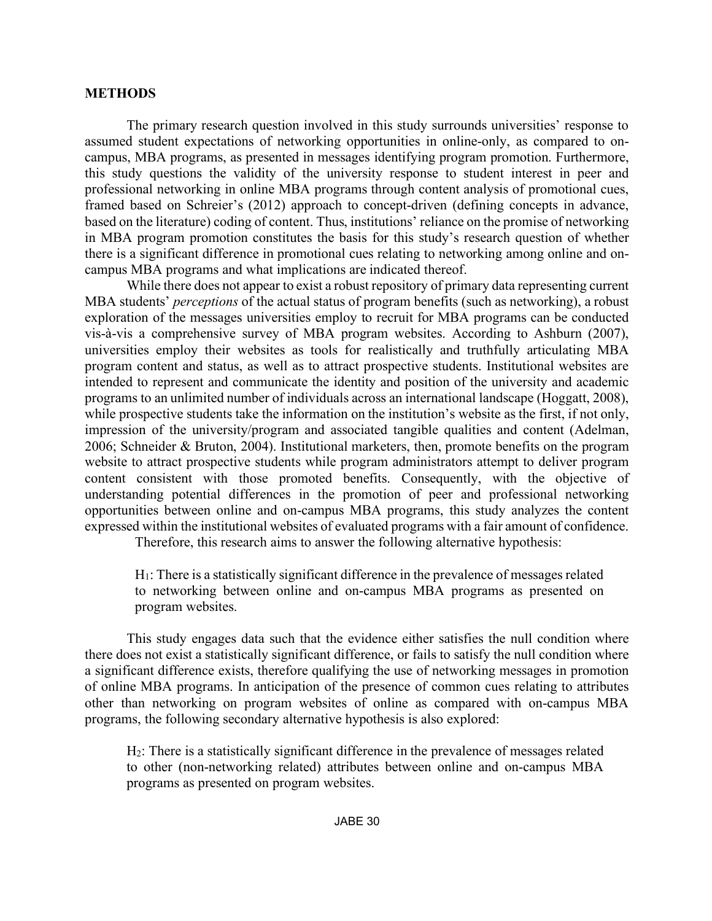#### **METHODS**

The primary research question involved in this study surrounds universities' response to assumed student expectations of networking opportunities in online-only, as compared to oncampus, MBA programs, as presented in messages identifying program promotion. Furthermore, this study questions the validity of the university response to student interest in peer and professional networking in online MBA programs through content analysis of promotional cues, framed based on Schreier's (2012) approach to concept-driven (defining concepts in advance, based on the literature) coding of content. Thus, institutions' reliance on the promise of networking in MBA program promotion constitutes the basis for this study's research question of whether there is a significant difference in promotional cues relating to networking among online and oncampus MBA programs and what implications are indicated thereof.

While there does not appear to exist a robust repository of primary data representing current MBA students' *perceptions* of the actual status of program benefits (such as networking), a robust exploration of the messages universities employ to recruit for MBA programs can be conducted vis-à-vis a comprehensive survey of MBA program websites. According to Ashburn (2007), universities employ their websites as tools for realistically and truthfully articulating MBA program content and status, as well as to attract prospective students. Institutional websites are intended to represent and communicate the identity and position of the university and academic programs to an unlimited number of individuals across an international landscape (Hoggatt, 2008), while prospective students take the information on the institution's website as the first, if not only, impression of the university/program and associated tangible qualities and content (Adelman, 2006; Schneider & Bruton, 2004). Institutional marketers, then, promote benefits on the program website to attract prospective students while program administrators attempt to deliver program content consistent with those promoted benefits. Consequently, with the objective of understanding potential differences in the promotion of peer and professional networking opportunities between online and on-campus MBA programs, this study analyzes the content expressed within the institutional websites of evaluated programs with a fair amount of confidence.

Therefore, this research aims to answer the following alternative hypothesis:

H1: There is a statistically significant difference in the prevalence of messages related to networking between online and on-campus MBA programs as presented on program websites.

This study engages data such that the evidence either satisfies the null condition where there does not exist a statistically significant difference, or fails to satisfy the null condition where a significant difference exists, therefore qualifying the use of networking messages in promotion of online MBA programs. In anticipation of the presence of common cues relating to attributes other than networking on program websites of online as compared with on-campus MBA programs, the following secondary alternative hypothesis is also explored:

H2: There is a statistically significant difference in the prevalence of messages related to other (non-networking related) attributes between online and on-campus MBA programs as presented on program websites.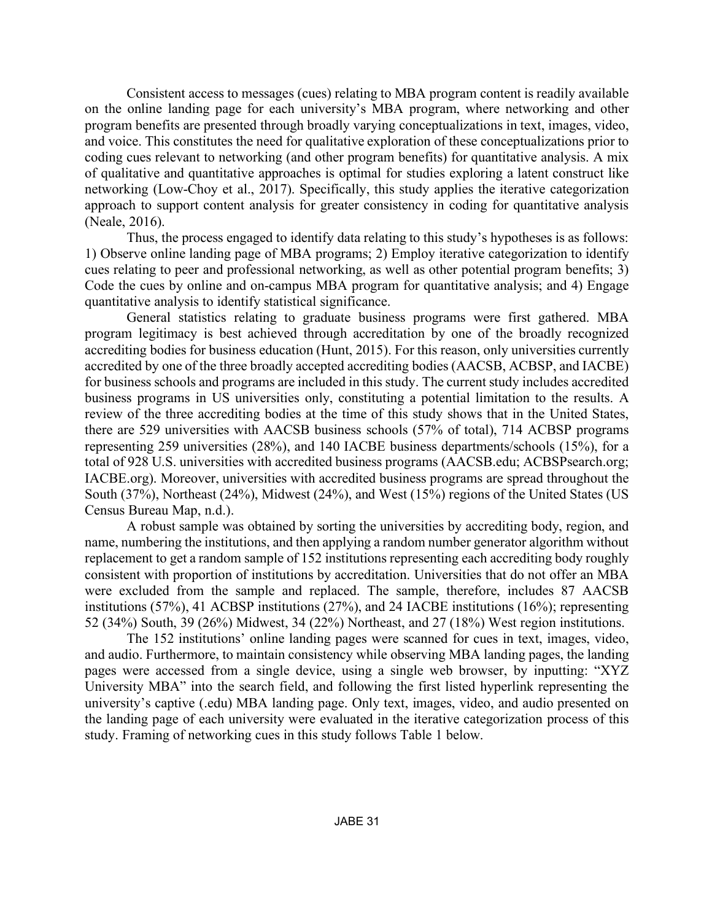Consistent access to messages (cues) relating to MBA program content is readily available on the online landing page for each university's MBA program, where networking and other program benefits are presented through broadly varying conceptualizations in text, images, video, and voice. This constitutes the need for qualitative exploration of these conceptualizations prior to coding cues relevant to networking (and other program benefits) for quantitative analysis. A mix of qualitative and quantitative approaches is optimal for studies exploring a latent construct like networking (Low-Choy et al., 2017). Specifically, this study applies the iterative categorization approach to support content analysis for greater consistency in coding for quantitative analysis (Neale, 2016).

Thus, the process engaged to identify data relating to this study's hypotheses is as follows: 1) Observe online landing page of MBA programs; 2) Employ iterative categorization to identify cues relating to peer and professional networking, as well as other potential program benefits; 3) Code the cues by online and on-campus MBA program for quantitative analysis; and 4) Engage quantitative analysis to identify statistical significance.

General statistics relating to graduate business programs were first gathered. MBA program legitimacy is best achieved through accreditation by one of the broadly recognized accrediting bodies for business education (Hunt, 2015). For this reason, only universities currently accredited by one of the three broadly accepted accrediting bodies (AACSB, ACBSP, and IACBE) for business schools and programs are included in this study. The current study includes accredited business programs in US universities only, constituting a potential limitation to the results. A review of the three accrediting bodies at the time of this study shows that in the United States, there are 529 universities with AACSB business schools (57% of total), 714 ACBSP programs representing 259 universities (28%), and 140 IACBE business departments/schools (15%), for a total of 928 U.S. universities with accredited business programs (AACSB.edu; ACBSPsearch.org; IACBE.org). Moreover, universities with accredited business programs are spread throughout the South (37%), Northeast (24%), Midwest (24%), and West (15%) regions of the United States (US Census Bureau Map, n.d.).

A robust sample was obtained by sorting the universities by accrediting body, region, and name, numbering the institutions, and then applying a random number generator algorithm without replacement to get a random sample of 152 institutions representing each accrediting body roughly consistent with proportion of institutions by accreditation. Universities that do not offer an MBA were excluded from the sample and replaced. The sample, therefore, includes 87 AACSB institutions (57%), 41 ACBSP institutions (27%), and 24 IACBE institutions (16%); representing 52 (34%) South, 39 (26%) Midwest, 34 (22%) Northeast, and 27 (18%) West region institutions.

The 152 institutions' online landing pages were scanned for cues in text, images, video, and audio. Furthermore, to maintain consistency while observing MBA landing pages, the landing pages were accessed from a single device, using a single web browser, by inputting: "XYZ University MBA" into the search field, and following the first listed hyperlink representing the university's captive (.edu) MBA landing page. Only text, images, video, and audio presented on the landing page of each university were evaluated in the iterative categorization process of this study. Framing of networking cues in this study follows Table 1 below.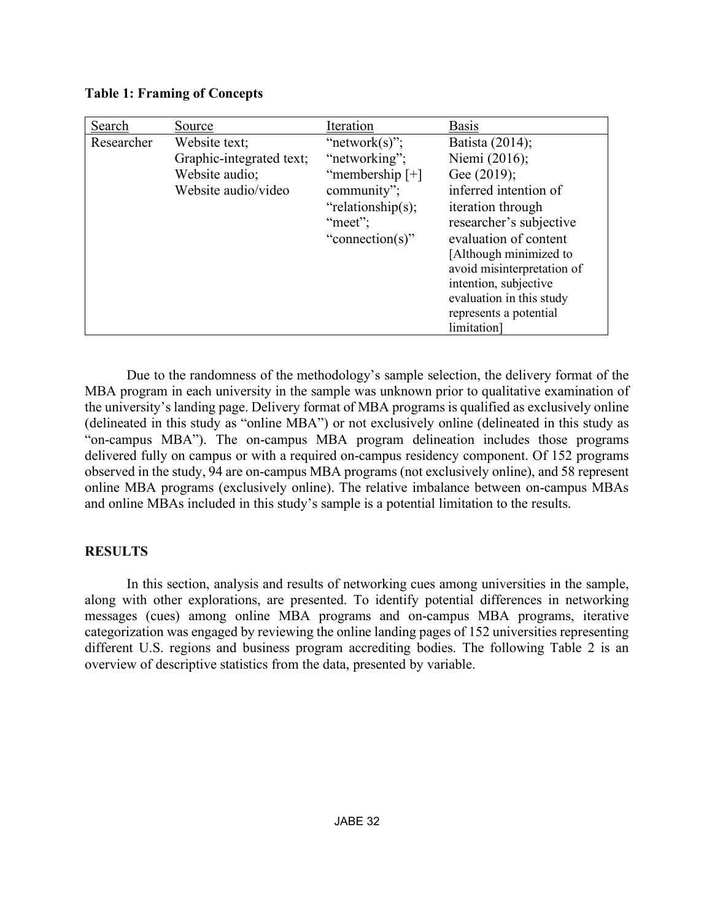| Search     | Source                   | Iteration         | <b>Basis</b>               |
|------------|--------------------------|-------------------|----------------------------|
| Researcher | Website text;            | "network $(s)$ "; | Batista (2014);            |
|            | Graphic-integrated text; | "networking";     | Niemi (2016);              |
|            | Website audio;           | "membership $[+]$ | Gee (2019);                |
|            | Website audio/video      | community";       | inferred intention of      |
|            |                          | "relationship(s); | iteration through          |
|            |                          | "meet":           | researcher's subjective    |
|            |                          | "connection(s)"   | evaluation of content      |
|            |                          |                   | [Although minimized to]    |
|            |                          |                   | avoid misinterpretation of |
|            |                          |                   | intention, subjective      |
|            |                          |                   | evaluation in this study   |
|            |                          |                   | represents a potential     |
|            |                          |                   | limitation]                |

**Table 1: Framing of Concepts**

Due to the randomness of the methodology's sample selection, the delivery format of the MBA program in each university in the sample was unknown prior to qualitative examination of the university's landing page. Delivery format of MBA programs is qualified as exclusively online (delineated in this study as "online MBA") or not exclusively online (delineated in this study as "on-campus MBA"). The on-campus MBA program delineation includes those programs delivered fully on campus or with a required on-campus residency component. Of 152 programs observed in the study, 94 are on-campus MBA programs (not exclusively online), and 58 represent online MBA programs (exclusively online). The relative imbalance between on-campus MBAs and online MBAs included in this study's sample is a potential limitation to the results.

## **RESULTS**

In this section, analysis and results of networking cues among universities in the sample, along with other explorations, are presented. To identify potential differences in networking messages (cues) among online MBA programs and on-campus MBA programs, iterative categorization was engaged by reviewing the online landing pages of 152 universities representing different U.S. regions and business program accrediting bodies. The following Table 2 is an overview of descriptive statistics from the data, presented by variable.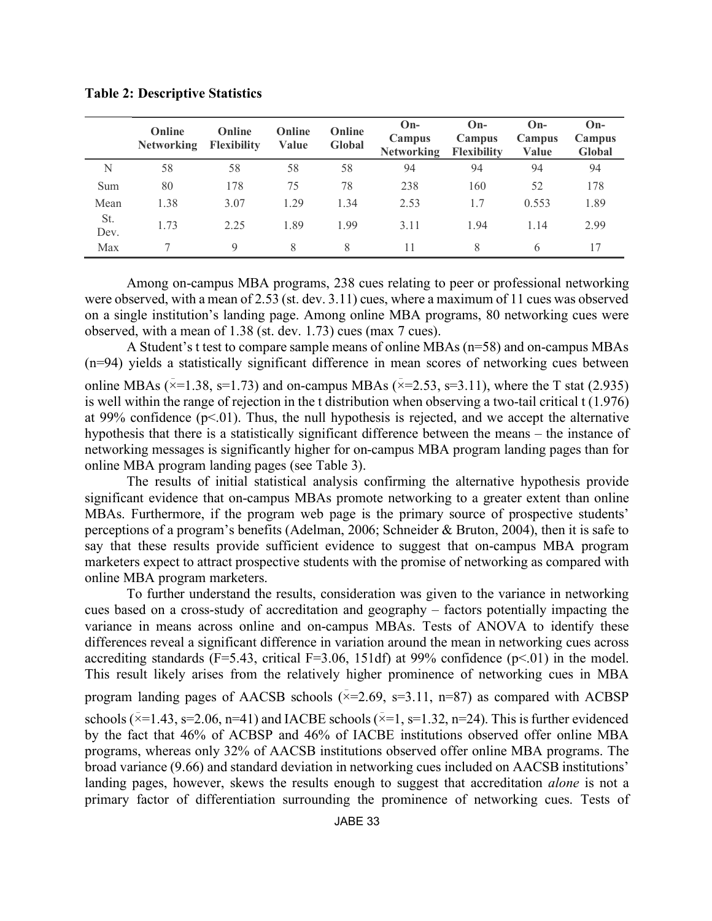|             | Online<br><b>Networking</b> | Online<br><b>Flexibility</b> | Online<br>Value | Online<br><b>Global</b> | $On-$<br>Campus<br><b>Networking</b> | $On-$<br>Campus<br>Flexibility | $On-$<br>Campus<br>Value | $On-$<br>Campus<br>Global |
|-------------|-----------------------------|------------------------------|-----------------|-------------------------|--------------------------------------|--------------------------------|--------------------------|---------------------------|
| N           | 58                          | 58                           | 58              | 58                      | 94                                   | 94                             | 94                       | 94                        |
| Sum         | 80                          | 178                          | 75              | 78                      | 238                                  | 160                            | 52                       | 178                       |
| Mean        | 1.38                        | 3.07                         | 1 29            | 1.34                    | 2.53                                 | 1.7                            | 0.553                    | 1.89                      |
| St.<br>Dev. | 1.73                        | 2.25                         | 1.89            | 1.99                    | 3 1 1                                | 1.94                           | 1.14                     | 2.99                      |
| Max         |                             | $\mathbf Q$                  | 8               | 8                       |                                      | 8                              | 6                        |                           |

**Table 2: Descriptive Statistics**

Among on-campus MBA programs, 238 cues relating to peer or professional networking were observed, with a mean of 2.53 (st. dev. 3.11) cues, where a maximum of 11 cues was observed on a single institution's landing page. Among online MBA programs, 80 networking cues were observed, with a mean of 1.38 (st. dev. 1.73) cues (max 7 cues).

A Student's t test to compare sample means of online MBAs (n=58) and on-campus MBAs (n=94) yields a statistically significant difference in mean scores of networking cues between

online MBAs ( $\bar{x}$ =1.38, s=1.73) and on-campus MBAs ( $\bar{x}$ =2.53, s=3.11), where the T stat (2.935) is well within the range of rejection in the t distribution when observing a two-tail critical t (1.976) at 99% confidence  $(p<0.01)$ . Thus, the null hypothesis is rejected, and we accept the alternative hypothesis that there is a statistically significant difference between the means – the instance of networking messages is significantly higher for on-campus MBA program landing pages than for online MBA program landing pages (see Table 3).

The results of initial statistical analysis confirming the alternative hypothesis provide significant evidence that on-campus MBAs promote networking to a greater extent than online MBAs. Furthermore, if the program web page is the primary source of prospective students' perceptions of a program's benefits (Adelman, 2006; Schneider & Bruton, 2004), then it is safe to say that these results provide sufficient evidence to suggest that on-campus MBA program marketers expect to attract prospective students with the promise of networking as compared with online MBA program marketers.

To further understand the results, consideration was given to the variance in networking cues based on a cross-study of accreditation and geography – factors potentially impacting the variance in means across online and on-campus MBAs. Tests of ANOVA to identify these differences reveal a significant difference in variation around the mean in networking cues across accrediting standards ( $F=5.43$ , critical  $F=3.06$ , 151df) at 99% confidence ( $p<.01$ ) in the model. This result likely arises from the relatively higher prominence of networking cues in MBA program landing pages of AACSB schools ( $\overline{x}=2.69$ ,  $\overline{s}=3.11$ , n=87) as compared with ACBSP schools ( $\overline{x}$ =1.43, s=2.06, n=41) and IACBE schools ( $\overline{x}$ =1, s=1.32, n=24). This is further evidenced by the fact that 46% of ACBSP and 46% of IACBE institutions observed offer online MBA programs, whereas only 32% of AACSB institutions observed offer online MBA programs. The broad variance (9.66) and standard deviation in networking cues included on AACSB institutions' landing pages, however, skews the results enough to suggest that accreditation *alone* is not a primary factor of differentiation surrounding the prominence of networking cues. Tests of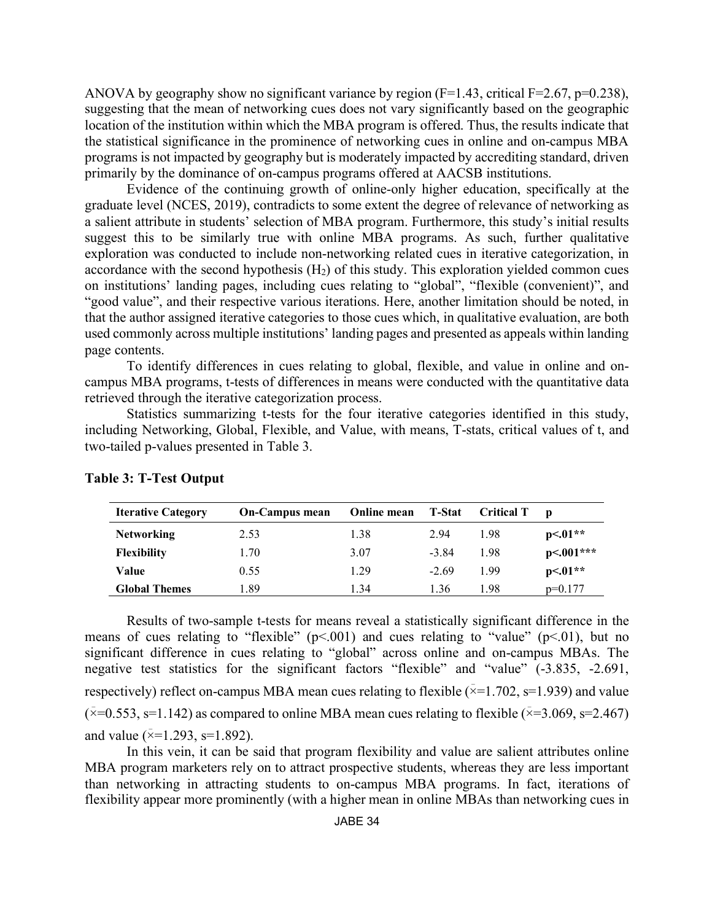ANOVA by geography show no significant variance by region  $(F=1.43$ , critical  $F=2.67$ ,  $p=0.238$ ), suggesting that the mean of networking cues does not vary significantly based on the geographic location of the institution within which the MBA program is offered. Thus, the results indicate that the statistical significance in the prominence of networking cues in online and on-campus MBA programs is not impacted by geography but is moderately impacted by accrediting standard, driven primarily by the dominance of on-campus programs offered at AACSB institutions.

Evidence of the continuing growth of online-only higher education, specifically at the graduate level (NCES, 2019), contradicts to some extent the degree of relevance of networking as a salient attribute in students' selection of MBA program. Furthermore, this study's initial results suggest this to be similarly true with online MBA programs. As such, further qualitative exploration was conducted to include non-networking related cues in iterative categorization, in accordance with the second hypothesis  $(H<sub>2</sub>)$  of this study. This exploration yielded common cues on institutions' landing pages, including cues relating to "global", "flexible (convenient)", and "good value", and their respective various iterations. Here, another limitation should be noted, in that the author assigned iterative categories to those cues which, in qualitative evaluation, are both used commonly across multiple institutions' landing pages and presented as appeals within landing page contents.

To identify differences in cues relating to global, flexible, and value in online and oncampus MBA programs, t-tests of differences in means were conducted with the quantitative data retrieved through the iterative categorization process.

Statistics summarizing t-tests for the four iterative categories identified in this study, including Networking, Global, Flexible, and Value, with means, T-stats, critical values of t, and two-tailed p-values presented in Table 3.

| <b>Iterative Category</b> | <b>On-Campus mean</b> | Online mean | T-Stat  | <b>Critical T</b> | D           |
|---------------------------|-----------------------|-------------|---------|-------------------|-------------|
| <b>Networking</b>         | 2.53                  | 1.38        | 2.94    | 1.98              | $p<.01**$   |
| <b>Flexibility</b>        | 1.70                  | 3.07        | $-3.84$ | 1.98              | $p<.001***$ |
| Value                     | 0.55                  | 1.29        | $-2.69$ | 199               | $p<01**$    |
| <b>Global Themes</b>      | . 89                  | 1.34        | 1.36    | 1.98              | $p=0.177$   |

#### **Table 3: T-Test Output**

Results of two-sample t-tests for means reveal a statistically significant difference in the means of cues relating to "flexible" ( $p$ <.001) and cues relating to "value" ( $p$ <.01), but no significant difference in cues relating to "global" across online and on-campus MBAs. The negative test statistics for the significant factors "flexible" and "value" (-3.835, -2.691, respectively) reflect on-campus MBA mean cues relating to flexible ( $\overline{x}$ =1.702, s=1.939) and value  $(\bar{x}=0.553, s=1.142)$  as compared to online MBA mean cues relating to flexible  $(\bar{x}=3.069, s=2.467)$ and value ( $\bar{x}$ =1.293, s=1.892).

In this vein, it can be said that program flexibility and value are salient attributes online MBA program marketers rely on to attract prospective students, whereas they are less important than networking in attracting students to on-campus MBA programs. In fact, iterations of flexibility appear more prominently (with a higher mean in online MBAs than networking cues in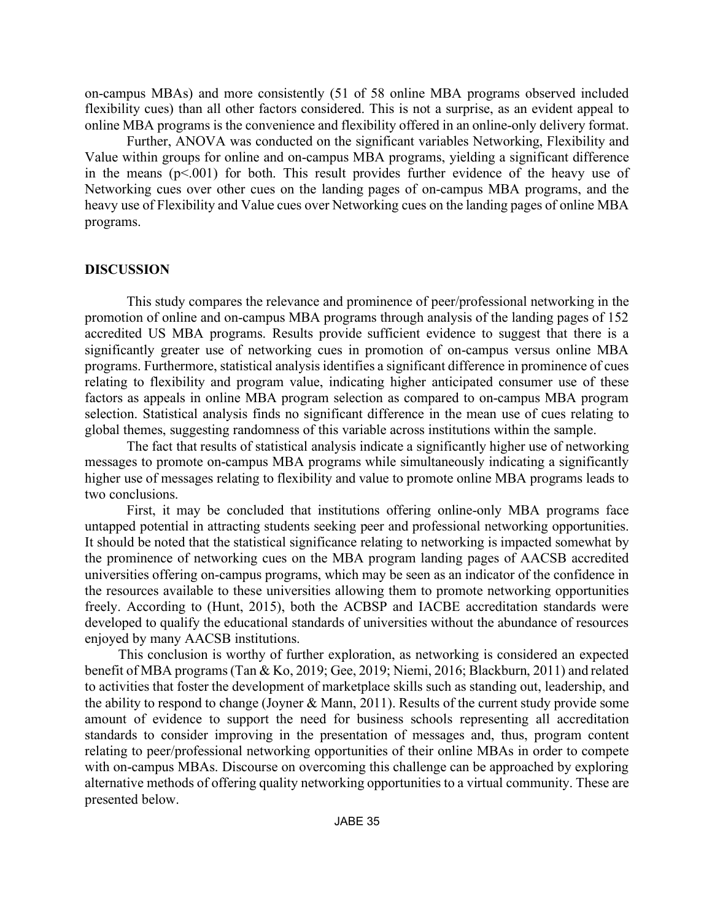on-campus MBAs) and more consistently (51 of 58 online MBA programs observed included flexibility cues) than all other factors considered. This is not a surprise, as an evident appeal to online MBA programs is the convenience and flexibility offered in an online-only delivery format.

Further, ANOVA was conducted on the significant variables Networking, Flexibility and Value within groups for online and on-campus MBA programs, yielding a significant difference in the means  $(p< 0.001)$  for both. This result provides further evidence of the heavy use of Networking cues over other cues on the landing pages of on-campus MBA programs, and the heavy use of Flexibility and Value cues over Networking cues on the landing pages of online MBA programs.

#### **DISCUSSION**

This study compares the relevance and prominence of peer/professional networking in the promotion of online and on-campus MBA programs through analysis of the landing pages of 152 accredited US MBA programs. Results provide sufficient evidence to suggest that there is a significantly greater use of networking cues in promotion of on-campus versus online MBA programs. Furthermore, statistical analysis identifies a significant difference in prominence of cues relating to flexibility and program value, indicating higher anticipated consumer use of these factors as appeals in online MBA program selection as compared to on-campus MBA program selection. Statistical analysis finds no significant difference in the mean use of cues relating to global themes, suggesting randomness of this variable across institutions within the sample.

The fact that results of statistical analysis indicate a significantly higher use of networking messages to promote on-campus MBA programs while simultaneously indicating a significantly higher use of messages relating to flexibility and value to promote online MBA programs leads to two conclusions.

First, it may be concluded that institutions offering online-only MBA programs face untapped potential in attracting students seeking peer and professional networking opportunities. It should be noted that the statistical significance relating to networking is impacted somewhat by the prominence of networking cues on the MBA program landing pages of AACSB accredited universities offering on-campus programs, which may be seen as an indicator of the confidence in the resources available to these universities allowing them to promote networking opportunities freely. According to (Hunt, 2015), both the ACBSP and IACBE accreditation standards were developed to qualify the educational standards of universities without the abundance of resources enjoyed by many AACSB institutions.

This conclusion is worthy of further exploration, as networking is considered an expected benefit of MBA programs (Tan & Ko, 2019; Gee, 2019; Niemi, 2016; Blackburn, 2011) and related to activities that foster the development of marketplace skills such as standing out, leadership, and the ability to respond to change (Joyner & Mann, 2011). Results of the current study provide some amount of evidence to support the need for business schools representing all accreditation standards to consider improving in the presentation of messages and, thus, program content relating to peer/professional networking opportunities of their online MBAs in order to compete with on-campus MBAs. Discourse on overcoming this challenge can be approached by exploring alternative methods of offering quality networking opportunities to a virtual community. These are presented below.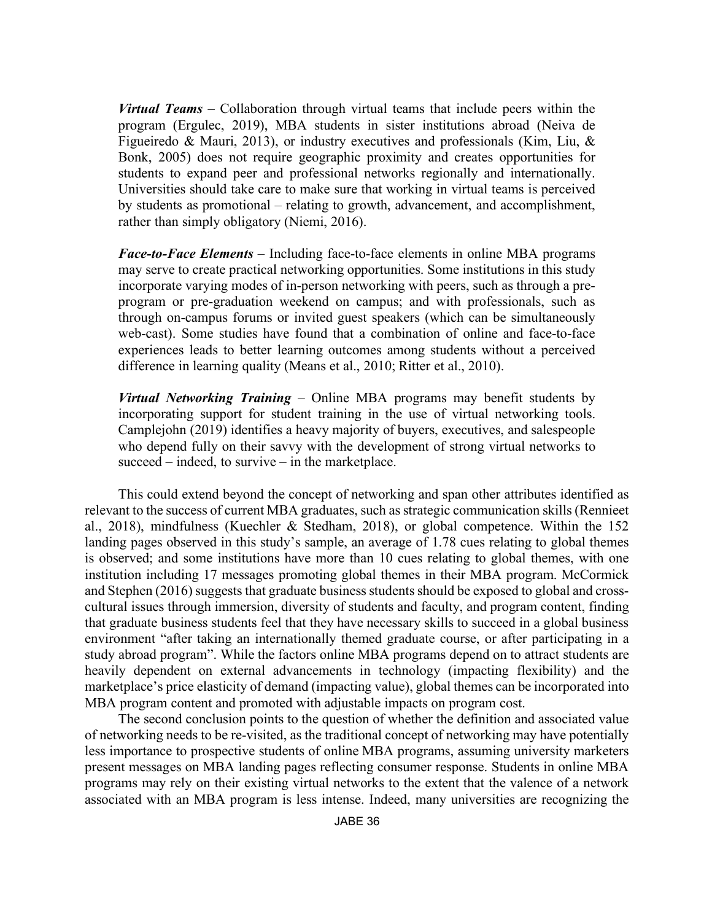*Virtual Teams* – Collaboration through virtual teams that include peers within the program (Ergulec, 2019), MBA students in sister institutions abroad (Neiva de Figueiredo & Mauri, 2013), or industry executives and professionals (Kim, Liu,  $\&$ Bonk, 2005) does not require geographic proximity and creates opportunities for students to expand peer and professional networks regionally and internationally. Universities should take care to make sure that working in virtual teams is perceived by students as promotional – relating to growth, advancement, and accomplishment, rather than simply obligatory (Niemi, 2016).

*Face-to-Face Elements* – Including face-to-face elements in online MBA programs may serve to create practical networking opportunities. Some institutions in this study incorporate varying modes of in-person networking with peers, such as through a preprogram or pre-graduation weekend on campus; and with professionals, such as through on-campus forums or invited guest speakers (which can be simultaneously web-cast). Some studies have found that a combination of online and face-to-face experiences leads to better learning outcomes among students without a perceived difference in learning quality (Means et al., 2010; Ritter et al., 2010).

*Virtual Networking Training* – Online MBA programs may benefit students by incorporating support for student training in the use of virtual networking tools. Camplejohn (2019) identifies a heavy majority of buyers, executives, and salespeople who depend fully on their savvy with the development of strong virtual networks to succeed – indeed, to survive – in the marketplace.

This could extend beyond the concept of networking and span other attributes identified as relevant to the success of current MBA graduates, such as strategic communication skills (Rennieet al., 2018), mindfulness (Kuechler & Stedham, 2018), or global competence. Within the 152 landing pages observed in this study's sample, an average of 1.78 cues relating to global themes is observed; and some institutions have more than 10 cues relating to global themes, with one institution including 17 messages promoting global themes in their MBA program. McCormick and Stephen (2016) suggests that graduate business students should be exposed to global and crosscultural issues through immersion, diversity of students and faculty, and program content, finding that graduate business students feel that they have necessary skills to succeed in a global business environment "after taking an internationally themed graduate course, or after participating in a study abroad program". While the factors online MBA programs depend on to attract students are heavily dependent on external advancements in technology (impacting flexibility) and the marketplace's price elasticity of demand (impacting value), global themes can be incorporated into MBA program content and promoted with adjustable impacts on program cost.

The second conclusion points to the question of whether the definition and associated value of networking needs to be re-visited, as the traditional concept of networking may have potentially less importance to prospective students of online MBA programs, assuming university marketers present messages on MBA landing pages reflecting consumer response. Students in online MBA programs may rely on their existing virtual networks to the extent that the valence of a network associated with an MBA program is less intense. Indeed, many universities are recognizing the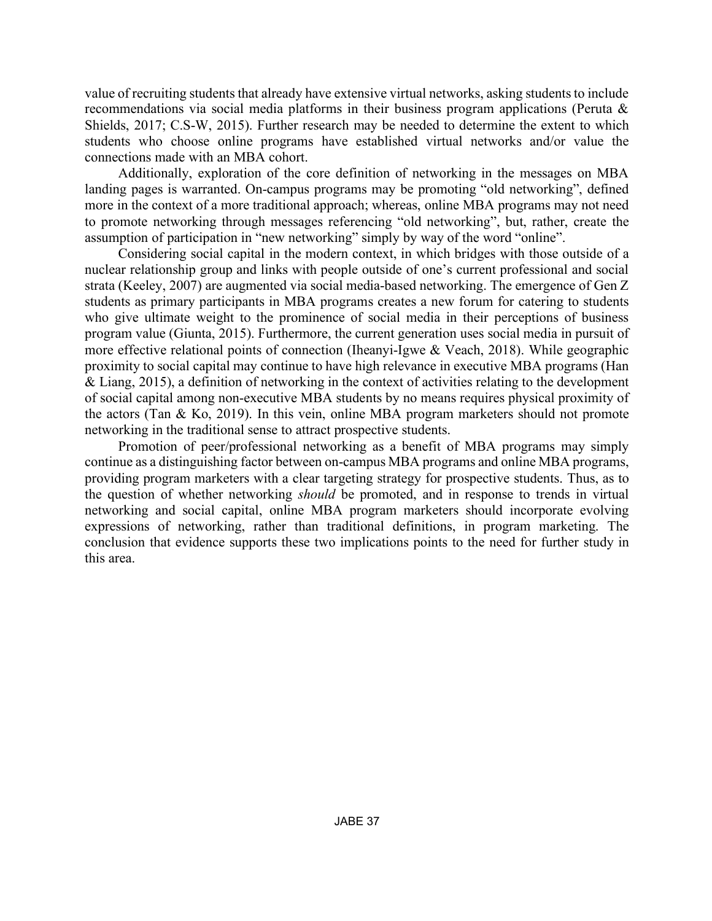value of recruiting students that already have extensive virtual networks, asking students to include recommendations via social media platforms in their business program applications (Peruta & Shields, 2017; C.S-W, 2015). Further research may be needed to determine the extent to which students who choose online programs have established virtual networks and/or value the connections made with an MBA cohort.

Additionally, exploration of the core definition of networking in the messages on MBA landing pages is warranted. On-campus programs may be promoting "old networking", defined more in the context of a more traditional approach; whereas, online MBA programs may not need to promote networking through messages referencing "old networking", but, rather, create the assumption of participation in "new networking" simply by way of the word "online".

Considering social capital in the modern context, in which bridges with those outside of a nuclear relationship group and links with people outside of one's current professional and social strata (Keeley, 2007) are augmented via social media-based networking. The emergence of Gen Z students as primary participants in MBA programs creates a new forum for catering to students who give ultimate weight to the prominence of social media in their perceptions of business program value (Giunta, 2015). Furthermore, the current generation uses social media in pursuit of more effective relational points of connection (Iheanyi-Igwe & Veach, 2018). While geographic proximity to social capital may continue to have high relevance in executive MBA programs (Han & Liang, 2015), a definition of networking in the context of activities relating to the development of social capital among non-executive MBA students by no means requires physical proximity of the actors (Tan & Ko, 2019). In this vein, online MBA program marketers should not promote networking in the traditional sense to attract prospective students.

Promotion of peer/professional networking as a benefit of MBA programs may simply continue as a distinguishing factor between on-campus MBA programs and online MBA programs, providing program marketers with a clear targeting strategy for prospective students. Thus, as to the question of whether networking *should* be promoted, and in response to trends in virtual networking and social capital, online MBA program marketers should incorporate evolving expressions of networking, rather than traditional definitions, in program marketing. The conclusion that evidence supports these two implications points to the need for further study in this area.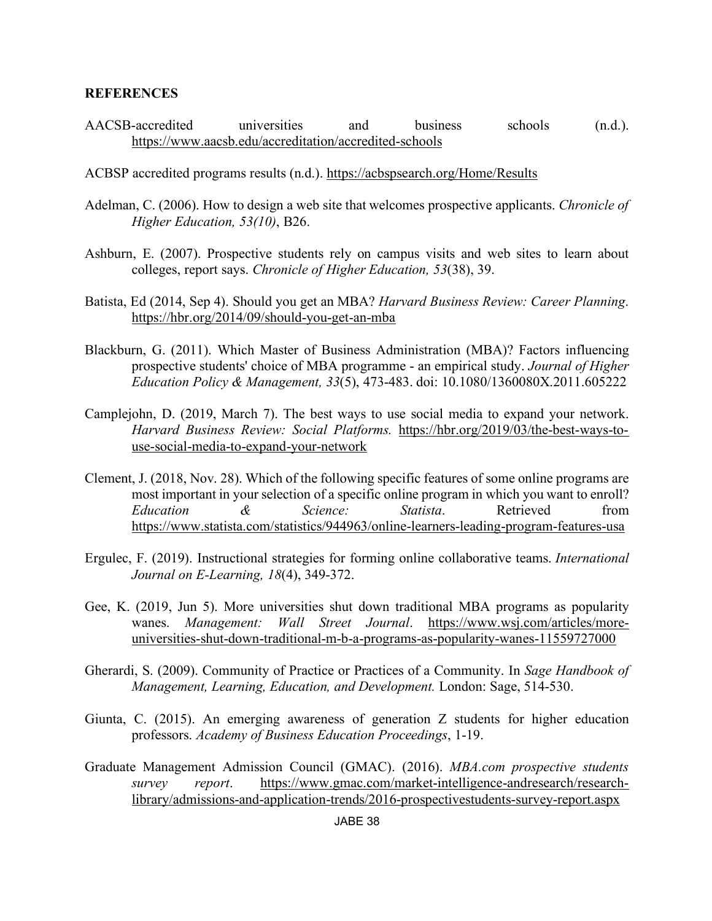#### **REFERENCES**

- AACSB-accredited universities and business schools (n.d.). https://www.aacsb.edu/accreditation/accredited-schools
- ACBSP accredited programs results (n.d.). https://acbspsearch.org/Home/Results
- Adelman, C. (2006). How to design a web site that welcomes prospective applicants. *Chronicle of Higher Education, 53(10)*, B26.
- Ashburn, E. (2007). Prospective students rely on campus visits and web sites to learn about colleges, report says. *Chronicle of Higher Education, 53*(38), 39.
- Batista, Ed (2014, Sep 4). Should you get an MBA? *Harvard Business Review: Career Planning*. https://hbr.org/2014/09/should-you-get-an-mba
- Blackburn, G. (2011). Which Master of Business Administration (MBA)? Factors influencing prospective students' choice of MBA programme - an empirical study. *Journal of Higher Education Policy & Management, 33*(5), 473-483. doi: 10.1080/1360080X.2011.605222
- Camplejohn, D. (2019, March 7). The best ways to use social media to expand your network. *Harvard Business Review: Social Platforms.* https://hbr.org/2019/03/the-best-ways-touse-social-media-to-expand-your-network
- Clement, J. (2018, Nov. 28). Which of the following specific features of some online programs are most important in your selection of a specific online program in which you want to enroll? *Education & Science: Statista*. Retrieved from https://www.statista.com/statistics/944963/online-learners-leading-program-features-usa
- Ergulec, F. (2019). Instructional strategies for forming online collaborative teams. *International Journal on E-Learning, 18*(4), 349-372.
- Gee, K. (2019, Jun 5). More universities shut down traditional MBA programs as popularity wanes. *Management: Wall Street Journal*. https://www.wsj.com/articles/moreuniversities-shut-down-traditional-m-b-a-programs-as-popularity-wanes-11559727000
- Gherardi, S. (2009). Community of Practice or Practices of a Community. In *Sage Handbook of Management, Learning, Education, and Development.* London: Sage, 514-530.
- Giunta, C. (2015). An emerging awareness of generation Z students for higher education professors. *Academy of Business Education Proceedings*, 1-19.
- Graduate Management Admission Council (GMAC). (2016). *MBA.com prospective students survey report*. https://www.gmac.com/market-intelligence-andresearch/researchlibrary/admissions-and-application-trends/2016-prospectivestudents-survey-report.aspx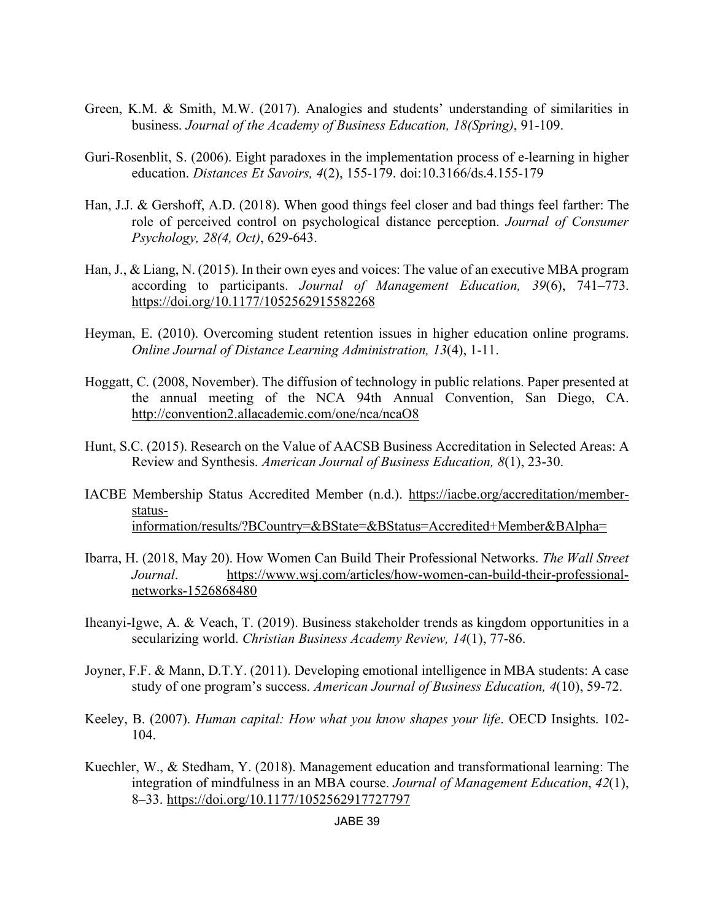- Green, K.M. & Smith, M.W. (2017). Analogies and students' understanding of similarities in business. *Journal of the Academy of Business Education, 18(Spring)*, 91-109.
- Guri-Rosenblit, S. (2006). Eight paradoxes in the implementation process of e-learning in higher education. *Distances Et Savoirs, 4*(2), 155-179. doi:10.3166/ds.4.155-179
- Han, J.J. & Gershoff, A.D. (2018). When good things feel closer and bad things feel farther: The role of perceived control on psychological distance perception. *Journal of Consumer Psychology, 28(4, Oct)*, 629-643.
- Han, J., & Liang, N. (2015). In their own eyes and voices: The value of an executive MBA program according to participants. *Journal of Management Education, 39*(6), 741–773. https://doi.org/10.1177/1052562915582268
- Heyman, E. (2010). Overcoming student retention issues in higher education online programs. *Online Journal of Distance Learning Administration, 13*(4), 1-11.
- Hoggatt, C. (2008, November). The diffusion of technology in public relations. Paper presented at the annual meeting of the NCA 94th Annual Convention, San Diego, CA. http://convention2.allacademic.com/one/nca/ncaO8
- Hunt, S.C. (2015). Research on the Value of AACSB Business Accreditation in Selected Areas: A Review and Synthesis. *American Journal of Business Education, 8*(1), 23-30.
- IACBE Membership Status Accredited Member (n.d.). https://iacbe.org/accreditation/memberstatusinformation/results/?BCountry=&BState=&BStatus=Accredited+Member&BAlpha=
- Ibarra, H. (2018, May 20). How Women Can Build Their Professional Networks. *The Wall Street Journal*. https://www.wsj.com/articles/how-women-can-build-their-professionalnetworks-1526868480
- Iheanyi-Igwe, A. & Veach, T. (2019). Business stakeholder trends as kingdom opportunities in a secularizing world. *Christian Business Academy Review, 14*(1), 77-86.
- Joyner, F.F. & Mann, D.T.Y. (2011). Developing emotional intelligence in MBA students: A case study of one program's success. *American Journal of Business Education, 4*(10), 59-72.
- Keeley, B. (2007). *Human capital: How what you know shapes your life*. OECD Insights. 102- 104.
- Kuechler, W., & Stedham, Y. (2018). Management education and transformational learning: The integration of mindfulness in an MBA course. *Journal of Management Education*, *42*(1), 8–33. https://doi.org/10.1177/1052562917727797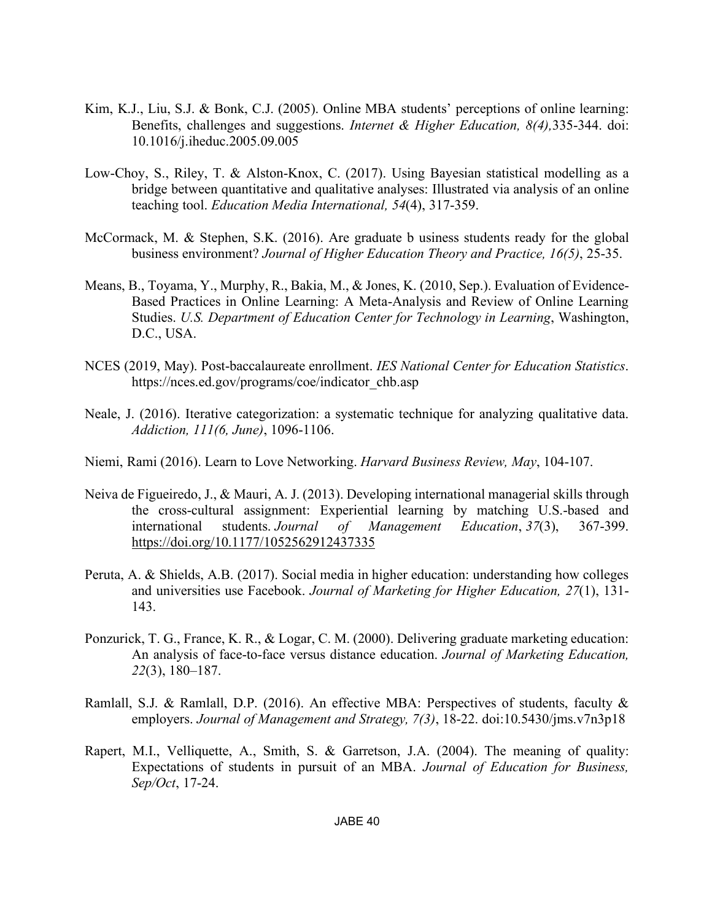- Kim, K.J., Liu, S.J. & Bonk, C.J. (2005). Online MBA students' perceptions of online learning: Benefits, challenges and suggestions. *Internet & Higher Education, 8(4),*335-344. doi: 10.1016/j.iheduc.2005.09.005
- Low-Choy, S., Riley, T. & Alston-Knox, C. (2017). Using Bayesian statistical modelling as a bridge between quantitative and qualitative analyses: Illustrated via analysis of an online teaching tool. *Education Media International, 54*(4), 317-359.
- McCormack, M. & Stephen, S.K. (2016). Are graduate b usiness students ready for the global business environment? *Journal of Higher Education Theory and Practice, 16(5)*, 25-35.
- Means, B., Toyama, Y., Murphy, R., Bakia, M., & Jones, K. (2010, Sep.). Evaluation of Evidence-Based Practices in Online Learning: A Meta-Analysis and Review of Online Learning Studies. *U.S. Department of Education Center for Technology in Learning*, Washington, D.C., USA.
- NCES (2019, May). Post-baccalaureate enrollment. *IES National Center for Education Statistics*. https://nces.ed.gov/programs/coe/indicator\_chb.asp
- Neale, J. (2016). Iterative categorization: a systematic technique for analyzing qualitative data. *Addiction, 111(6, June)*, 1096-1106.
- Niemi, Rami (2016). Learn to Love Networking. *Harvard Business Review, May*, 104-107.
- Neiva de Figueiredo, J., & Mauri, A. J. (2013). Developing international managerial skills through the cross-cultural assignment: Experiential learning by matching U.S.-based and international students. *Journal of Management Education*, *37*(3), 367-399. https://doi.org/10.1177/1052562912437335
- Peruta, A. & Shields, A.B. (2017). Social media in higher education: understanding how colleges and universities use Facebook. *Journal of Marketing for Higher Education, 27*(1), 131- 143.
- Ponzurick, T. G., France, K. R., & Logar, C. M. (2000). Delivering graduate marketing education: An analysis of face-to-face versus distance education. *Journal of Marketing Education, 22*(3), 180–187.
- Ramlall, S.J. & Ramlall, D.P. (2016). An effective MBA: Perspectives of students, faculty & employers. *Journal of Management and Strategy, 7(3)*, 18-22. doi:10.5430/jms.v7n3p18
- Rapert, M.I., Velliquette, A., Smith, S. & Garretson, J.A. (2004). The meaning of quality: Expectations of students in pursuit of an MBA. *Journal of Education for Business, Sep/Oct*, 17-24.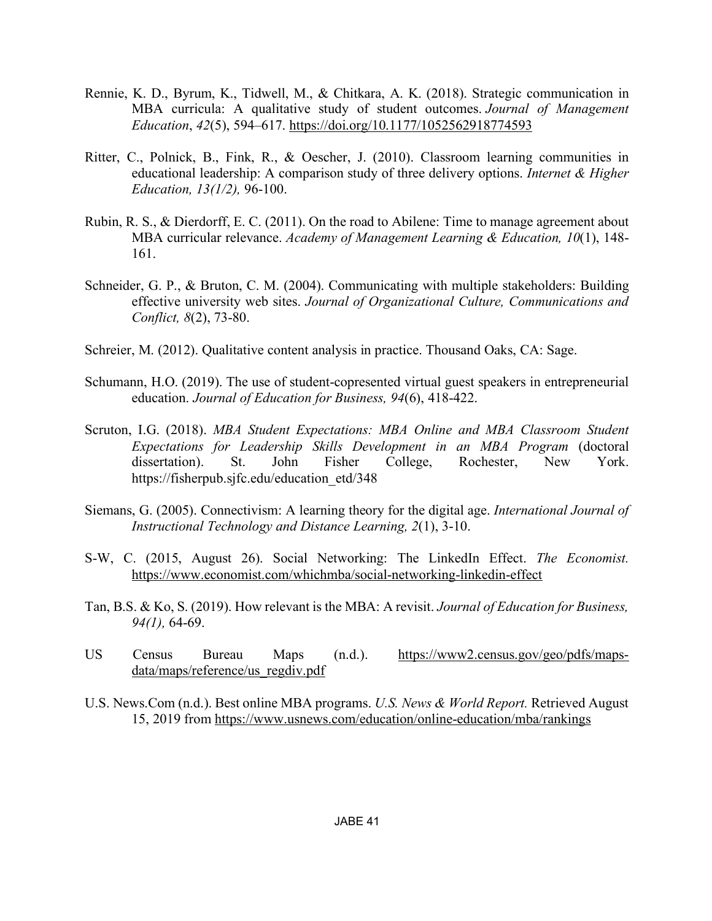- Rennie, K. D., Byrum, K., Tidwell, M., & Chitkara, A. K. (2018). Strategic communication in MBA curricula: A qualitative study of student outcomes. *Journal of Management Education*, *42*(5), 594–617. https://doi.org/10.1177/1052562918774593
- Ritter, C., Polnick, B., Fink, R., & Oescher, J. (2010). Classroom learning communities in educational leadership: A comparison study of three delivery options. *Internet & Higher Education, 13(1/2),* 96-100.
- Rubin, R. S., & Dierdorff, E. C. (2011). On the road to Abilene: Time to manage agreement about MBA curricular relevance. *Academy of Management Learning & Education, 10*(1), 148- 161.
- Schneider, G. P., & Bruton, C. M. (2004). Communicating with multiple stakeholders: Building effective university web sites. *Journal of Organizational Culture, Communications and Conflict, 8*(2), 73-80.
- Schreier, M. (2012). Qualitative content analysis in practice. Thousand Oaks, CA: Sage.
- Schumann, H.O. (2019). The use of student-copresented virtual guest speakers in entrepreneurial education. *Journal of Education for Business, 94*(6), 418-422.
- Scruton, I.G. (2018). *MBA Student Expectations: MBA Online and MBA Classroom Student Expectations for Leadership Skills Development in an MBA Program* (doctoral dissertation). St. John Fisher College, Rochester, New York. https://fisherpub.sjfc.edu/education\_etd/348
- Siemans, G. (2005). Connectivism: A learning theory for the digital age. *International Journal of Instructional Technology and Distance Learning, 2*(1), 3-10.
- S-W, C. (2015, August 26). Social Networking: The LinkedIn Effect. *The Economist.* https://www.economist.com/whichmba/social-networking-linkedin-effect
- Tan, B.S. & Ko, S. (2019). How relevant is the MBA: A revisit. *Journal of Education for Business, 94(1),* 64-69.
- US Census Bureau Maps (n.d.). https://www2.census.gov/geo/pdfs/mapsdata/maps/reference/us\_regdiv.pdf
- U.S. News.Com (n.d.). Best online MBA programs. *U.S. News & World Report.* Retrieved August 15, 2019 from https://www.usnews.com/education/online-education/mba/rankings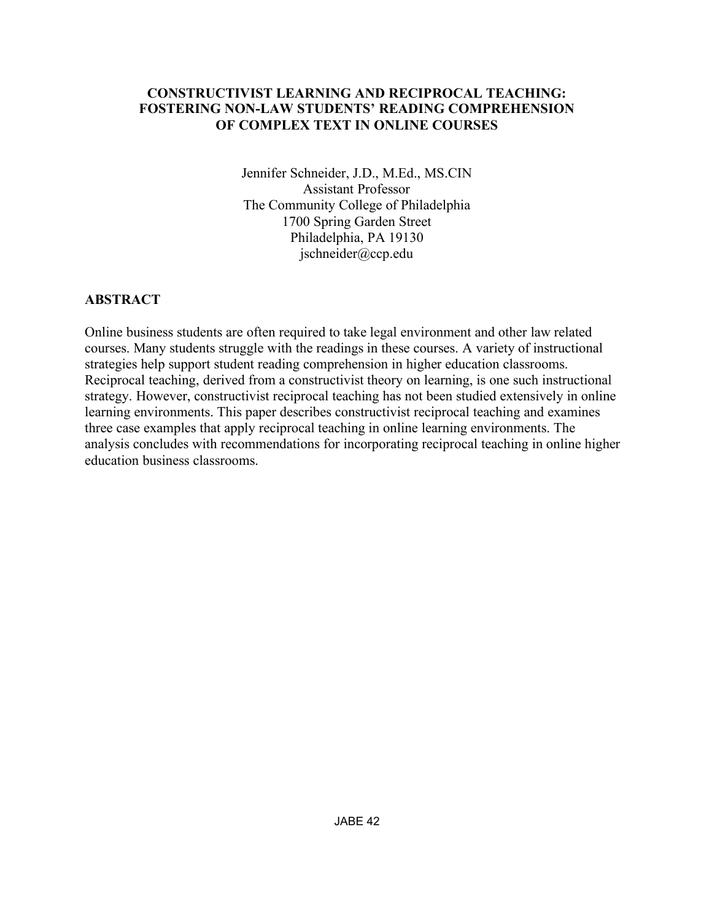# **CONSTRUCTIVIST LEARNING AND RECIPROCAL TEACHING: FOSTERING NON-LAW STUDENTS' READING COMPREHENSION OF COMPLEX TEXT IN ONLINE COURSES**

Jennifer Schneider, J.D., M.Ed., MS.CIN Assistant Professor The Community College of Philadelphia 1700 Spring Garden Street Philadelphia, PA 19130 jschneider@ccp.edu

# **ABSTRACT**

Online business students are often required to take legal environment and other law related courses. Many students struggle with the readings in these courses. A variety of instructional strategies help support student reading comprehension in higher education classrooms. Reciprocal teaching, derived from a constructivist theory on learning, is one such instructional strategy. However, constructivist reciprocal teaching has not been studied extensively in online learning environments. This paper describes constructivist reciprocal teaching and examines three case examples that apply reciprocal teaching in online learning environments. The analysis concludes with recommendations for incorporating reciprocal teaching in online higher education business classrooms.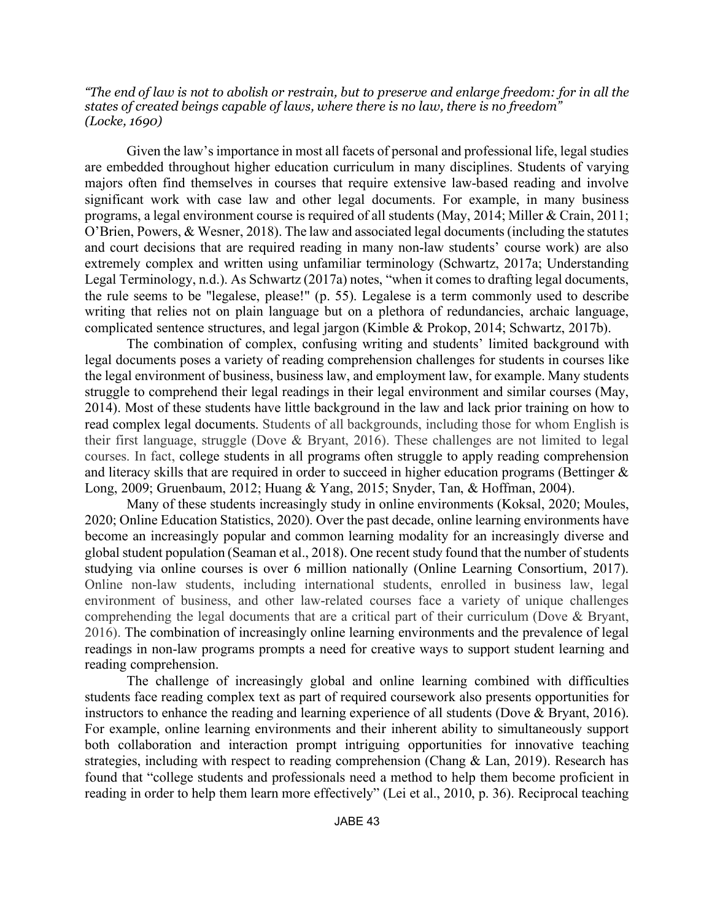*"The end of law is not to abolish or restrain, but to preserve and enlarge freedom: for in all the states of created beings capable of laws, where there is no law, there is no freedom" (Locke, 1690)*

Given the law's importance in most all facets of personal and professional life, legal studies are embedded throughout higher education curriculum in many disciplines. Students of varying majors often find themselves in courses that require extensive law-based reading and involve significant work with case law and other legal documents. For example, in many business programs, a legal environment course is required of all students (May, 2014; Miller & Crain, 2011; O'Brien, Powers, & Wesner, 2018). The law and associated legal documents(including the statutes and court decisions that are required reading in many non-law students' course work) are also extremely complex and written using unfamiliar terminology (Schwartz, 2017a; Understanding Legal Terminology, n.d.). As Schwartz (2017a) notes, "when it comes to drafting legal documents, the rule seems to be "legalese, please!" (p. 55). Legalese is a term commonly used to describe writing that relies not on plain language but on a plethora of redundancies, archaic language, complicated sentence structures, and legal jargon (Kimble & Prokop, 2014; Schwartz, 2017b).

The combination of complex, confusing writing and students' limited background with legal documents poses a variety of reading comprehension challenges for students in courses like the legal environment of business, business law, and employment law, for example. Many students struggle to comprehend their legal readings in their legal environment and similar courses (May, 2014). Most of these students have little background in the law and lack prior training on how to read complex legal documents. Students of all backgrounds, including those for whom English is their first language, struggle (Dove & Bryant, 2016). These challenges are not limited to legal courses. In fact, college students in all programs often struggle to apply reading comprehension and literacy skills that are required in order to succeed in higher education programs (Bettinger & Long, 2009; Gruenbaum, 2012; Huang & Yang, 2015; Snyder, Tan, & Hoffman, 2004).

Many of these students increasingly study in online environments (Koksal, 2020; Moules, 2020; Online Education Statistics, 2020). Over the past decade, online learning environments have become an increasingly popular and common learning modality for an increasingly diverse and global student population (Seaman et al., 2018). One recent study found that the number of students studying via online courses is over 6 million nationally (Online Learning Consortium, 2017). Online non-law students, including international students, enrolled in business law, legal environment of business, and other law-related courses face a variety of unique challenges comprehending the legal documents that are a critical part of their curriculum (Dove & Bryant, 2016). The combination of increasingly online learning environments and the prevalence of legal readings in non-law programs prompts a need for creative ways to support student learning and reading comprehension.

The challenge of increasingly global and online learning combined with difficulties students face reading complex text as part of required coursework also presents opportunities for instructors to enhance the reading and learning experience of all students (Dove & Bryant, 2016). For example, online learning environments and their inherent ability to simultaneously support both collaboration and interaction prompt intriguing opportunities for innovative teaching strategies, including with respect to reading comprehension (Chang & Lan, 2019). Research has found that "college students and professionals need a method to help them become proficient in reading in order to help them learn more effectively" (Lei et al., 2010, p. 36). Reciprocal teaching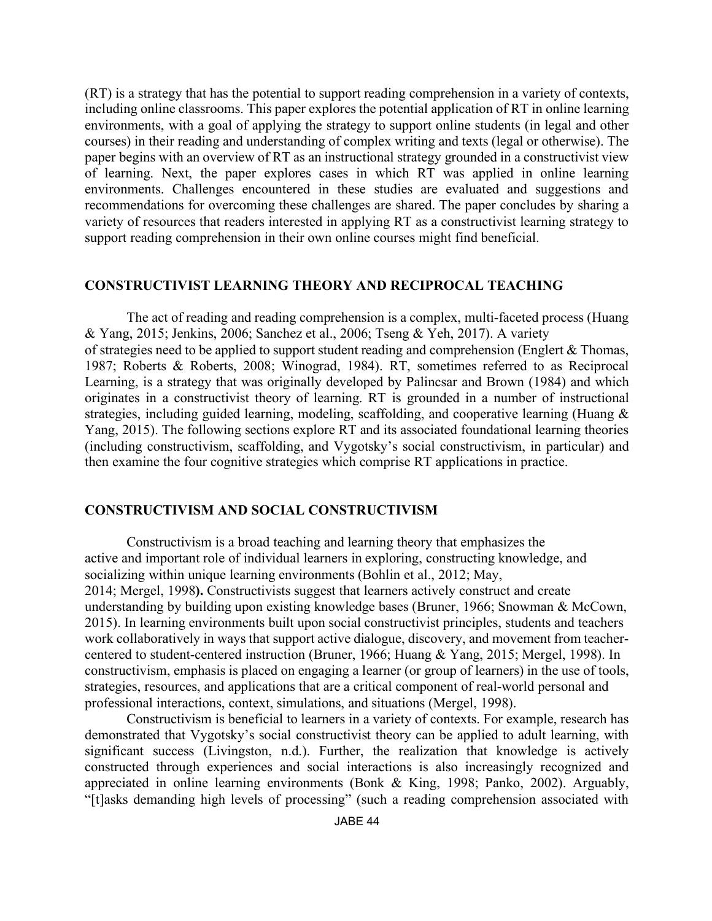(RT) is a strategy that has the potential to support reading comprehension in a variety of contexts, including online classrooms. This paper explores the potential application of RT in online learning environments, with a goal of applying the strategy to support online students (in legal and other courses) in their reading and understanding of complex writing and texts (legal or otherwise). The paper begins with an overview of RT as an instructional strategy grounded in a constructivist view of learning. Next, the paper explores cases in which RT was applied in online learning environments. Challenges encountered in these studies are evaluated and suggestions and recommendations for overcoming these challenges are shared. The paper concludes by sharing a variety of resources that readers interested in applying RT as a constructivist learning strategy to support reading comprehension in their own online courses might find beneficial.

### **CONSTRUCTIVIST LEARNING THEORY AND RECIPROCAL TEACHING**

The act of reading and reading comprehension is a complex, multi-faceted process (Huang & Yang, 2015; Jenkins, 2006; Sanchez et al., 2006; Tseng & Yeh, 2017). A variety of strategies need to be applied to support student reading and comprehension (Englert & Thomas, 1987; Roberts & Roberts, 2008; Winograd, 1984). RT, sometimes referred to as Reciprocal Learning, is a strategy that was originally developed by Palincsar and Brown (1984) and which originates in a constructivist theory of learning. RT is grounded in a number of instructional strategies, including guided learning, modeling, scaffolding, and cooperative learning (Huang & Yang, 2015). The following sections explore RT and its associated foundational learning theories (including constructivism, scaffolding, and Vygotsky's social constructivism, in particular) and then examine the four cognitive strategies which comprise RT applications in practice.

### **CONSTRUCTIVISM AND SOCIAL CONSTRUCTIVISM**

Constructivism is a broad teaching and learning theory that emphasizes the active and important role of individual learners in exploring, constructing knowledge, and socializing within unique learning environments (Bohlin et al., 2012; May, 2014; Mergel, 1998**).** Constructivists suggest that learners actively construct and create understanding by building upon existing knowledge bases (Bruner, 1966; Snowman & McCown, 2015). In learning environments built upon social constructivist principles, students and teachers work collaboratively in ways that support active dialogue, discovery, and movement from teachercentered to student-centered instruction (Bruner, 1966; Huang & Yang, 2015; Mergel, 1998). In constructivism, emphasis is placed on engaging a learner (or group of learners) in the use of tools, strategies, resources, and applications that are a critical component of real-world personal and professional interactions, context, simulations, and situations (Mergel, 1998).

Constructivism is beneficial to learners in a variety of contexts. For example, research has demonstrated that Vygotsky's social constructivist theory can be applied to adult learning, with significant success (Livingston, n.d.). Further, the realization that knowledge is actively constructed through experiences and social interactions is also increasingly recognized and appreciated in online learning environments (Bonk & King, 1998; Panko, 2002). Arguably, "[t]asks demanding high levels of processing" (such a reading comprehension associated with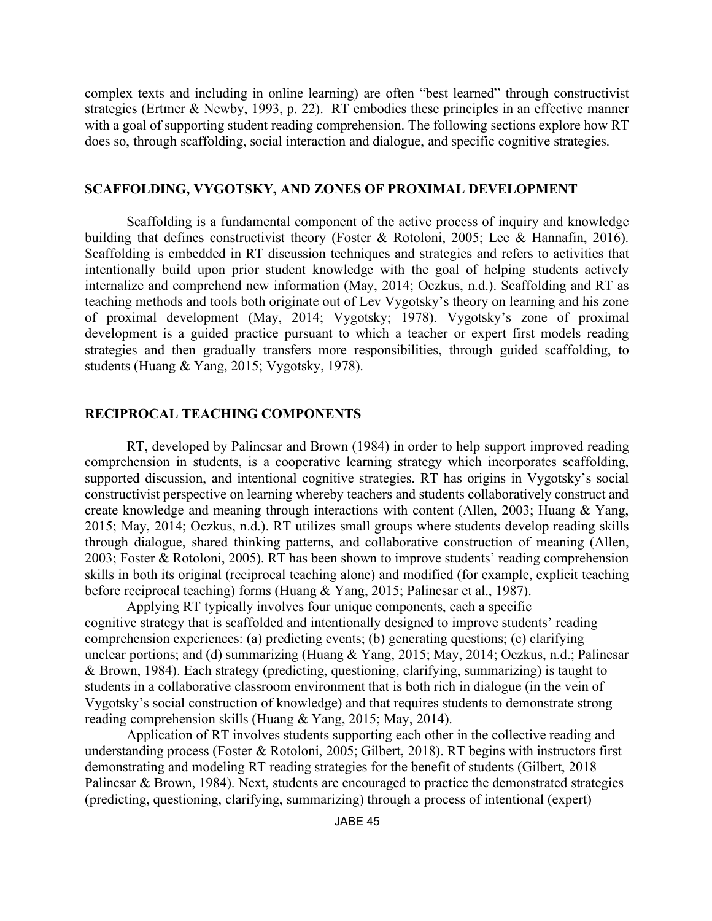complex texts and including in online learning) are often "best learned" through constructivist strategies (Ertmer & Newby, 1993, p. 22). RT embodies these principles in an effective manner with a goal of supporting student reading comprehension. The following sections explore how RT does so, through scaffolding, social interaction and dialogue, and specific cognitive strategies.

#### **SCAFFOLDING, VYGOTSKY, AND ZONES OF PROXIMAL DEVELOPMENT**

Scaffolding is a fundamental component of the active process of inquiry and knowledge building that defines constructivist theory (Foster & Rotoloni, 2005; Lee & Hannafin, 2016). Scaffolding is embedded in RT discussion techniques and strategies and refers to activities that intentionally build upon prior student knowledge with the goal of helping students actively internalize and comprehend new information (May, 2014; Oczkus, n.d.). Scaffolding and RT as teaching methods and tools both originate out of Lev Vygotsky's theory on learning and his zone of proximal development (May, 2014; Vygotsky; 1978). Vygotsky's zone of proximal development is a guided practice pursuant to which a teacher or expert first models reading strategies and then gradually transfers more responsibilities, through guided scaffolding, to students (Huang & Yang, 2015; Vygotsky, 1978).

#### **RECIPROCAL TEACHING COMPONENTS**

RT, developed by Palincsar and Brown (1984) in order to help support improved reading comprehension in students, is a cooperative learning strategy which incorporates scaffolding, supported discussion, and intentional cognitive strategies. RT has origins in Vygotsky's social constructivist perspective on learning whereby teachers and students collaboratively construct and create knowledge and meaning through interactions with content (Allen, 2003; Huang & Yang, 2015; May, 2014; Oczkus, n.d.). RT utilizes small groups where students develop reading skills through dialogue, shared thinking patterns, and collaborative construction of meaning (Allen, 2003; Foster & Rotoloni, 2005). RT has been shown to improve students' reading comprehension skills in both its original (reciprocal teaching alone) and modified (for example, explicit teaching before reciprocal teaching) forms (Huang & Yang, 2015; Palincsar et al., 1987).

Applying RT typically involves four unique components, each a specific cognitive strategy that is scaffolded and intentionally designed to improve students' reading comprehension experiences: (a) predicting events; (b) generating questions; (c) clarifying unclear portions; and (d) summarizing (Huang & Yang, 2015; May, 2014; Oczkus, n.d.; Palincsar & Brown, 1984). Each strategy (predicting, questioning, clarifying, summarizing) is taught to students in a collaborative classroom environment that is both rich in dialogue (in the vein of Vygotsky's social construction of knowledge) and that requires students to demonstrate strong reading comprehension skills (Huang & Yang, 2015; May, 2014).

Application of RT involves students supporting each other in the collective reading and understanding process (Foster & Rotoloni, 2005; Gilbert, 2018). RT begins with instructors first demonstrating and modeling RT reading strategies for the benefit of students (Gilbert, 2018 Palincsar & Brown, 1984). Next, students are encouraged to practice the demonstrated strategies (predicting, questioning, clarifying, summarizing) through a process of intentional (expert)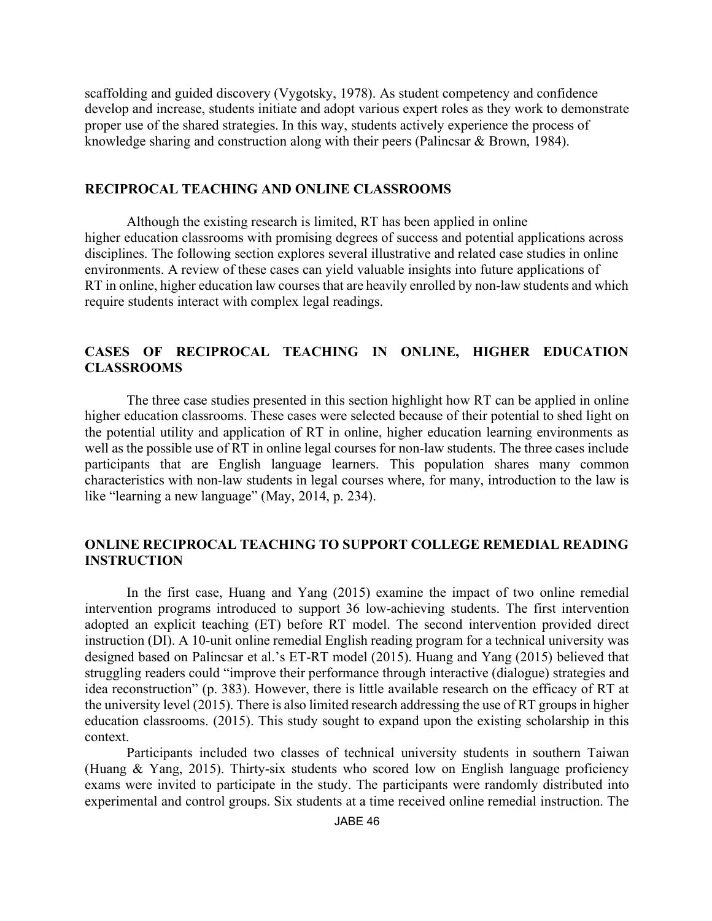scaffolding and guided discovery (Vygotsky, 1978). As student competency and confidence develop and increase, students initiate and adopt various expert roles as they work to demonstrate proper use of the shared strategies. In this way, students actively experience the process of knowledge sharing and construction along with their peers (Palincsar & Brown, 1984).

#### **RECIPROCAL TEACHING AND ONLINE CLASSROOMS**

Although the existing research is limited, RT has been applied in online higher education classrooms with promising degrees of success and potential applications across disciplines. The following section explores several illustrative and related case studies in online environments. A review of these cases can yield valuable insights into future applications of RT in online, higher education law courses that are heavily enrolled by non-law students and which require students interact with complex legal readings.

## **CASES OF RECIPROCAL TEACHING IN ONLINE, HIGHER EDUCATION CLASSROOMS**

The three case studies presented in this section highlight how RT can be applied in online higher education classrooms. These cases were selected because of their potential to shed light on the potential utility and application of RT in online, higher education learning environments as well as the possible use of RT in online legal courses for non-law students. The three cases include participants that are English language learners. This population shares many common characteristics with non-law students in legal courses where, for many, introduction to the law is like "learning a new language" (May, 2014, p. 234).

### **ONLINE RECIPROCAL TEACHING TO SUPPORT COLLEGE REMEDIAL READING INSTRUCTION**

In the first case, Huang and Yang (2015) examine the impact of two online remedial intervention programs introduced to support 36 low-achieving students. The first intervention adopted an explicit teaching (ET) before RT model. The second intervention provided direct instruction (DI). A 10-unit online remedial English reading program for a technical university was designed based on Palincsar et al.'s ET-RT model (2015). Huang and Yang (2015) believed that struggling readers could "improve their performance through interactive (dialogue) strategies and idea reconstruction" (p. 383). However, there is little available research on the efficacy of RT at the university level (2015). There is also limited research addressing the use of RT groups in higher education classrooms. (2015). This study sought to expand upon the existing scholarship in this context.

Participants included two classes of technical university students in southern Taiwan (Huang & Yang, 2015). Thirty-six students who scored low on English language proficiency exams were invited to participate in the study. The participants were randomly distributed into experimental and control groups. Six students at a time received online remedial instruction. The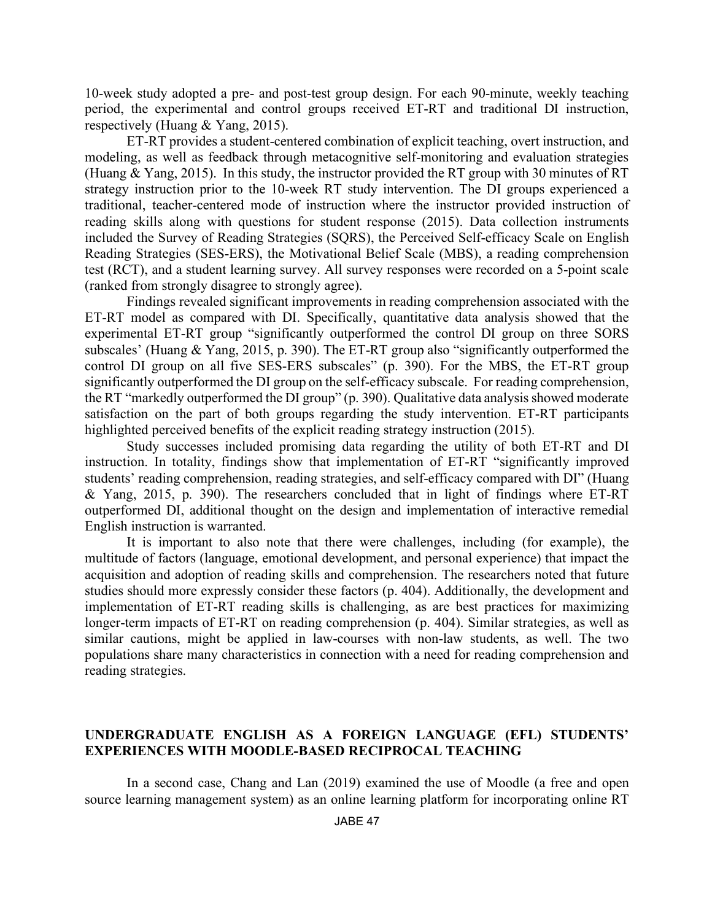10-week study adopted a pre- and post-test group design. For each 90-minute, weekly teaching period, the experimental and control groups received ET-RT and traditional DI instruction, respectively (Huang & Yang, 2015).

ET-RT provides a student-centered combination of explicit teaching, overt instruction, and modeling, as well as feedback through metacognitive self-monitoring and evaluation strategies (Huang & Yang, 2015). In this study, the instructor provided the RT group with 30 minutes of RT strategy instruction prior to the 10-week RT study intervention. The DI groups experienced a traditional, teacher-centered mode of instruction where the instructor provided instruction of reading skills along with questions for student response (2015). Data collection instruments included the Survey of Reading Strategies (SQRS), the Perceived Self-efficacy Scale on English Reading Strategies (SES-ERS), the Motivational Belief Scale (MBS), a reading comprehension test (RCT), and a student learning survey. All survey responses were recorded on a 5-point scale (ranked from strongly disagree to strongly agree).

Findings revealed significant improvements in reading comprehension associated with the ET-RT model as compared with DI. Specifically, quantitative data analysis showed that the experimental ET-RT group "significantly outperformed the control DI group on three SORS subscales' (Huang & Yang, 2015, p. 390). The ET-RT group also "significantly outperformed the control DI group on all five SES-ERS subscales" (p. 390). For the MBS, the ET-RT group significantly outperformed the DI group on the self-efficacy subscale. For reading comprehension, the RT "markedly outperformed the DI group" (p. 390). Qualitative data analysis showed moderate satisfaction on the part of both groups regarding the study intervention. ET-RT participants highlighted perceived benefits of the explicit reading strategy instruction (2015).

Study successes included promising data regarding the utility of both ET-RT and DI instruction. In totality, findings show that implementation of ET-RT "significantly improved students' reading comprehension, reading strategies, and self-efficacy compared with DI" (Huang & Yang, 2015, p. 390). The researchers concluded that in light of findings where ET-RT outperformed DI, additional thought on the design and implementation of interactive remedial English instruction is warranted.

It is important to also note that there were challenges, including (for example), the multitude of factors (language, emotional development, and personal experience) that impact the acquisition and adoption of reading skills and comprehension. The researchers noted that future studies should more expressly consider these factors (p. 404). Additionally, the development and implementation of ET-RT reading skills is challenging, as are best practices for maximizing longer-term impacts of ET-RT on reading comprehension (p. 404). Similar strategies, as well as similar cautions, might be applied in law-courses with non-law students, as well. The two populations share many characteristics in connection with a need for reading comprehension and reading strategies.

### **UNDERGRADUATE ENGLISH AS A FOREIGN LANGUAGE (EFL) STUDENTS' EXPERIENCES WITH MOODLE-BASED RECIPROCAL TEACHING**

In a second case, Chang and Lan (2019) examined the use of Moodle (a free and open source learning management system) as an online learning platform for incorporating online RT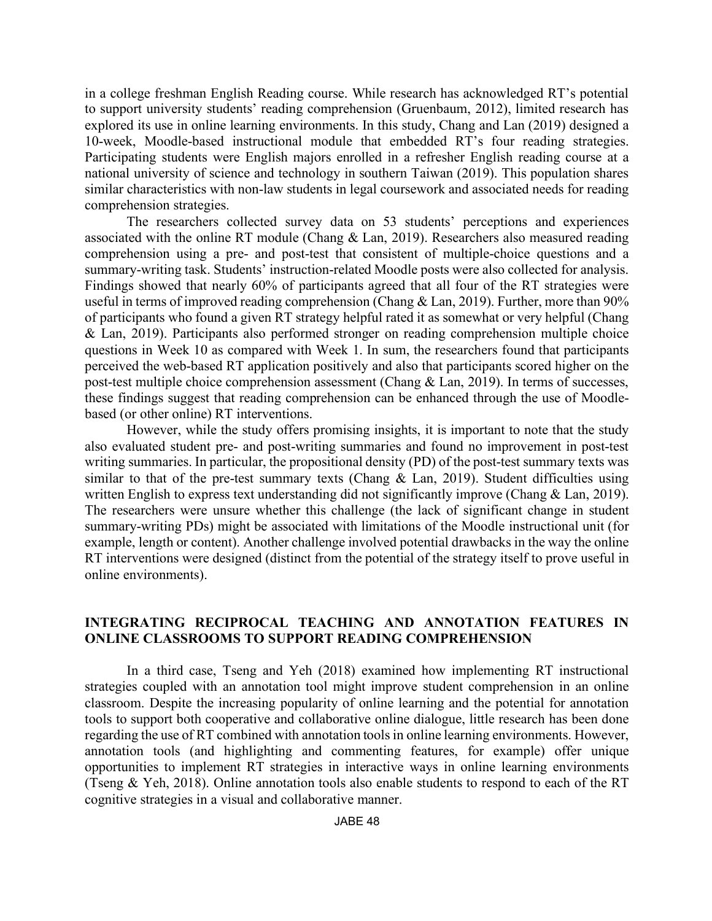in a college freshman English Reading course. While research has acknowledged RT's potential to support university students' reading comprehension (Gruenbaum, 2012), limited research has explored its use in online learning environments. In this study, Chang and Lan (2019) designed a 10-week, Moodle-based instructional module that embedded RT's four reading strategies. Participating students were English majors enrolled in a refresher English reading course at a national university of science and technology in southern Taiwan (2019). This population shares similar characteristics with non-law students in legal coursework and associated needs for reading comprehension strategies.

The researchers collected survey data on 53 students' perceptions and experiences associated with the online RT module (Chang & Lan, 2019). Researchers also measured reading comprehension using a pre- and post-test that consistent of multiple-choice questions and a summary-writing task. Students' instruction-related Moodle posts were also collected for analysis. Findings showed that nearly 60% of participants agreed that all four of the RT strategies were useful in terms of improved reading comprehension (Chang & Lan, 2019). Further, more than 90% of participants who found a given RT strategy helpful rated it as somewhat or very helpful (Chang & Lan, 2019). Participants also performed stronger on reading comprehension multiple choice questions in Week 10 as compared with Week 1. In sum, the researchers found that participants perceived the web-based RT application positively and also that participants scored higher on the post-test multiple choice comprehension assessment (Chang & Lan, 2019). In terms of successes, these findings suggest that reading comprehension can be enhanced through the use of Moodlebased (or other online) RT interventions.

However, while the study offers promising insights, it is important to note that the study also evaluated student pre- and post-writing summaries and found no improvement in post-test writing summaries. In particular, the propositional density (PD) of the post-test summary texts was similar to that of the pre-test summary texts (Chang & Lan, 2019). Student difficulties using written English to express text understanding did not significantly improve (Chang & Lan, 2019). The researchers were unsure whether this challenge (the lack of significant change in student summary-writing PDs) might be associated with limitations of the Moodle instructional unit (for example, length or content). Another challenge involved potential drawbacks in the way the online RT interventions were designed (distinct from the potential of the strategy itself to prove useful in online environments).

# **INTEGRATING RECIPROCAL TEACHING AND ANNOTATION FEATURES IN ONLINE CLASSROOMS TO SUPPORT READING COMPREHENSION**

In a third case, Tseng and Yeh (2018) examined how implementing RT instructional strategies coupled with an annotation tool might improve student comprehension in an online classroom. Despite the increasing popularity of online learning and the potential for annotation tools to support both cooperative and collaborative online dialogue, little research has been done regarding the use of RT combined with annotation tools in online learning environments. However, annotation tools (and highlighting and commenting features, for example) offer unique opportunities to implement RT strategies in interactive ways in online learning environments (Tseng & Yeh, 2018). Online annotation tools also enable students to respond to each of the RT cognitive strategies in a visual and collaborative manner.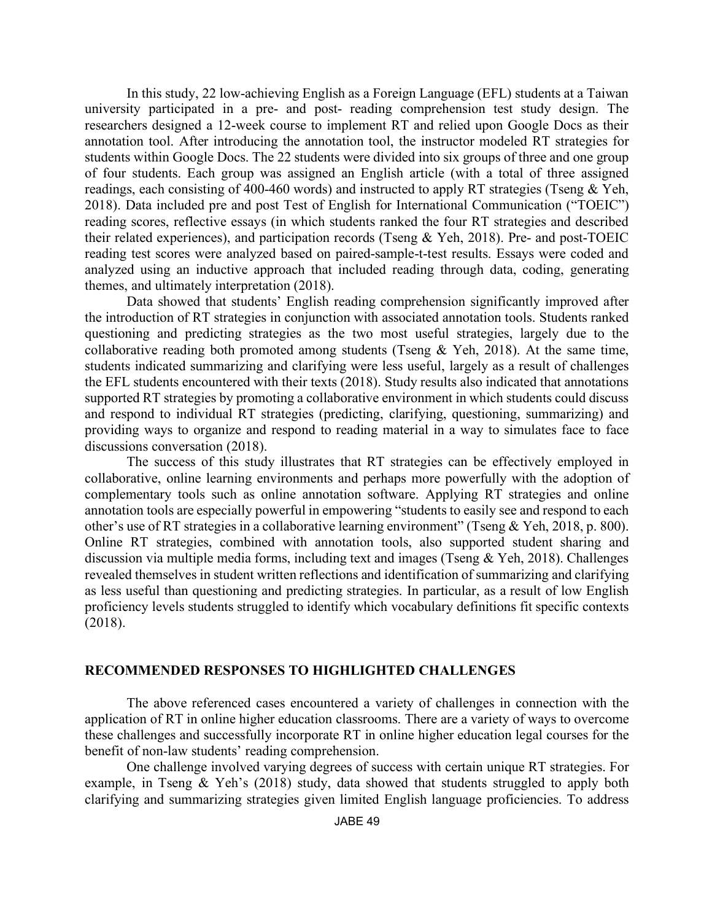In this study, 22 low-achieving English as a Foreign Language (EFL) students at a Taiwan university participated in a pre- and post- reading comprehension test study design. The researchers designed a 12-week course to implement RT and relied upon Google Docs as their annotation tool. After introducing the annotation tool, the instructor modeled RT strategies for students within Google Docs. The 22 students were divided into six groups of three and one group of four students. Each group was assigned an English article (with a total of three assigned readings, each consisting of 400-460 words) and instructed to apply RT strategies (Tseng & Yeh, 2018). Data included pre and post Test of English for International Communication ("TOEIC") reading scores, reflective essays (in which students ranked the four RT strategies and described their related experiences), and participation records (Tseng & Yeh, 2018). Pre- and post-TOEIC reading test scores were analyzed based on paired-sample-t-test results. Essays were coded and analyzed using an inductive approach that included reading through data, coding, generating themes, and ultimately interpretation (2018).

Data showed that students' English reading comprehension significantly improved after the introduction of RT strategies in conjunction with associated annotation tools. Students ranked questioning and predicting strategies as the two most useful strategies, largely due to the collaborative reading both promoted among students (Tseng  $& Yeh$ , 2018). At the same time, students indicated summarizing and clarifying were less useful, largely as a result of challenges the EFL students encountered with their texts (2018). Study results also indicated that annotations supported RT strategies by promoting a collaborative environment in which students could discuss and respond to individual RT strategies (predicting, clarifying, questioning, summarizing) and providing ways to organize and respond to reading material in a way to simulates face to face discussions conversation (2018).

The success of this study illustrates that RT strategies can be effectively employed in collaborative, online learning environments and perhaps more powerfully with the adoption of complementary tools such as online annotation software. Applying RT strategies and online annotation tools are especially powerful in empowering "students to easily see and respond to each other's use of RT strategies in a collaborative learning environment" (Tseng & Yeh, 2018, p. 800). Online RT strategies, combined with annotation tools, also supported student sharing and discussion via multiple media forms, including text and images (Tseng & Yeh, 2018). Challenges revealed themselves in student written reflections and identification of summarizing and clarifying as less useful than questioning and predicting strategies. In particular, as a result of low English proficiency levels students struggled to identify which vocabulary definitions fit specific contexts (2018).

### **RECOMMENDED RESPONSES TO HIGHLIGHTED CHALLENGES**

The above referenced cases encountered a variety of challenges in connection with the application of RT in online higher education classrooms. There are a variety of ways to overcome these challenges and successfully incorporate RT in online higher education legal courses for the benefit of non-law students' reading comprehension.

One challenge involved varying degrees of success with certain unique RT strategies. For example, in Tseng & Yeh's (2018) study, data showed that students struggled to apply both clarifying and summarizing strategies given limited English language proficiencies. To address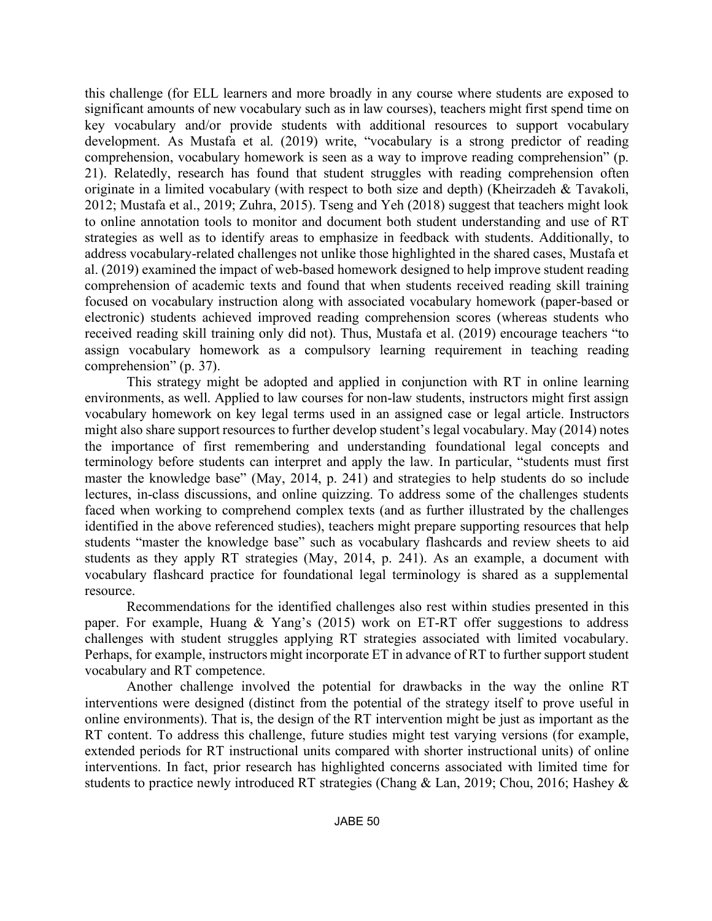this challenge (for ELL learners and more broadly in any course where students are exposed to significant amounts of new vocabulary such as in law courses), teachers might first spend time on key vocabulary and/or provide students with additional resources to support vocabulary development. As Mustafa et al. (2019) write, "vocabulary is a strong predictor of reading comprehension, vocabulary homework is seen as a way to improve reading comprehension" (p. 21). Relatedly, research has found that student struggles with reading comprehension often originate in a limited vocabulary (with respect to both size and depth) (Kheirzadeh & Tavakoli, 2012; Mustafa et al., 2019; Zuhra, 2015). Tseng and Yeh (2018) suggest that teachers might look to online annotation tools to monitor and document both student understanding and use of RT strategies as well as to identify areas to emphasize in feedback with students. Additionally, to address vocabulary-related challenges not unlike those highlighted in the shared cases, Mustafa et al. (2019) examined the impact of web-based homework designed to help improve student reading comprehension of academic texts and found that when students received reading skill training focused on vocabulary instruction along with associated vocabulary homework (paper-based or electronic) students achieved improved reading comprehension scores (whereas students who received reading skill training only did not). Thus, Mustafa et al. (2019) encourage teachers "to assign vocabulary homework as a compulsory learning requirement in teaching reading comprehension" (p. 37).

This strategy might be adopted and applied in conjunction with RT in online learning environments, as well. Applied to law courses for non-law students, instructors might first assign vocabulary homework on key legal terms used in an assigned case or legal article. Instructors might also share support resources to further develop student's legal vocabulary. May (2014) notes the importance of first remembering and understanding foundational legal concepts and terminology before students can interpret and apply the law. In particular, "students must first master the knowledge base" (May, 2014, p. 241) and strategies to help students do so include lectures, in-class discussions, and online quizzing. To address some of the challenges students faced when working to comprehend complex texts (and as further illustrated by the challenges identified in the above referenced studies), teachers might prepare supporting resources that help students "master the knowledge base" such as vocabulary flashcards and review sheets to aid students as they apply RT strategies (May, 2014, p. 241). As an example, a document with vocabulary flashcard practice for foundational legal terminology is shared as a supplemental resource.

Recommendations for the identified challenges also rest within studies presented in this paper. For example, Huang & Yang's (2015) work on ET-RT offer suggestions to address challenges with student struggles applying RT strategies associated with limited vocabulary. Perhaps, for example, instructors might incorporate ET in advance of RT to further support student vocabulary and RT competence.

Another challenge involved the potential for drawbacks in the way the online RT interventions were designed (distinct from the potential of the strategy itself to prove useful in online environments). That is, the design of the RT intervention might be just as important as the RT content. To address this challenge, future studies might test varying versions (for example, extended periods for RT instructional units compared with shorter instructional units) of online interventions. In fact, prior research has highlighted concerns associated with limited time for students to practice newly introduced RT strategies (Chang & Lan, 2019; Chou, 2016; Hashey &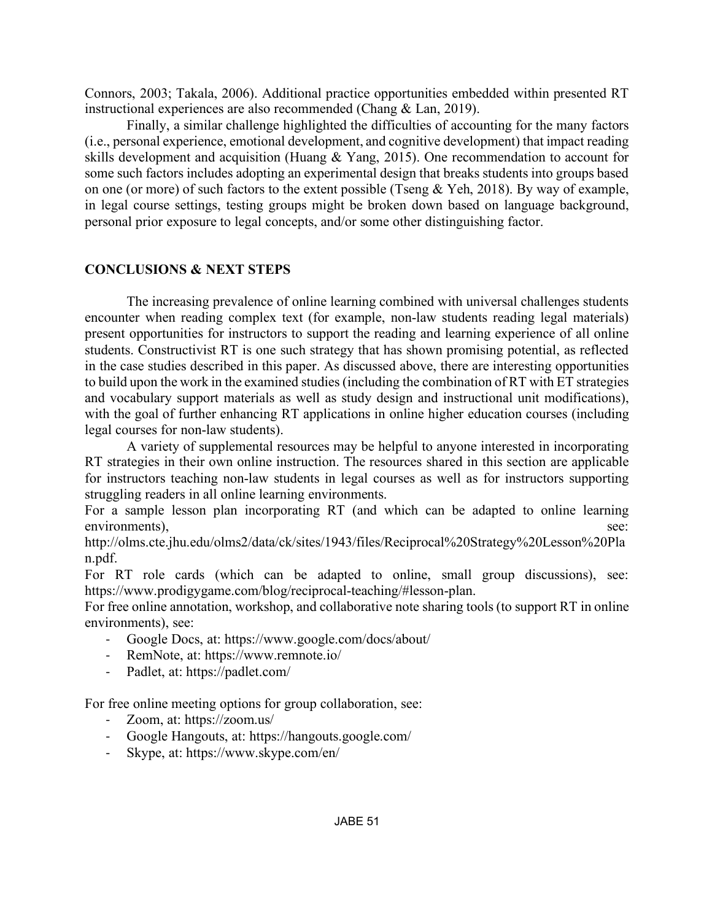Connors, 2003; Takala, 2006). Additional practice opportunities embedded within presented RT instructional experiences are also recommended (Chang & Lan, 2019).

Finally, a similar challenge highlighted the difficulties of accounting for the many factors (i.e., personal experience, emotional development, and cognitive development) that impact reading skills development and acquisition (Huang & Yang, 2015). One recommendation to account for some such factors includes adopting an experimental design that breaks students into groups based on one (or more) of such factors to the extent possible (Tseng & Yeh, 2018). By way of example, in legal course settings, testing groups might be broken down based on language background, personal prior exposure to legal concepts, and/or some other distinguishing factor.

## **CONCLUSIONS & NEXT STEPS**

The increasing prevalence of online learning combined with universal challenges students encounter when reading complex text (for example, non-law students reading legal materials) present opportunities for instructors to support the reading and learning experience of all online students. Constructivist RT is one such strategy that has shown promising potential, as reflected in the case studies described in this paper. As discussed above, there are interesting opportunities to build upon the work in the examined studies (including the combination of RT with ET strategies and vocabulary support materials as well as study design and instructional unit modifications), with the goal of further enhancing RT applications in online higher education courses (including legal courses for non-law students).

A variety of supplemental resources may be helpful to anyone interested in incorporating RT strategies in their own online instruction. The resources shared in this section are applicable for instructors teaching non-law students in legal courses as well as for instructors supporting struggling readers in all online learning environments.

For a sample lesson plan incorporating RT (and which can be adapted to online learning environments), see:

http://olms.cte.jhu.edu/olms2/data/ck/sites/1943/files/Reciprocal%20Strategy%20Lesson%20Pla n.pdf.

For RT role cards (which can be adapted to online, small group discussions), see: https://www.prodigygame.com/blog/reciprocal-teaching/#lesson-plan.

For free online annotation, workshop, and collaborative note sharing tools (to support RT in online environments), see:

- Google Docs, at: https://www.google.com/docs/about/
- RemNote, at: https://www.remnote.io/
- Padlet, at: https://padlet.com/

For free online meeting options for group collaboration, see:

- Zoom, at: https://zoom.us/
- Google Hangouts, at: https://hangouts.google.com/
- Skype, at: https://www.skype.com/en/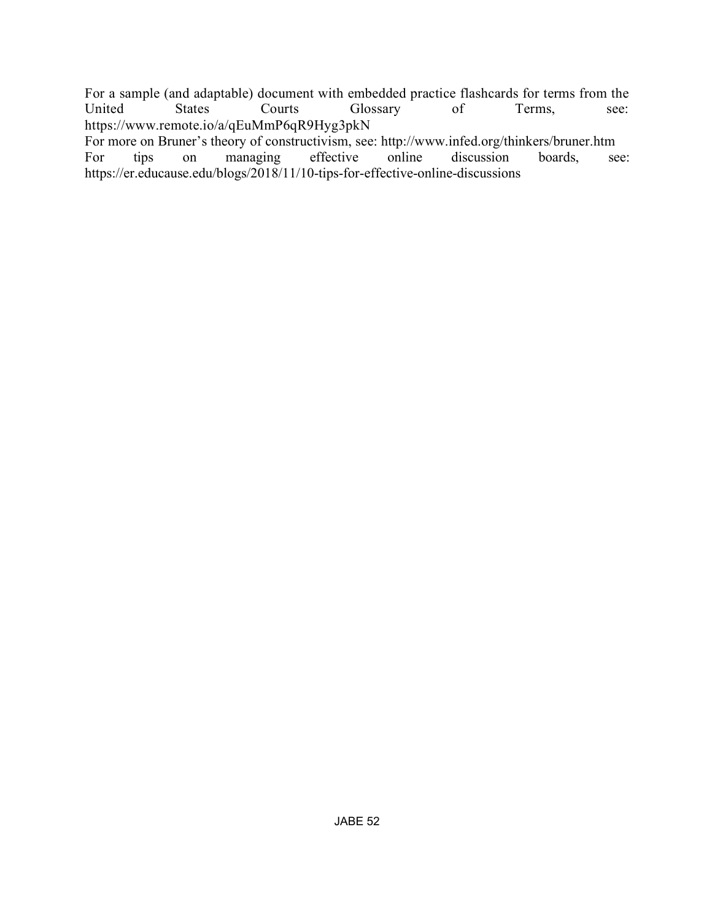For a sample (and adaptable) document with embedded practice flashcards for terms from the United States Courts Glossary of Terms, see: https://www.remote.io/a/qEuMmP6qR9Hyg3pkN

For more on Bruner's theory of constructivism, see: http://www.infed.org/thinkers/bruner.htm<br>For tips on managing effective online discussion boards, se For tips on managing effective online discussion boards, see: https://er.educause.edu/blogs/2018/11/10-tips-for-effective-online-discussions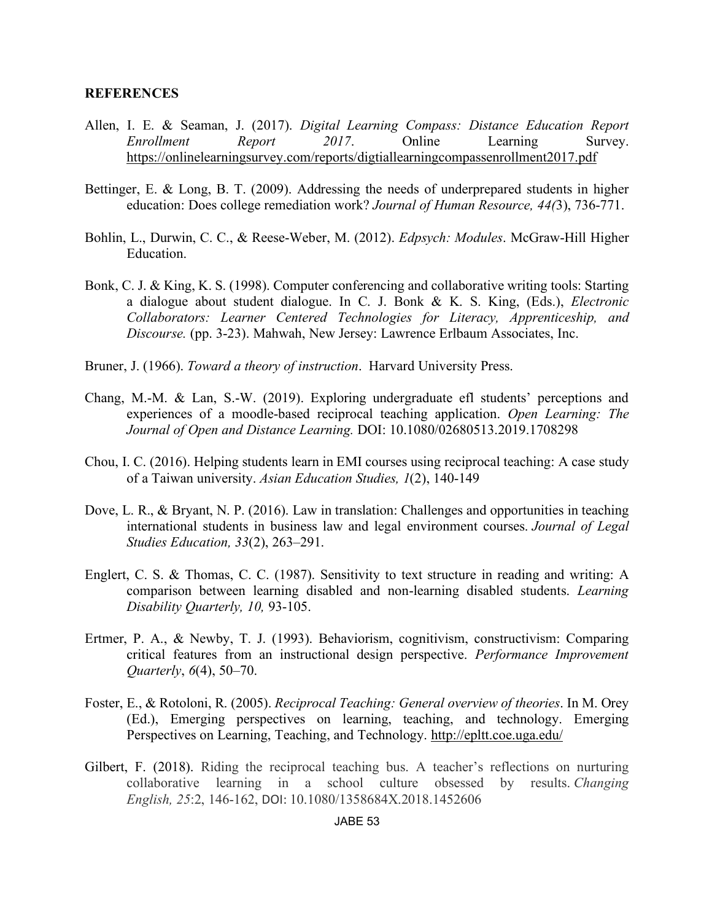#### **REFERENCES**

- Allen, I. E. & Seaman, J. (2017). *Digital Learning Compass: Distance Education Report Enrollment Report* 2017. Online Learning Survey. https://onlinelearningsurvey.com/reports/digtiallearningcompassenrollment2017.pdf
- Bettinger, E. & Long, B. T. (2009). Addressing the needs of underprepared students in higher education: Does college remediation work? *Journal of Human Resource, 44(*3), 736-771.
- Bohlin, L., Durwin, C. C., & Reese-Weber, M. (2012). *Edpsych: Modules*. McGraw-Hill Higher Education.
- Bonk, C. J. & King, K. S. (1998). Computer conferencing and collaborative writing tools: Starting a dialogue about student dialogue. In C. J. Bonk & K. S. King, (Eds.), *Electronic Collaborators: Learner Centered Technologies for Literacy, Apprenticeship, and Discourse.* (pp. 3-23). Mahwah, New Jersey: Lawrence Erlbaum Associates, Inc.
- Bruner, J. (1966). *Toward a theory of instruction*. Harvard University Press.
- Chang, M.-M. & Lan, S.-W. (2019). Exploring undergraduate efl students' perceptions and experiences of a moodle-based reciprocal teaching application. *Open Learning: The Journal of Open and Distance Learning.* DOI: 10.1080/02680513.2019.1708298
- Chou, I. C. (2016). Helping students learn in EMI courses using reciprocal teaching: A case study of a Taiwan university. *Asian Education Studies, 1*(2), 140-149
- Dove, L. R., & Bryant, N. P. (2016). Law in translation: Challenges and opportunities in teaching international students in business law and legal environment courses. *Journal of Legal Studies Education, 33*(2), 263–291.
- Englert, C. S. & Thomas, C. C. (1987). Sensitivity to text structure in reading and writing: A comparison between learning disabled and non-learning disabled students. *Learning Disability Quarterly, 10,* 93-105.
- Ertmer, P. A., & Newby, T. J. (1993). Behaviorism, cognitivism, constructivism: Comparing critical features from an instructional design perspective. *Performance Improvement Quarterly*, *6*(4), 50–70.
- Foster, E., & Rotoloni, R. (2005). *Reciprocal Teaching: General overview of theories*. In M. Orey (Ed.), Emerging perspectives on learning, teaching, and technology. Emerging Perspectives on Learning, Teaching, and Technology. http://epltt.coe.uga.edu/
- Gilbert, F. (2018). Riding the reciprocal teaching bus. A teacher's reflections on nurturing collaborative learning in a school culture obsessed by results. *Changing English, 25*:2, 146-162, DOI: 10.1080/1358684X.2018.1452606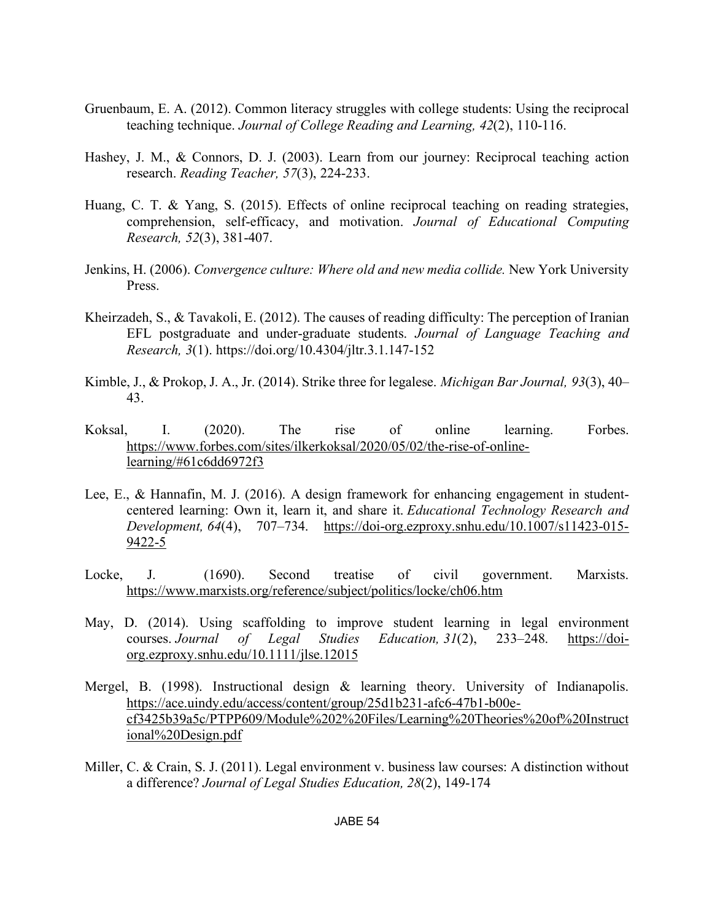- Gruenbaum, E. A. (2012). Common literacy struggles with college students: Using the reciprocal teaching technique. *Journal of College Reading and Learning, 42*(2), 110-116.
- Hashey, J. M., & Connors, D. J. (2003). Learn from our journey: Reciprocal teaching action research. *Reading Teacher, 57*(3), 224-233.
- Huang, C. T. & Yang, S. (2015). Effects of online reciprocal teaching on reading strategies, comprehension, self-efficacy, and motivation. *Journal of Educational Computing Research, 52*(3), 381-407.
- Jenkins, H. (2006). *Convergence culture: Where old and new media collide.* New York University Press.
- Kheirzadeh, S., & Tavakoli, E. (2012). The causes of reading difficulty: The perception of Iranian EFL postgraduate and under-graduate students. *Journal of Language Teaching and Research, 3*(1). https://doi.org/10.4304/jltr.3.1.147-152
- Kimble, J., & Prokop, J. A., Jr. (2014). Strike three for legalese. *Michigan Bar Journal, 93*(3), 40– 43.
- Koksal, I. (2020). The rise of online learning. Forbes. https://www.forbes.com/sites/ilkerkoksal/2020/05/02/the-rise-of-onlinelearning/#61c6dd6972f3
- Lee, E., & Hannafin, M. J. (2016). A design framework for enhancing engagement in studentcentered learning: Own it, learn it, and share it. *Educational Technology Research and Development, 64*(4), 707–734. https://doi-org.ezproxy.snhu.edu/10.1007/s11423-015- 9422-5
- Locke, J. (1690). Second treatise of civil government. Marxists. https://www.marxists.org/reference/subject/politics/locke/ch06.htm
- May, D. (2014). Using scaffolding to improve student learning in legal environment courses. *Journal of Legal Studies Education, 31*(2), 233–248. https://doiorg.ezproxy.snhu.edu/10.1111/jlse.12015
- Mergel, B. (1998). Instructional design & learning theory. University of Indianapolis. https://ace.uindy.edu/access/content/group/25d1b231-afc6-47b1-b00ecf3425b39a5c/PTPP609/Module%202%20Files/Learning%20Theories%20of%20Instruct ional%20Design.pdf
- Miller, C. & Crain, S. J. (2011). Legal environment v. business law courses: A distinction without a difference? *Journal of Legal Studies Education, 28*(2), 149-174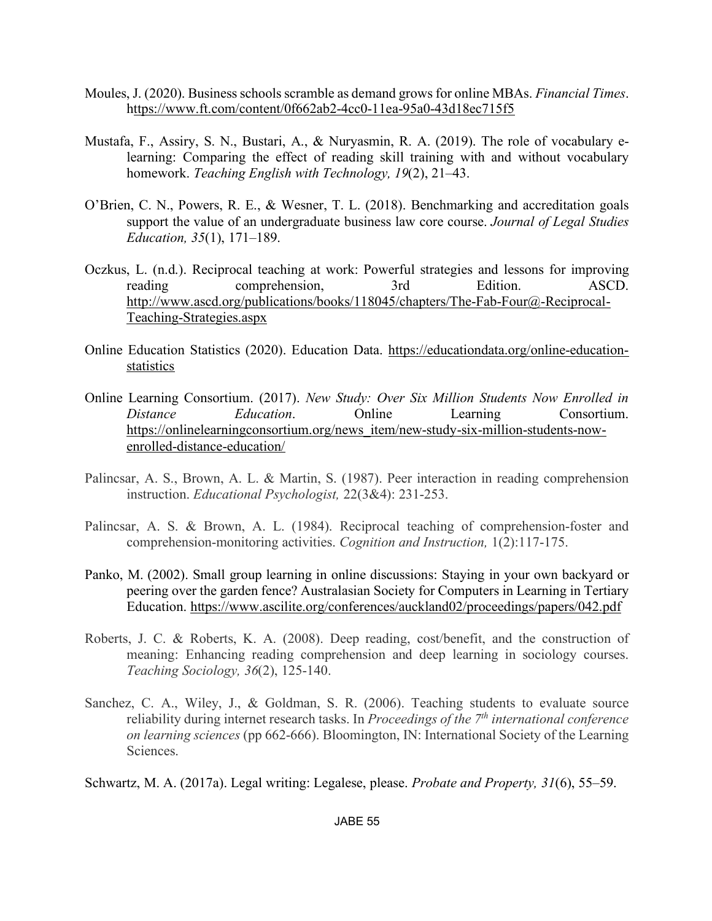- Moules, J. (2020). Business schools scramble as demand grows for online MBAs. *Financial Times*. https://www.ft.com/content/0f662ab2-4cc0-11ea-95a0-43d18ec715f5
- Mustafa, F., Assiry, S. N., Bustari, A., & Nuryasmin, R. A. (2019). The role of vocabulary elearning: Comparing the effect of reading skill training with and without vocabulary homework. *Teaching English with Technology, 19*(2), 21–43.
- O'Brien, C. N., Powers, R. E., & Wesner, T. L. (2018). Benchmarking and accreditation goals support the value of an undergraduate business law core course. *Journal of Legal Studies Education, 35*(1), 171–189.
- Oczkus, L. (n.d.). Reciprocal teaching at work: Powerful strategies and lessons for improving reading comprehension, 3rd Edition. ASCD. http://www.ascd.org/publications/books/118045/chapters/The-Fab-Four@-Reciprocal-Teaching-Strategies.aspx
- Online Education Statistics (2020). Education Data. https://educationdata.org/online-educationstatistics
- Online Learning Consortium. (2017). *New Study: Over Six Million Students Now Enrolled in Distance Education*. Online Learning Consortium. https://onlinelearningconsortium.org/news\_item/new-study-six-million-students-nowenrolled-distance-education/
- Palincsar, A. S., Brown, A. L. & Martin, S. (1987). Peer interaction in reading comprehension instruction. *Educational Psychologist,* 22(3&4): 231-253.
- Palincsar, A. S. & Brown, A. L. (1984). Reciprocal teaching of comprehension-foster and comprehension-monitoring activities. *Cognition and Instruction,* 1(2):117-175.
- Panko, M. (2002). Small group learning in online discussions: Staying in your own backyard or peering over the garden fence? Australasian Society for Computers in Learning in Tertiary Education. https://www.ascilite.org/conferences/auckland02/proceedings/papers/042.pdf
- Roberts, J. C. & Roberts, K. A. (2008). Deep reading, cost/benefit, and the construction of meaning: Enhancing reading comprehension and deep learning in sociology courses. *Teaching Sociology, 36*(2), 125-140.
- Sanchez, C. A., Wiley, J., & Goldman, S. R. (2006). Teaching students to evaluate source reliability during internet research tasks. In *Proceedings of the 7th international conference on learning sciences* (pp 662-666). Bloomington, IN: International Society of the Learning **Sciences**

Schwartz, M. A. (2017a). Legal writing: Legalese, please. *Probate and Property, 31*(6), 55–59.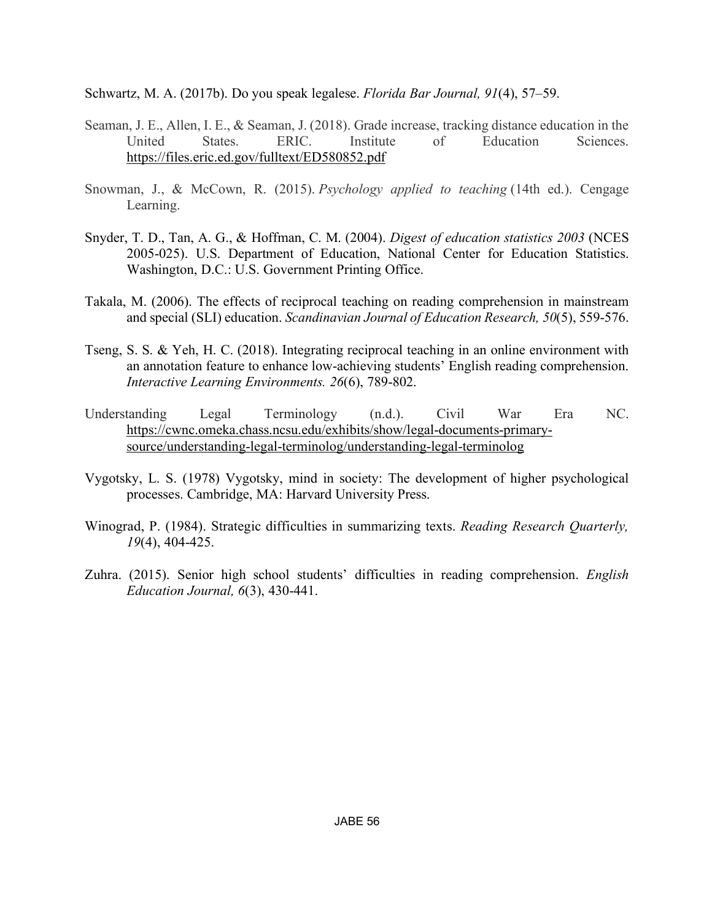Schwartz, M. A. (2017b). Do you speak legalese. *Florida Bar Journal, 91*(4), 57–59.

- Seaman, J. E., Allen, I. E., & Seaman, J. (2018). Grade increase, tracking distance education in the United States. ERIC. Institute of Education Sciences. https://files.eric.ed.gov/fulltext/ED580852.pdf
- Snowman, J., & McCown, R. (2015). *Psychology applied to teaching* (14th ed.). Cengage Learning.
- Snyder, T. D., Tan, A. G., & Hoffman, C. M. (2004). *Digest of education statistics 2003* (NCES 2005-025). U.S. Department of Education, National Center for Education Statistics. Washington, D.C.: U.S. Government Printing Office.
- Takala, M. (2006). The effects of reciprocal teaching on reading comprehension in mainstream and special (SLI) education. *Scandinavian Journal of Education Research, 50*(5), 559-576.
- Tseng, S. S. & Yeh, H. C. (2018). Integrating reciprocal teaching in an online environment with an annotation feature to enhance low-achieving students' English reading comprehension. *Interactive Learning Environments. 26*(6), 789-802.
- Understanding Legal Terminology (n.d.). Civil War Era NC. https://cwnc.omeka.chass.ncsu.edu/exhibits/show/legal-documents-primarysource/understanding-legal-terminolog/understanding-legal-terminolog
- Vygotsky, L. S. (1978) Vygotsky, mind in society: The development of higher psychological processes. Cambridge, MA: Harvard University Press.
- Winograd, P. (1984). Strategic difficulties in summarizing texts. *Reading Research Quarterly, 19*(4), 404-425.
- Zuhra. (2015). Senior high school students' difficulties in reading comprehension. *English Education Journal, 6*(3), 430-441.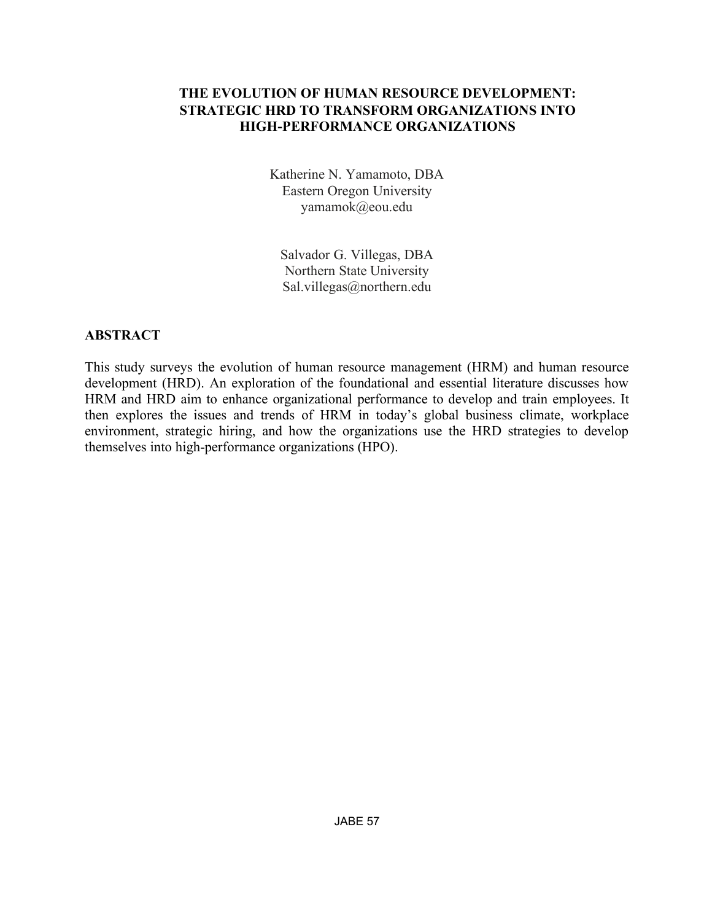# **THE EVOLUTION OF HUMAN RESOURCE DEVELOPMENT: STRATEGIC HRD TO TRANSFORM ORGANIZATIONS INTO HIGH-PERFORMANCE ORGANIZATIONS**

Katherine N. Yamamoto, DBA Eastern Oregon University yamamok@eou.edu

Salvador G. Villegas, DBA Northern State University Sal.villegas@northern.edu

# **ABSTRACT**

This study surveys the evolution of human resource management (HRM) and human resource development (HRD). An exploration of the foundational and essential literature discusses how HRM and HRD aim to enhance organizational performance to develop and train employees. It then explores the issues and trends of HRM in today's global business climate, workplace environment, strategic hiring, and how the organizations use the HRD strategies to develop themselves into high-performance organizations (HPO).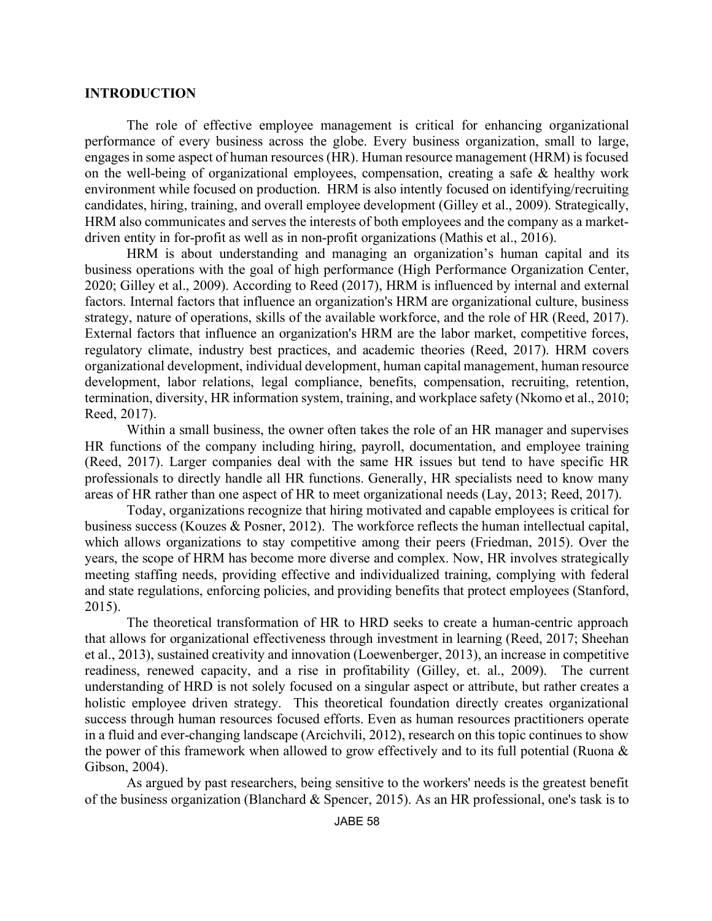#### **INTRODUCTION**

The role of effective employee management is critical for enhancing organizational performance of every business across the globe. Every business organization, small to large, engages in some aspect of human resources (HR). Human resource management (HRM) is focused on the well-being of organizational employees, compensation, creating a safe & healthy work environment while focused on production. HRM is also intently focused on identifying/recruiting candidates, hiring, training, and overall employee development (Gilley et al., 2009). Strategically, HRM also communicates and serves the interests of both employees and the company as a marketdriven entity in for-profit as well as in non-profit organizations (Mathis et al., 2016).

HRM is about understanding and managing an organization's human capital and its business operations with the goal of high performance (High Performance Organization Center, 2020; Gilley et al., 2009). According to Reed (2017), HRM is influenced by internal and external factors. Internal factors that influence an organization's HRM are organizational culture, business strategy, nature of operations, skills of the available workforce, and the role of HR (Reed, 2017). External factors that influence an organization's HRM are the labor market, competitive forces, regulatory climate, industry best practices, and academic theories (Reed, 2017). HRM covers organizational development, individual development, human capital management, human resource development, labor relations, legal compliance, benefits, compensation, recruiting, retention, termination, diversity, HR information system, training, and workplace safety (Nkomo et al., 2010; Reed, 2017).

Within a small business, the owner often takes the role of an HR manager and supervises HR functions of the company including hiring, payroll, documentation, and employee training (Reed, 2017). Larger companies deal with the same HR issues but tend to have specific HR professionals to directly handle all HR functions. Generally, HR specialists need to know many areas of HR rather than one aspect of HR to meet organizational needs (Lay, 2013; Reed, 2017).

Today, organizations recognize that hiring motivated and capable employees is critical for business success (Kouzes & Posner, 2012). The workforce reflects the human intellectual capital, which allows organizations to stay competitive among their peers (Friedman, 2015). Over the years, the scope of HRM has become more diverse and complex. Now, HR involves strategically meeting staffing needs, providing effective and individualized training, complying with federal and state regulations, enforcing policies, and providing benefits that protect employees (Stanford, 2015).

The theoretical transformation of HR to HRD seeks to create a human-centric approach that allows for organizational effectiveness through investment in learning (Reed, 2017; Sheehan et al., 2013), sustained creativity and innovation (Loewenberger, 2013), an increase in competitive readiness, renewed capacity, and a rise in profitability (Gilley, et. al., 2009). The current understanding of HRD is not solely focused on a singular aspect or attribute, but rather creates a holistic employee driven strategy. This theoretical foundation directly creates organizational success through human resources focused efforts. Even as human resources practitioners operate in a fluid and ever-changing landscape (Arcichvili, 2012), research on this topic continues to show the power of this framework when allowed to grow effectively and to its full potential (Ruona & Gibson, 2004).

As argued by past researchers, being sensitive to the workers' needs is the greatest benefit of the business organization (Blanchard & Spencer, 2015). As an HR professional, one's task is to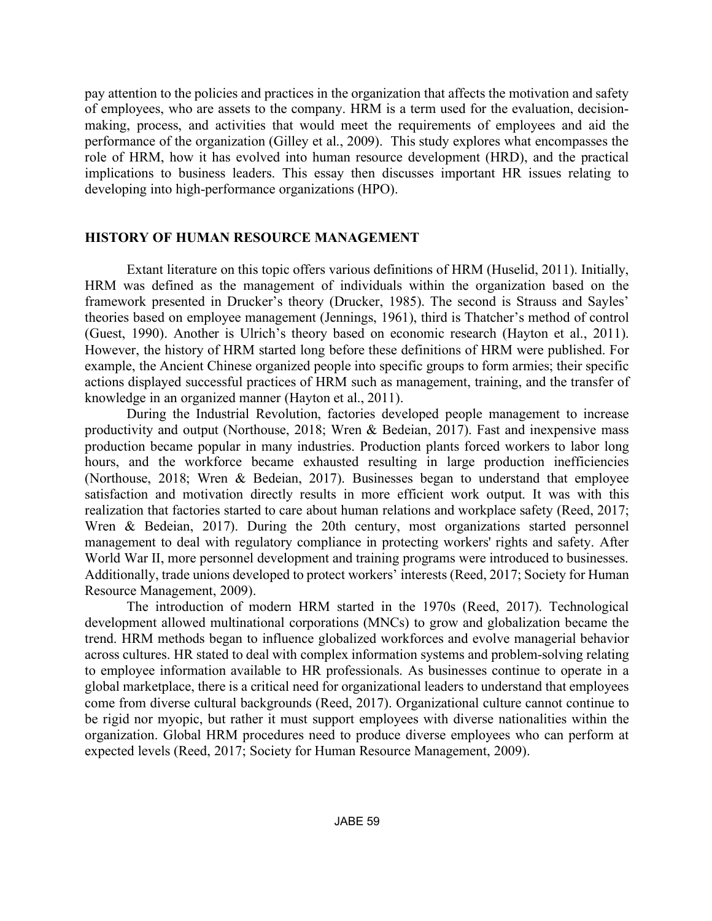pay attention to the policies and practices in the organization that affects the motivation and safety of employees, who are assets to the company. HRM is a term used for the evaluation, decisionmaking, process, and activities that would meet the requirements of employees and aid the performance of the organization (Gilley et al., 2009). This study explores what encompasses the role of HRM, how it has evolved into human resource development (HRD), and the practical implications to business leaders. This essay then discusses important HR issues relating to developing into high-performance organizations (HPO).

### **HISTORY OF HUMAN RESOURCE MANAGEMENT**

Extant literature on this topic offers various definitions of HRM (Huselid, 2011). Initially, HRM was defined as the management of individuals within the organization based on the framework presented in Drucker's theory (Drucker, 1985). The second is Strauss and Sayles' theories based on employee management (Jennings, 1961), third is Thatcher's method of control (Guest, 1990). Another is Ulrich's theory based on economic research (Hayton et al., 2011). However, the history of HRM started long before these definitions of HRM were published. For example, the Ancient Chinese organized people into specific groups to form armies; their specific actions displayed successful practices of HRM such as management, training, and the transfer of knowledge in an organized manner (Hayton et al., 2011).

During the Industrial Revolution, factories developed people management to increase productivity and output (Northouse, 2018; Wren & Bedeian, 2017). Fast and inexpensive mass production became popular in many industries. Production plants forced workers to labor long hours, and the workforce became exhausted resulting in large production inefficiencies (Northouse, 2018; Wren & Bedeian, 2017). Businesses began to understand that employee satisfaction and motivation directly results in more efficient work output. It was with this realization that factories started to care about human relations and workplace safety (Reed, 2017; Wren & Bedeian, 2017). During the 20th century, most organizations started personnel management to deal with regulatory compliance in protecting workers' rights and safety. After World War II, more personnel development and training programs were introduced to businesses. Additionally, trade unions developed to protect workers' interests (Reed, 2017; Society for Human Resource Management, 2009).

The introduction of modern HRM started in the 1970s (Reed, 2017). Technological development allowed multinational corporations (MNCs) to grow and globalization became the trend. HRM methods began to influence globalized workforces and evolve managerial behavior across cultures. HR stated to deal with complex information systems and problem-solving relating to employee information available to HR professionals. As businesses continue to operate in a global marketplace, there is a critical need for organizational leaders to understand that employees come from diverse cultural backgrounds (Reed, 2017). Organizational culture cannot continue to be rigid nor myopic, but rather it must support employees with diverse nationalities within the organization. Global HRM procedures need to produce diverse employees who can perform at expected levels (Reed, 2017; Society for Human Resource Management, 2009).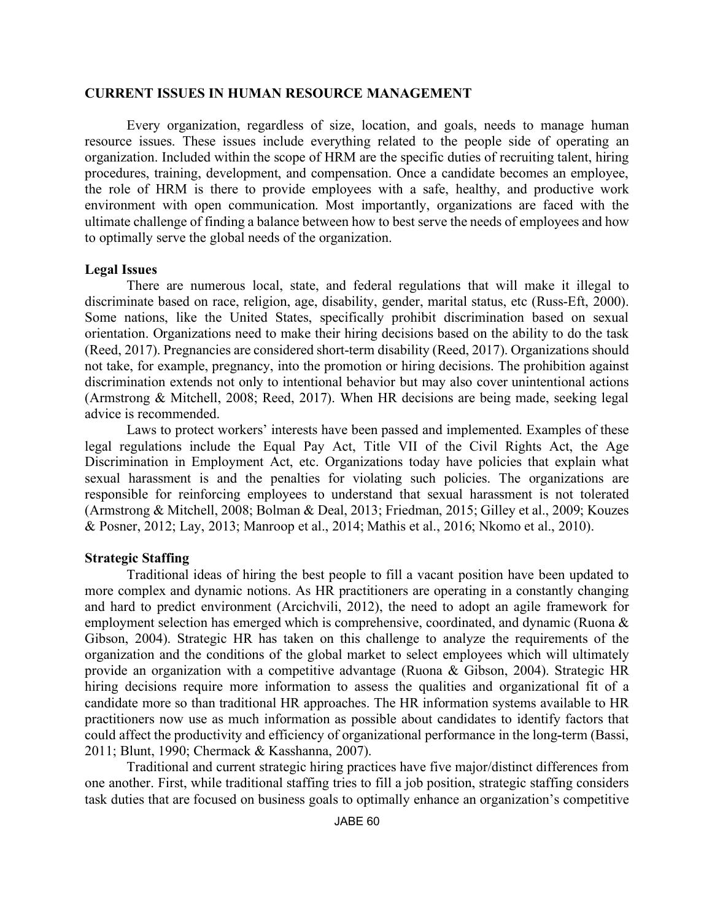#### **CURRENT ISSUES IN HUMAN RESOURCE MANAGEMENT**

Every organization, regardless of size, location, and goals, needs to manage human resource issues. These issues include everything related to the people side of operating an organization. Included within the scope of HRM are the specific duties of recruiting talent, hiring procedures, training, development, and compensation. Once a candidate becomes an employee, the role of HRM is there to provide employees with a safe, healthy, and productive work environment with open communication. Most importantly, organizations are faced with the ultimate challenge of finding a balance between how to best serve the needs of employees and how to optimally serve the global needs of the organization.

#### **Legal Issues**

There are numerous local, state, and federal regulations that will make it illegal to discriminate based on race, religion, age, disability, gender, marital status, etc (Russ-Eft, 2000). Some nations, like the United States, specifically prohibit discrimination based on sexual orientation. Organizations need to make their hiring decisions based on the ability to do the task (Reed, 2017). Pregnancies are considered short-term disability (Reed, 2017). Organizations should not take, for example, pregnancy, into the promotion or hiring decisions. The prohibition against discrimination extends not only to intentional behavior but may also cover unintentional actions (Armstrong & Mitchell, 2008; Reed, 2017). When HR decisions are being made, seeking legal advice is recommended.

Laws to protect workers' interests have been passed and implemented. Examples of these legal regulations include the Equal Pay Act, Title VII of the Civil Rights Act, the Age Discrimination in Employment Act, etc. Organizations today have policies that explain what sexual harassment is and the penalties for violating such policies. The organizations are responsible for reinforcing employees to understand that sexual harassment is not tolerated (Armstrong & Mitchell, 2008; Bolman & Deal, 2013; Friedman, 2015; Gilley et al., 2009; Kouzes & Posner, 2012; Lay, 2013; Manroop et al., 2014; Mathis et al., 2016; Nkomo et al., 2010).

### **Strategic Staffing**

Traditional ideas of hiring the best people to fill a vacant position have been updated to more complex and dynamic notions. As HR practitioners are operating in a constantly changing and hard to predict environment (Arcichvili, 2012), the need to adopt an agile framework for employment selection has emerged which is comprehensive, coordinated, and dynamic (Ruona & Gibson, 2004). Strategic HR has taken on this challenge to analyze the requirements of the organization and the conditions of the global market to select employees which will ultimately provide an organization with a competitive advantage (Ruona & Gibson, 2004). Strategic HR hiring decisions require more information to assess the qualities and organizational fit of a candidate more so than traditional HR approaches. The HR information systems available to HR practitioners now use as much information as possible about candidates to identify factors that could affect the productivity and efficiency of organizational performance in the long-term (Bassi, 2011; Blunt, 1990; Chermack & Kasshanna, 2007).

Traditional and current strategic hiring practices have five major/distinct differences from one another. First, while traditional staffing tries to fill a job position, strategic staffing considers task duties that are focused on business goals to optimally enhance an organization's competitive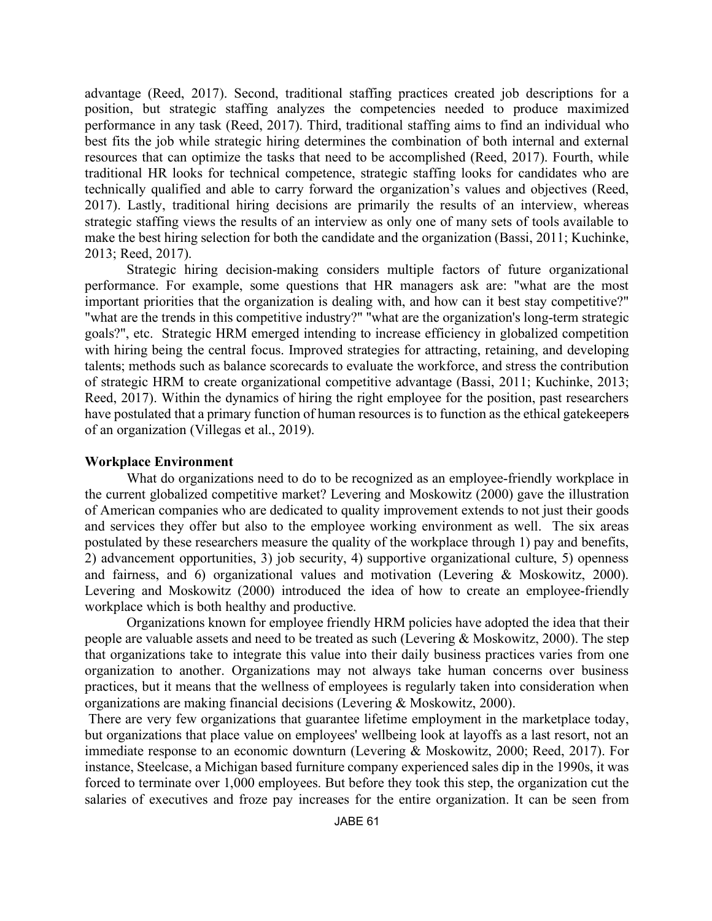advantage (Reed, 2017). Second, traditional staffing practices created job descriptions for a position, but strategic staffing analyzes the competencies needed to produce maximized performance in any task (Reed, 2017). Third, traditional staffing aims to find an individual who best fits the job while strategic hiring determines the combination of both internal and external resources that can optimize the tasks that need to be accomplished (Reed, 2017). Fourth, while traditional HR looks for technical competence, strategic staffing looks for candidates who are technically qualified and able to carry forward the organization's values and objectives (Reed, 2017). Lastly, traditional hiring decisions are primarily the results of an interview, whereas strategic staffing views the results of an interview as only one of many sets of tools available to make the best hiring selection for both the candidate and the organization (Bassi, 2011; Kuchinke, 2013; Reed, 2017).

Strategic hiring decision-making considers multiple factors of future organizational performance. For example, some questions that HR managers ask are: "what are the most important priorities that the organization is dealing with, and how can it best stay competitive?" "what are the trends in this competitive industry?" "what are the organization's long-term strategic goals?", etc. Strategic HRM emerged intending to increase efficiency in globalized competition with hiring being the central focus. Improved strategies for attracting, retaining, and developing talents; methods such as balance scorecards to evaluate the workforce, and stress the contribution of strategic HRM to create organizational competitive advantage (Bassi, 2011; Kuchinke, 2013; Reed, 2017). Within the dynamics of hiring the right employee for the position, past researchers have postulated that a primary function of human resources is to function as the ethical gatekeepers of an organization (Villegas et al., 2019).

#### **Workplace Environment**

What do organizations need to do to be recognized as an employee-friendly workplace in the current globalized competitive market? Levering and Moskowitz (2000) gave the illustration of American companies who are dedicated to quality improvement extends to not just their goods and services they offer but also to the employee working environment as well. The six areas postulated by these researchers measure the quality of the workplace through 1) pay and benefits, 2) advancement opportunities, 3) job security, 4) supportive organizational culture, 5) openness and fairness, and 6) organizational values and motivation (Levering & Moskowitz, 2000). Levering and Moskowitz (2000) introduced the idea of how to create an employee-friendly workplace which is both healthy and productive.

Organizations known for employee friendly HRM policies have adopted the idea that their people are valuable assets and need to be treated as such (Levering & Moskowitz, 2000). The step that organizations take to integrate this value into their daily business practices varies from one organization to another. Organizations may not always take human concerns over business practices, but it means that the wellness of employees is regularly taken into consideration when organizations are making financial decisions (Levering & Moskowitz, 2000).

There are very few organizations that guarantee lifetime employment in the marketplace today, but organizations that place value on employees' wellbeing look at layoffs as a last resort, not an immediate response to an economic downturn (Levering & Moskowitz, 2000; Reed, 2017). For instance, Steelcase, a Michigan based furniture company experienced sales dip in the 1990s, it was forced to terminate over 1,000 employees. But before they took this step, the organization cut the salaries of executives and froze pay increases for the entire organization. It can be seen from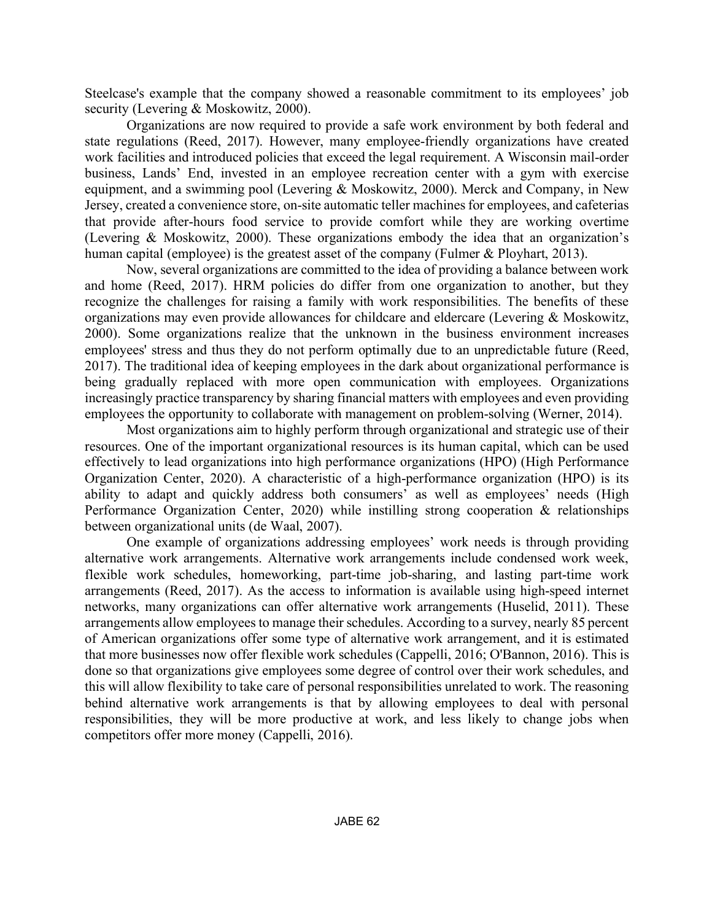Steelcase's example that the company showed a reasonable commitment to its employees' job security (Levering & Moskowitz, 2000).

Organizations are now required to provide a safe work environment by both federal and state regulations (Reed, 2017). However, many employee-friendly organizations have created work facilities and introduced policies that exceed the legal requirement. A Wisconsin mail-order business, Lands' End, invested in an employee recreation center with a gym with exercise equipment, and a swimming pool (Levering & Moskowitz, 2000). Merck and Company, in New Jersey, created a convenience store, on-site automatic teller machines for employees, and cafeterias that provide after-hours food service to provide comfort while they are working overtime (Levering & Moskowitz, 2000). These organizations embody the idea that an organization's human capital (employee) is the greatest asset of the company (Fulmer & Ployhart, 2013).

Now, several organizations are committed to the idea of providing a balance between work and home (Reed, 2017). HRM policies do differ from one organization to another, but they recognize the challenges for raising a family with work responsibilities. The benefits of these organizations may even provide allowances for childcare and eldercare (Levering & Moskowitz, 2000). Some organizations realize that the unknown in the business environment increases employees' stress and thus they do not perform optimally due to an unpredictable future (Reed, 2017). The traditional idea of keeping employees in the dark about organizational performance is being gradually replaced with more open communication with employees. Organizations increasingly practice transparency by sharing financial matters with employees and even providing employees the opportunity to collaborate with management on problem-solving (Werner, 2014).

Most organizations aim to highly perform through organizational and strategic use of their resources. One of the important organizational resources is its human capital, which can be used effectively to lead organizations into high performance organizations (HPO) (High Performance Organization Center, 2020). A characteristic of a high-performance organization (HPO) is its ability to adapt and quickly address both consumers' as well as employees' needs (High Performance Organization Center, 2020) while instilling strong cooperation & relationships between organizational units (de Waal, 2007).

One example of organizations addressing employees' work needs is through providing alternative work arrangements. Alternative work arrangements include condensed work week, flexible work schedules, homeworking, part-time job-sharing, and lasting part-time work arrangements (Reed, 2017). As the access to information is available using high-speed internet networks, many organizations can offer alternative work arrangements (Huselid, 2011). These arrangements allow employees to manage their schedules. According to a survey, nearly 85 percent of American organizations offer some type of alternative work arrangement, and it is estimated that more businesses now offer flexible work schedules (Cappelli, 2016; O'Bannon, 2016). This is done so that organizations give employees some degree of control over their work schedules, and this will allow flexibility to take care of personal responsibilities unrelated to work. The reasoning behind alternative work arrangements is that by allowing employees to deal with personal responsibilities, they will be more productive at work, and less likely to change jobs when competitors offer more money (Cappelli, 2016).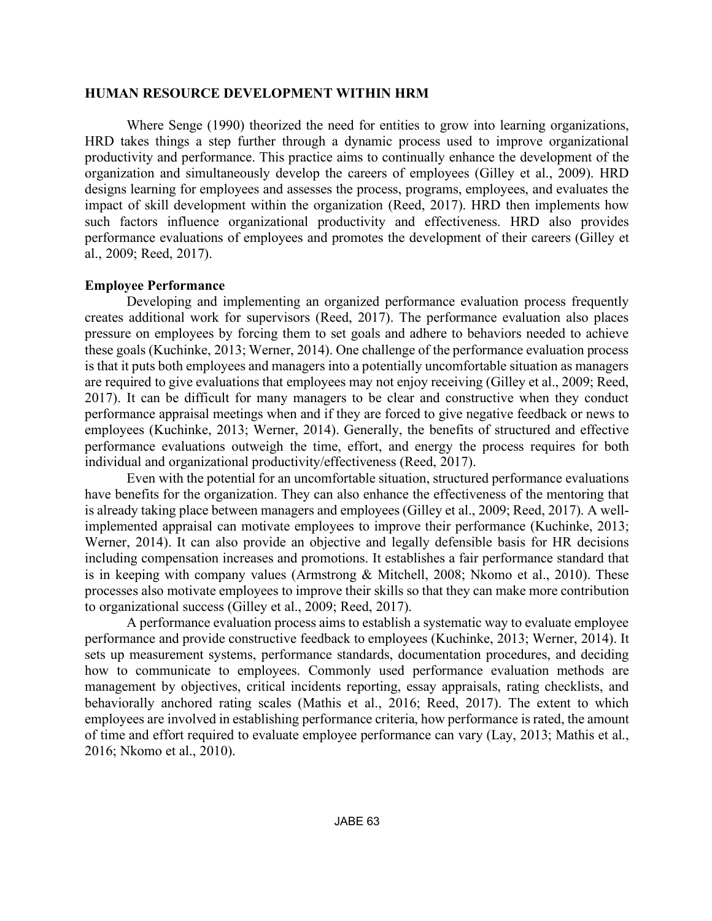### **HUMAN RESOURCE DEVELOPMENT WITHIN HRM**

Where Senge (1990) theorized the need for entities to grow into learning organizations, HRD takes things a step further through a dynamic process used to improve organizational productivity and performance. This practice aims to continually enhance the development of the organization and simultaneously develop the careers of employees (Gilley et al., 2009). HRD designs learning for employees and assesses the process, programs, employees, and evaluates the impact of skill development within the organization (Reed, 2017). HRD then implements how such factors influence organizational productivity and effectiveness. HRD also provides performance evaluations of employees and promotes the development of their careers (Gilley et al., 2009; Reed, 2017).

## **Employee Performance**

Developing and implementing an organized performance evaluation process frequently creates additional work for supervisors (Reed, 2017). The performance evaluation also places pressure on employees by forcing them to set goals and adhere to behaviors needed to achieve these goals (Kuchinke, 2013; Werner, 2014). One challenge of the performance evaluation process is that it puts both employees and managers into a potentially uncomfortable situation as managers are required to give evaluations that employees may not enjoy receiving (Gilley et al., 2009; Reed, 2017). It can be difficult for many managers to be clear and constructive when they conduct performance appraisal meetings when and if they are forced to give negative feedback or news to employees (Kuchinke, 2013; Werner, 2014). Generally, the benefits of structured and effective performance evaluations outweigh the time, effort, and energy the process requires for both individual and organizational productivity/effectiveness (Reed, 2017).

Even with the potential for an uncomfortable situation, structured performance evaluations have benefits for the organization. They can also enhance the effectiveness of the mentoring that is already taking place between managers and employees (Gilley et al., 2009; Reed, 2017). A wellimplemented appraisal can motivate employees to improve their performance (Kuchinke, 2013; Werner, 2014). It can also provide an objective and legally defensible basis for HR decisions including compensation increases and promotions. It establishes a fair performance standard that is in keeping with company values (Armstrong & Mitchell, 2008; Nkomo et al., 2010). These processes also motivate employees to improve their skills so that they can make more contribution to organizational success (Gilley et al., 2009; Reed, 2017).

A performance evaluation process aims to establish a systematic way to evaluate employee performance and provide constructive feedback to employees (Kuchinke, 2013; Werner, 2014). It sets up measurement systems, performance standards, documentation procedures, and deciding how to communicate to employees. Commonly used performance evaluation methods are management by objectives, critical incidents reporting, essay appraisals, rating checklists, and behaviorally anchored rating scales (Mathis et al., 2016; Reed, 2017). The extent to which employees are involved in establishing performance criteria, how performance is rated, the amount of time and effort required to evaluate employee performance can vary (Lay, 2013; Mathis et al., 2016; Nkomo et al., 2010).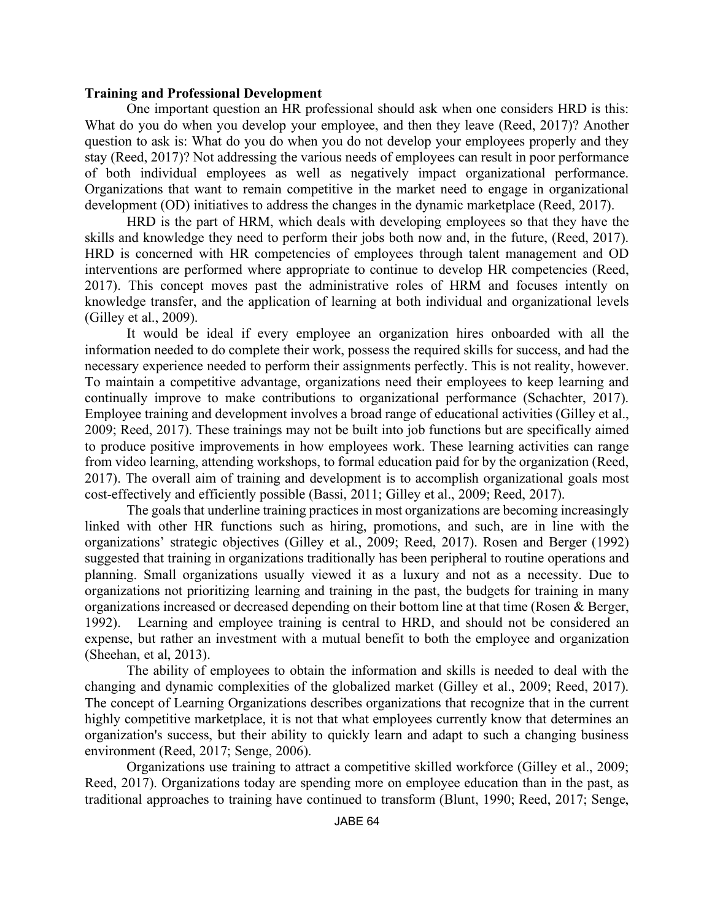#### **Training and Professional Development**

One important question an HR professional should ask when one considers HRD is this: What do you do when you develop your employee, and then they leave (Reed, 2017)? Another question to ask is: What do you do when you do not develop your employees properly and they stay (Reed, 2017)? Not addressing the various needs of employees can result in poor performance of both individual employees as well as negatively impact organizational performance. Organizations that want to remain competitive in the market need to engage in organizational development (OD) initiatives to address the changes in the dynamic marketplace (Reed, 2017).

HRD is the part of HRM, which deals with developing employees so that they have the skills and knowledge they need to perform their jobs both now and, in the future, (Reed, 2017). HRD is concerned with HR competencies of employees through talent management and OD interventions are performed where appropriate to continue to develop HR competencies (Reed, 2017). This concept moves past the administrative roles of HRM and focuses intently on knowledge transfer, and the application of learning at both individual and organizational levels (Gilley et al., 2009).

It would be ideal if every employee an organization hires onboarded with all the information needed to do complete their work, possess the required skills for success, and had the necessary experience needed to perform their assignments perfectly. This is not reality, however. To maintain a competitive advantage, organizations need their employees to keep learning and continually improve to make contributions to organizational performance (Schachter, 2017). Employee training and development involves a broad range of educational activities (Gilley et al., 2009; Reed, 2017). These trainings may not be built into job functions but are specifically aimed to produce positive improvements in how employees work. These learning activities can range from video learning, attending workshops, to formal education paid for by the organization (Reed, 2017). The overall aim of training and development is to accomplish organizational goals most cost-effectively and efficiently possible (Bassi, 2011; Gilley et al., 2009; Reed, 2017).

The goals that underline training practices in most organizations are becoming increasingly linked with other HR functions such as hiring, promotions, and such, are in line with the organizations' strategic objectives (Gilley et al., 2009; Reed, 2017). Rosen and Berger (1992) suggested that training in organizations traditionally has been peripheral to routine operations and planning. Small organizations usually viewed it as a luxury and not as a necessity. Due to organizations not prioritizing learning and training in the past, the budgets for training in many organizations increased or decreased depending on their bottom line at that time (Rosen & Berger, 1992). Learning and employee training is central to HRD, and should not be considered an expense, but rather an investment with a mutual benefit to both the employee and organization (Sheehan, et al, 2013).

The ability of employees to obtain the information and skills is needed to deal with the changing and dynamic complexities of the globalized market (Gilley et al., 2009; Reed, 2017). The concept of Learning Organizations describes organizations that recognize that in the current highly competitive marketplace, it is not that what employees currently know that determines an organization's success, but their ability to quickly learn and adapt to such a changing business environment (Reed, 2017; Senge, 2006).

Organizations use training to attract a competitive skilled workforce (Gilley et al., 2009; Reed, 2017). Organizations today are spending more on employee education than in the past, as traditional approaches to training have continued to transform (Blunt, 1990; Reed, 2017; Senge,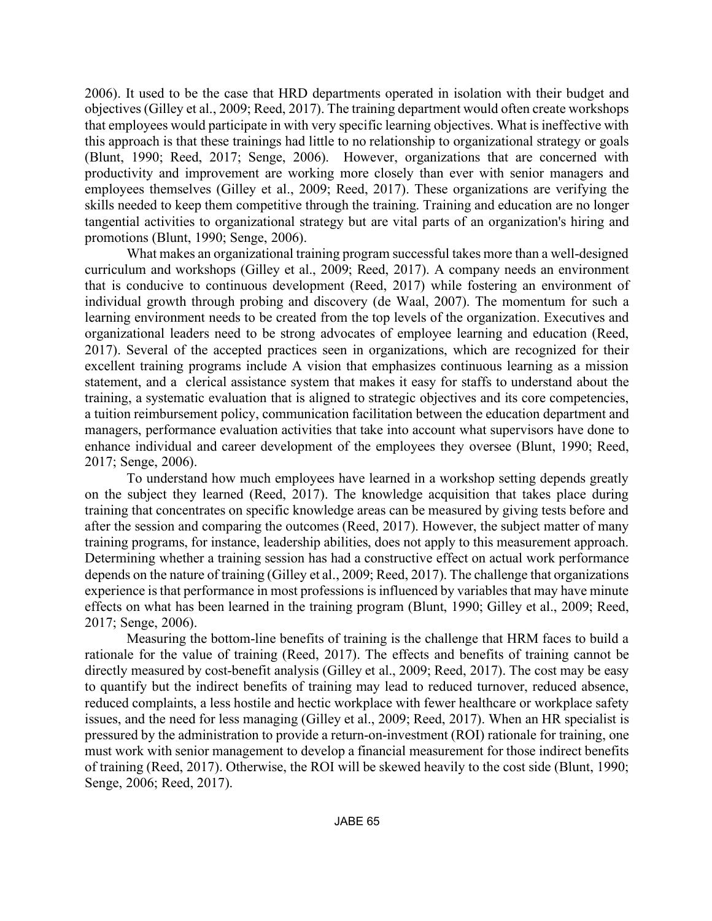2006). It used to be the case that HRD departments operated in isolation with their budget and objectives (Gilley et al., 2009; Reed, 2017). The training department would often create workshops that employees would participate in with very specific learning objectives. What is ineffective with this approach is that these trainings had little to no relationship to organizational strategy or goals (Blunt, 1990; Reed, 2017; Senge, 2006). However, organizations that are concerned with productivity and improvement are working more closely than ever with senior managers and employees themselves (Gilley et al., 2009; Reed, 2017). These organizations are verifying the skills needed to keep them competitive through the training. Training and education are no longer tangential activities to organizational strategy but are vital parts of an organization's hiring and promotions (Blunt, 1990; Senge, 2006).

What makes an organizational training program successful takes more than a well-designed curriculum and workshops (Gilley et al., 2009; Reed, 2017). A company needs an environment that is conducive to continuous development (Reed, 2017) while fostering an environment of individual growth through probing and discovery (de Waal, 2007). The momentum for such a learning environment needs to be created from the top levels of the organization. Executives and organizational leaders need to be strong advocates of employee learning and education (Reed, 2017). Several of the accepted practices seen in organizations, which are recognized for their excellent training programs include A vision that emphasizes continuous learning as a mission statement, and a clerical assistance system that makes it easy for staffs to understand about the training, a systematic evaluation that is aligned to strategic objectives and its core competencies, a tuition reimbursement policy, communication facilitation between the education department and managers, performance evaluation activities that take into account what supervisors have done to enhance individual and career development of the employees they oversee (Blunt, 1990; Reed, 2017; Senge, 2006).

To understand how much employees have learned in a workshop setting depends greatly on the subject they learned (Reed, 2017). The knowledge acquisition that takes place during training that concentrates on specific knowledge areas can be measured by giving tests before and after the session and comparing the outcomes (Reed, 2017). However, the subject matter of many training programs, for instance, leadership abilities, does not apply to this measurement approach. Determining whether a training session has had a constructive effect on actual work performance depends on the nature of training (Gilley et al., 2009; Reed, 2017). The challenge that organizations experience is that performance in most professions is influenced by variables that may have minute effects on what has been learned in the training program (Blunt, 1990; Gilley et al., 2009; Reed, 2017; Senge, 2006).

Measuring the bottom-line benefits of training is the challenge that HRM faces to build a rationale for the value of training (Reed, 2017). The effects and benefits of training cannot be directly measured by cost-benefit analysis (Gilley et al., 2009; Reed, 2017). The cost may be easy to quantify but the indirect benefits of training may lead to reduced turnover, reduced absence, reduced complaints, a less hostile and hectic workplace with fewer healthcare or workplace safety issues, and the need for less managing (Gilley et al., 2009; Reed, 2017). When an HR specialist is pressured by the administration to provide a return-on-investment (ROI) rationale for training, one must work with senior management to develop a financial measurement for those indirect benefits of training (Reed, 2017). Otherwise, the ROI will be skewed heavily to the cost side (Blunt, 1990; Senge, 2006; Reed, 2017).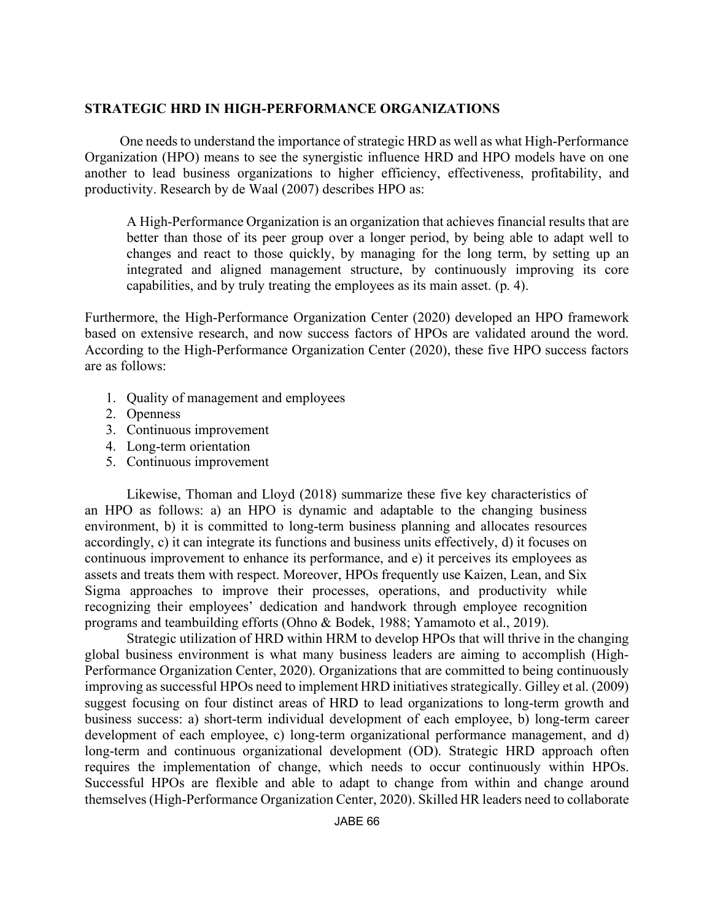## **STRATEGIC HRD IN HIGH-PERFORMANCE ORGANIZATIONS**

One needs to understand the importance of strategic HRD as well as what High-Performance Organization (HPO) means to see the synergistic influence HRD and HPO models have on one another to lead business organizations to higher efficiency, effectiveness, profitability, and productivity. Research by de Waal (2007) describes HPO as:

A High-Performance Organization is an organization that achieves financial results that are better than those of its peer group over a longer period, by being able to adapt well to changes and react to those quickly, by managing for the long term, by setting up an integrated and aligned management structure, by continuously improving its core capabilities, and by truly treating the employees as its main asset. (p. 4).

Furthermore, the High-Performance Organization Center (2020) developed an HPO framework based on extensive research, and now success factors of HPOs are validated around the word. According to the High-Performance Organization Center (2020), these five HPO success factors are as follows:

- 1. Quality of management and employees
- 2. Openness
- 3. Continuous improvement
- 4. Long-term orientation
- 5. Continuous improvement

Likewise, Thoman and Lloyd (2018) summarize these five key characteristics of an HPO as follows: a) an HPO is dynamic and adaptable to the changing business environment, b) it is committed to long-term business planning and allocates resources accordingly, c) it can integrate its functions and business units effectively, d) it focuses on continuous improvement to enhance its performance, and e) it perceives its employees as assets and treats them with respect. Moreover, HPOs frequently use Kaizen, Lean, and Six Sigma approaches to improve their processes, operations, and productivity while recognizing their employees' dedication and handwork through employee recognition programs and teambuilding efforts (Ohno & Bodek, 1988; Yamamoto et al., 2019).

Strategic utilization of HRD within HRM to develop HPOs that will thrive in the changing global business environment is what many business leaders are aiming to accomplish (High-Performance Organization Center, 2020). Organizations that are committed to being continuously improving as successful HPOs need to implement HRD initiatives strategically. Gilley et al. (2009) suggest focusing on four distinct areas of HRD to lead organizations to long-term growth and business success: a) short-term individual development of each employee, b) long-term career development of each employee, c) long-term organizational performance management, and d) long-term and continuous organizational development (OD). Strategic HRD approach often requires the implementation of change, which needs to occur continuously within HPOs. Successful HPOs are flexible and able to adapt to change from within and change around themselves (High-Performance Organization Center, 2020). Skilled HR leaders need to collaborate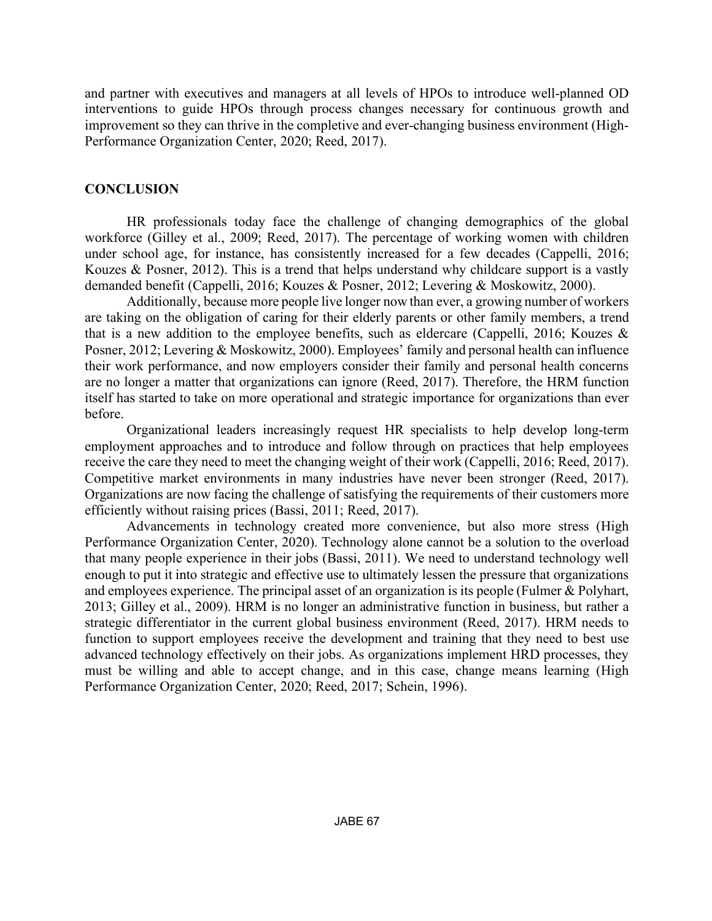and partner with executives and managers at all levels of HPOs to introduce well-planned OD interventions to guide HPOs through process changes necessary for continuous growth and improvement so they can thrive in the completive and ever-changing business environment (High-Performance Organization Center, 2020; Reed, 2017).

# **CONCLUSION**

HR professionals today face the challenge of changing demographics of the global workforce (Gilley et al., 2009; Reed, 2017). The percentage of working women with children under school age, for instance, has consistently increased for a few decades (Cappelli, 2016; Kouzes & Posner, 2012). This is a trend that helps understand why childcare support is a vastly demanded benefit (Cappelli, 2016; Kouzes & Posner, 2012; Levering & Moskowitz, 2000).

Additionally, because more people live longer now than ever, a growing number of workers are taking on the obligation of caring for their elderly parents or other family members, a trend that is a new addition to the employee benefits, such as eldercare (Cappelli, 2016; Kouzes & Posner, 2012; Levering & Moskowitz, 2000). Employees' family and personal health can influence their work performance, and now employers consider their family and personal health concerns are no longer a matter that organizations can ignore (Reed, 2017). Therefore, the HRM function itself has started to take on more operational and strategic importance for organizations than ever before.

Organizational leaders increasingly request HR specialists to help develop long-term employment approaches and to introduce and follow through on practices that help employees receive the care they need to meet the changing weight of their work (Cappelli, 2016; Reed, 2017). Competitive market environments in many industries have never been stronger (Reed, 2017). Organizations are now facing the challenge of satisfying the requirements of their customers more efficiently without raising prices (Bassi, 2011; Reed, 2017).

Advancements in technology created more convenience, but also more stress (High Performance Organization Center, 2020). Technology alone cannot be a solution to the overload that many people experience in their jobs (Bassi, 2011). We need to understand technology well enough to put it into strategic and effective use to ultimately lessen the pressure that organizations and employees experience. The principal asset of an organization is its people (Fulmer & Polyhart, 2013; Gilley et al., 2009). HRM is no longer an administrative function in business, but rather a strategic differentiator in the current global business environment (Reed, 2017). HRM needs to function to support employees receive the development and training that they need to best use advanced technology effectively on their jobs. As organizations implement HRD processes, they must be willing and able to accept change, and in this case, change means learning (High Performance Organization Center, 2020; Reed, 2017; Schein, 1996).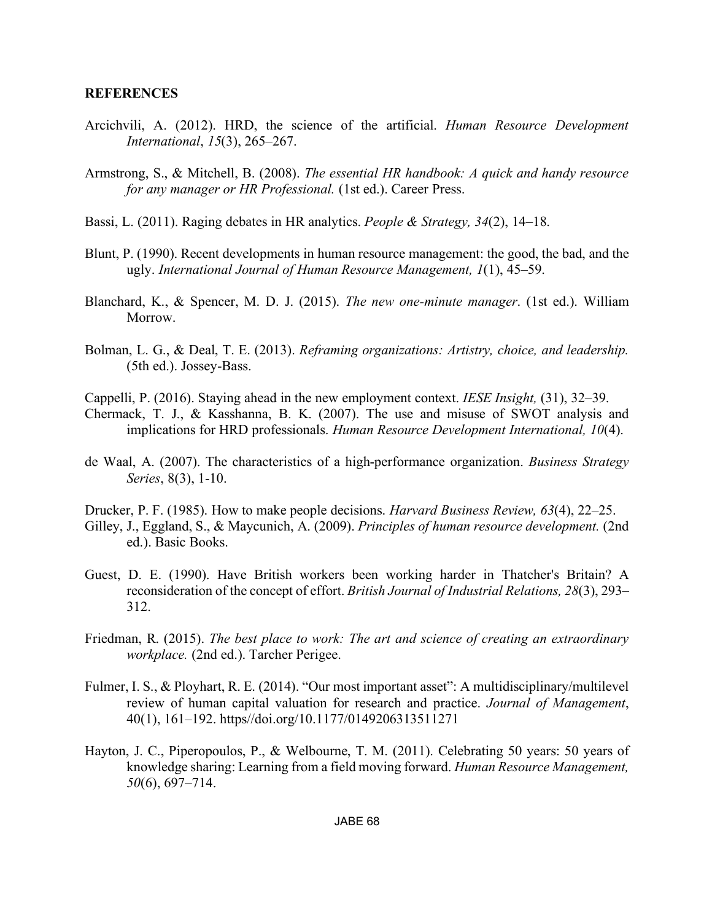### **REFERENCES**

- Arcichvili, A. (2012). HRD, the science of the artificial. *Human Resource Development International*, *15*(3), 265–267.
- Armstrong, S., & Mitchell, B. (2008). *The essential HR handbook: A quick and handy resource for any manager or HR Professional.* (1st ed.). Career Press.
- Bassi, L. (2011). Raging debates in HR analytics. *People & Strategy, 34*(2), 14–18.
- Blunt, P. (1990). Recent developments in human resource management: the good, the bad, and the ugly. *International Journal of Human Resource Management, 1*(1), 45–59.
- Blanchard, K., & Spencer, M. D. J. (2015). *The new one-minute manager*. (1st ed.). William Morrow.
- Bolman, L. G., & Deal, T. E. (2013). *Reframing organizations: Artistry, choice, and leadership.* (5th ed.). Jossey-Bass.
- Cappelli, P. (2016). Staying ahead in the new employment context. *IESE Insight,* (31), 32–39.
- Chermack, T. J., & Kasshanna, B. K. (2007). The use and misuse of SWOT analysis and implications for HRD professionals. *Human Resource Development International, 10*(4).
- de Waal, A. (2007). The characteristics of a high-performance organization. *Business Strategy Series*, 8(3), 1-10.
- Drucker, P. F. (1985). How to make people decisions. *Harvard Business Review, 63*(4), 22–25. Gilley, J., Eggland, S., & Maycunich, A. (2009). *Principles of human resource development.* (2nd ed.). Basic Books.
- Guest, D. E. (1990). Have British workers been working harder in Thatcher's Britain? A reconsideration of the concept of effort. *British Journal of Industrial Relations, 28*(3), 293– 312.
- Friedman, R. (2015). *The best place to work: The art and science of creating an extraordinary workplace.* (2nd ed.). Tarcher Perigee.
- Fulmer, I. S., & Ployhart, R. E. (2014). "Our most important asset": A multidisciplinary/multilevel review of human capital valuation for research and practice. *Journal of Management*, 40(1), 161–192. https//doi.org/10.1177/0149206313511271
- Hayton, J. C., Piperopoulos, P., & Welbourne, T. M. (2011). Celebrating 50 years: 50 years of knowledge sharing: Learning from a field moving forward. *Human Resource Management, 50*(6), 697–714.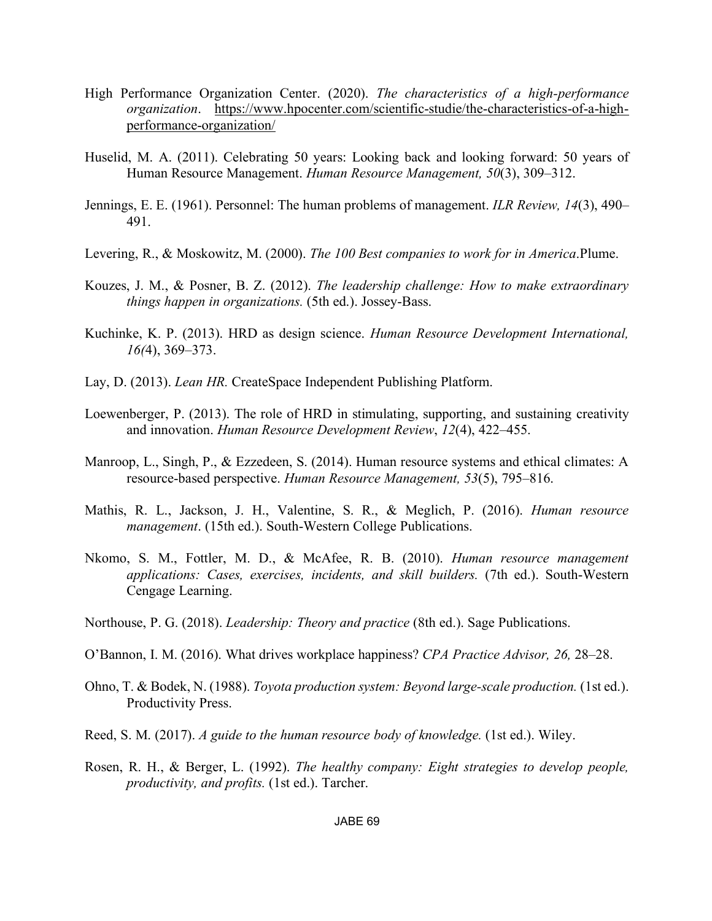- High Performance Organization Center. (2020). *The characteristics of a high-performance organization*. https://www.hpocenter.com/scientific-studie/the-characteristics-of-a-highperformance-organization/
- Huselid, M. A. (2011). Celebrating 50 years: Looking back and looking forward: 50 years of Human Resource Management. *Human Resource Management, 50*(3), 309–312.
- Jennings, E. E. (1961). Personnel: The human problems of management. *ILR Review, 14*(3), 490– 491.
- Levering, R., & Moskowitz, M. (2000). *The 100 Best companies to work for in America*.Plume.
- Kouzes, J. M., & Posner, B. Z. (2012). *The leadership challenge: How to make extraordinary things happen in organizations.* (5th ed.). Jossey-Bass.
- Kuchinke, K. P. (2013). HRD as design science. *Human Resource Development International, 16(*4), 369–373.
- Lay, D. (2013). *Lean HR.* CreateSpace Independent Publishing Platform.
- Loewenberger, P. (2013). The role of HRD in stimulating, supporting, and sustaining creativity and innovation. *Human Resource Development Review*, *12*(4), 422–455.
- Manroop, L., Singh, P., & Ezzedeen, S. (2014). Human resource systems and ethical climates: A resource-based perspective. *Human Resource Management, 53*(5), 795–816.
- Mathis, R. L., Jackson, J. H., Valentine, S. R., & Meglich, P. (2016). *Human resource management*. (15th ed.). South-Western College Publications.
- Nkomo, S. M., Fottler, M. D., & McAfee, R. B. (2010). *Human resource management applications: Cases, exercises, incidents, and skill builders.* (7th ed.). South-Western Cengage Learning.
- Northouse, P. G. (2018). *Leadership: Theory and practice* (8th ed.). Sage Publications.
- O'Bannon, I. M. (2016). What drives workplace happiness? *CPA Practice Advisor, 26,* 28–28.
- Ohno, T. & Bodek, N. (1988). *Toyota production system: Beyond large-scale production.* (1st ed.). Productivity Press.
- Reed, S. M. (2017). *A guide to the human resource body of knowledge.* (1st ed.). Wiley.
- Rosen, R. H., & Berger, L. (1992). *The healthy company: Eight strategies to develop people, productivity, and profits.* (1st ed.). Tarcher.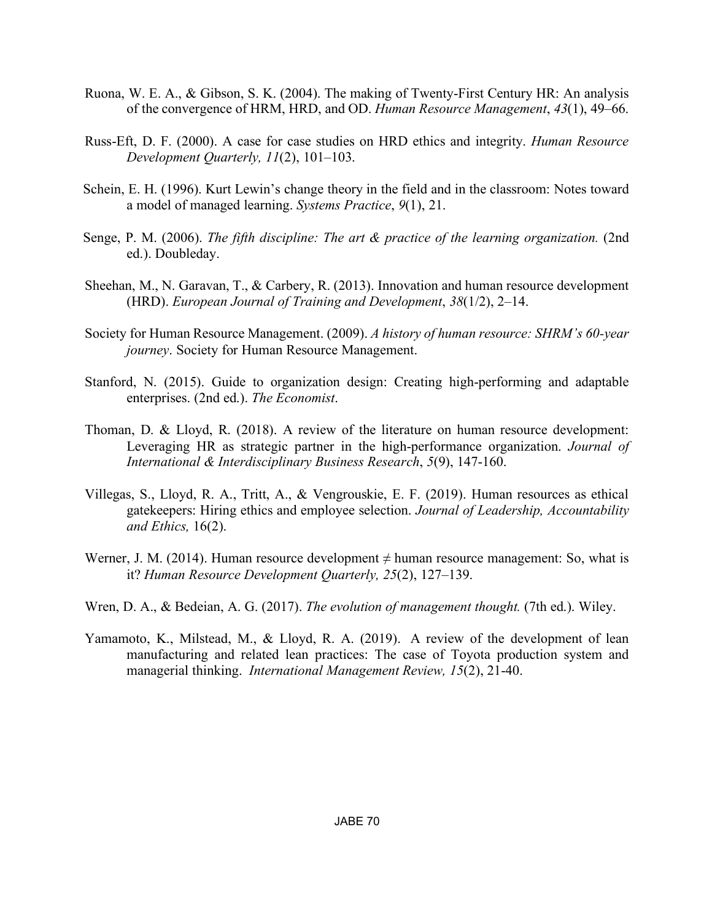- Ruona, W. E. A., & Gibson, S. K. (2004). The making of Twenty-First Century HR: An analysis of the convergence of HRM, HRD, and OD. *Human Resource Management*, *43*(1), 49–66.
- Russ-Eft, D. F. (2000). A case for case studies on HRD ethics and integrity. *Human Resource Development Quarterly, 11*(2), 101–103.
- Schein, E. H. (1996). Kurt Lewin's change theory in the field and in the classroom: Notes toward a model of managed learning. *Systems Practice*, *9*(1), 21.
- Senge, P. M. (2006). *The fifth discipline: The art & practice of the learning organization.* (2nd ed.). Doubleday.
- Sheehan, M., N. Garavan, T., & Carbery, R. (2013). Innovation and human resource development (HRD). *European Journal of Training and Development*, *38*(1/2), 2–14.
- Society for Human Resource Management. (2009). *A history of human resource: SHRM's 60-year journey*. Society for Human Resource Management.
- Stanford, N. (2015). Guide to organization design: Creating high-performing and adaptable enterprises. (2nd ed.). *The Economist*.
- Thoman, D. & Lloyd, R. (2018). A review of the literature on human resource development: Leveraging HR as strategic partner in the high-performance organization. *Journal of International & Interdisciplinary Business Research*, *5*(9), 147-160.
- Villegas, S., Lloyd, R. A., Tritt, A., & Vengrouskie, E. F. (2019). Human resources as ethical gatekeepers: Hiring ethics and employee selection. *Journal of Leadership, Accountability and Ethics,* 16(2).
- Werner, J. M. (2014). Human resource development  $\neq$  human resource management: So, what is it? *Human Resource Development Quarterly, 25*(2), 127–139.
- Wren, D. A., & Bedeian, A. G. (2017). *The evolution of management thought.* (7th ed.). Wiley.
- Yamamoto, K., Milstead, M., & Lloyd, R. A. (2019). A review of the development of lean manufacturing and related lean practices: The case of Toyota production system and managerial thinking. *International Management Review, 15*(2), 21-40.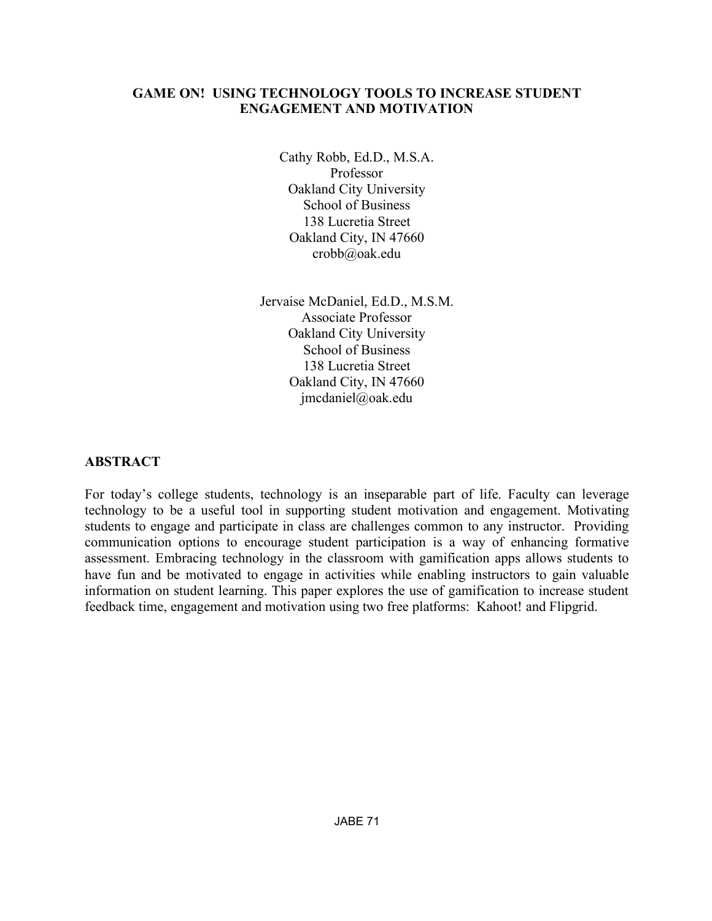## **GAME ON! USING TECHNOLOGY TOOLS TO INCREASE STUDENT ENGAGEMENT AND MOTIVATION**

Cathy Robb, Ed.D., M.S.A. Professor Oakland City University School of Business 138 Lucretia Street Oakland City, IN 47660 crobb@oak.edu

Jervaise McDaniel, Ed.D., M.S.M. Associate Professor Oakland City University School of Business 138 Lucretia Street Oakland City, IN 47660 jmcdaniel@oak.edu

# **ABSTRACT**

For today's college students, technology is an inseparable part of life. Faculty can leverage technology to be a useful tool in supporting student motivation and engagement. Motivating students to engage and participate in class are challenges common to any instructor. Providing communication options to encourage student participation is a way of enhancing formative assessment. Embracing technology in the classroom with gamification apps allows students to have fun and be motivated to engage in activities while enabling instructors to gain valuable information on student learning. This paper explores the use of gamification to increase student feedback time, engagement and motivation using two free platforms: Kahoot! and Flipgrid.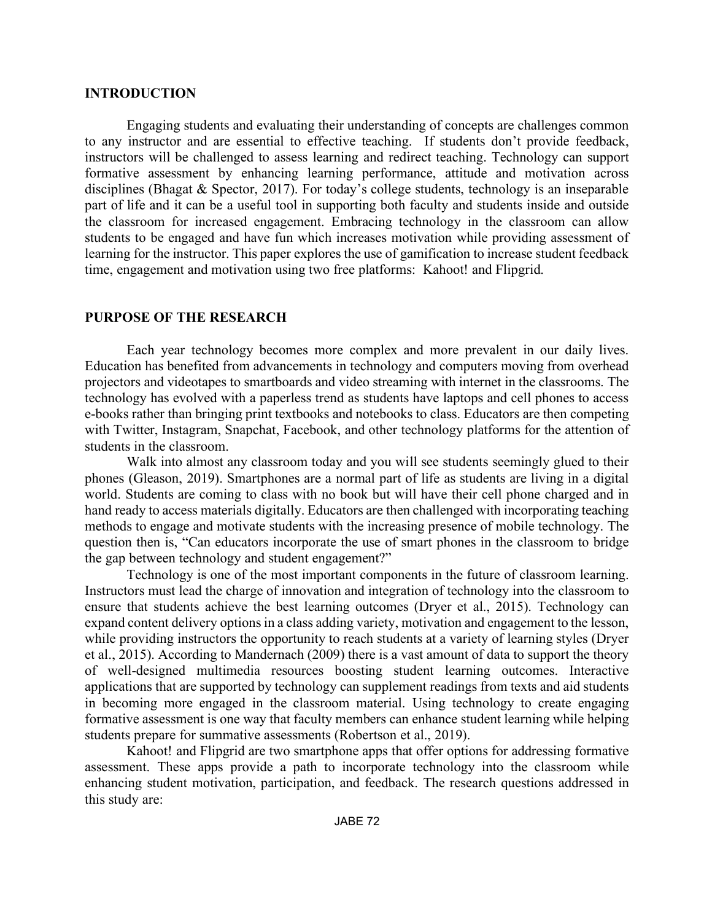## **INTRODUCTION**

Engaging students and evaluating their understanding of concepts are challenges common to any instructor and are essential to effective teaching. If students don't provide feedback, instructors will be challenged to assess learning and redirect teaching. Technology can support formative assessment by enhancing learning performance, attitude and motivation across disciplines (Bhagat & Spector, 2017). For today's college students, technology is an inseparable part of life and it can be a useful tool in supporting both faculty and students inside and outside the classroom for increased engagement. Embracing technology in the classroom can allow students to be engaged and have fun which increases motivation while providing assessment of learning for the instructor. This paper explores the use of gamification to increase student feedback time, engagement and motivation using two free platforms: Kahoot! and Flipgrid.

# **PURPOSE OF THE RESEARCH**

Each year technology becomes more complex and more prevalent in our daily lives. Education has benefited from advancements in technology and computers moving from overhead projectors and videotapes to smartboards and video streaming with internet in the classrooms. The technology has evolved with a paperless trend as students have laptops and cell phones to access e-books rather than bringing print textbooks and notebooks to class. Educators are then competing with Twitter, Instagram, Snapchat, Facebook, and other technology platforms for the attention of students in the classroom.

Walk into almost any classroom today and you will see students seemingly glued to their phones (Gleason, 2019). Smartphones are a normal part of life as students are living in a digital world. Students are coming to class with no book but will have their cell phone charged and in hand ready to access materials digitally. Educators are then challenged with incorporating teaching methods to engage and motivate students with the increasing presence of mobile technology. The question then is, "Can educators incorporate the use of smart phones in the classroom to bridge the gap between technology and student engagement?"

Technology is one of the most important components in the future of classroom learning. Instructors must lead the charge of innovation and integration of technology into the classroom to ensure that students achieve the best learning outcomes (Dryer et al., 2015). Technology can expand content delivery options in a class adding variety, motivation and engagement to the lesson, while providing instructors the opportunity to reach students at a variety of learning styles (Dryer et al., 2015). According to Mandernach (2009) there is a vast amount of data to support the theory of well-designed multimedia resources boosting student learning outcomes. Interactive applications that are supported by technology can supplement readings from texts and aid students in becoming more engaged in the classroom material. Using technology to create engaging formative assessment is one way that faculty members can enhance student learning while helping students prepare for summative assessments (Robertson et al., 2019).

Kahoot! and Flipgrid are two smartphone apps that offer options for addressing formative assessment. These apps provide a path to incorporate technology into the classroom while enhancing student motivation, participation, and feedback. The research questions addressed in this study are: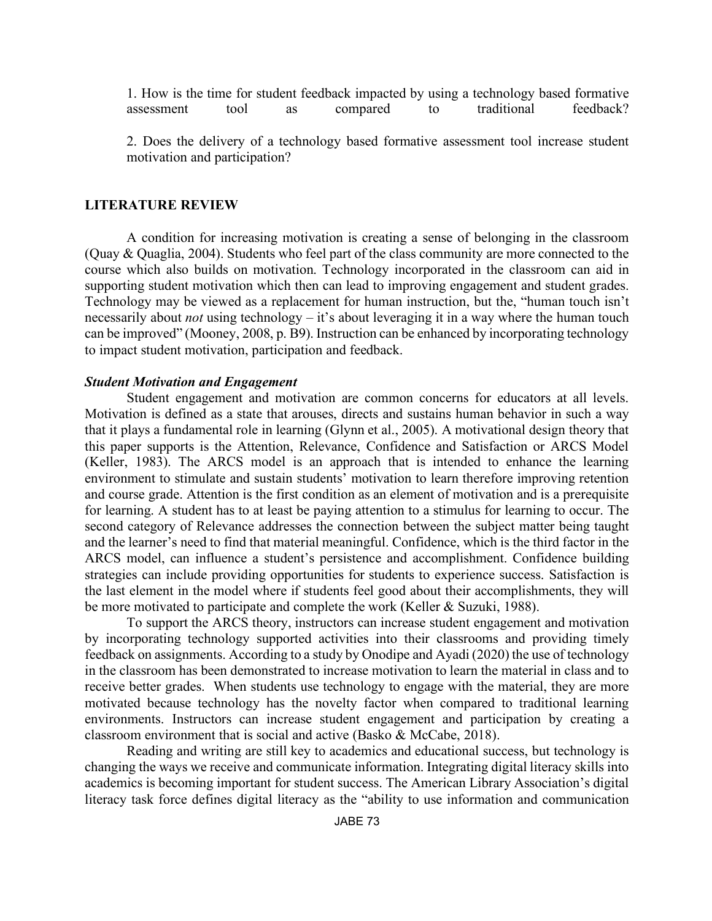1. How is the time for student feedback impacted by using a technology based formative assessment tool as compared to traditional feedback?

2. Does the delivery of a technology based formative assessment tool increase student motivation and participation?

#### **LITERATURE REVIEW**

A condition for increasing motivation is creating a sense of belonging in the classroom (Quay & Quaglia, 2004). Students who feel part of the class community are more connected to the course which also builds on motivation. Technology incorporated in the classroom can aid in supporting student motivation which then can lead to improving engagement and student grades. Technology may be viewed as a replacement for human instruction, but the, "human touch isn't necessarily about *not* using technology – it's about leveraging it in a way where the human touch can be improved" (Mooney, 2008, p. B9). Instruction can be enhanced by incorporating technology to impact student motivation, participation and feedback.

#### *Student Motivation and Engagement*

Student engagement and motivation are common concerns for educators at all levels. Motivation is defined as a state that arouses, directs and sustains human behavior in such a way that it plays a fundamental role in learning (Glynn et al., 2005). A motivational design theory that this paper supports is the Attention, Relevance, Confidence and Satisfaction or ARCS Model (Keller, 1983). The ARCS model is an approach that is intended to enhance the learning environment to stimulate and sustain students' motivation to learn therefore improving retention and course grade. Attention is the first condition as an element of motivation and is a prerequisite for learning. A student has to at least be paying attention to a stimulus for learning to occur. The second category of Relevance addresses the connection between the subject matter being taught and the learner's need to find that material meaningful. Confidence, which is the third factor in the ARCS model, can influence a student's persistence and accomplishment. Confidence building strategies can include providing opportunities for students to experience success. Satisfaction is the last element in the model where if students feel good about their accomplishments, they will be more motivated to participate and complete the work (Keller & Suzuki, 1988).

To support the ARCS theory, instructors can increase student engagement and motivation by incorporating technology supported activities into their classrooms and providing timely feedback on assignments. According to a study by Onodipe and Ayadi (2020) the use of technology in the classroom has been demonstrated to increase motivation to learn the material in class and to receive better grades. When students use technology to engage with the material, they are more motivated because technology has the novelty factor when compared to traditional learning environments. Instructors can increase student engagement and participation by creating a classroom environment that is social and active (Basko & McCabe, 2018).

Reading and writing are still key to academics and educational success, but technology is changing the ways we receive and communicate information. Integrating digital literacy skills into academics is becoming important for student success. The American Library Association's digital literacy task force defines digital literacy as the "ability to use information and communication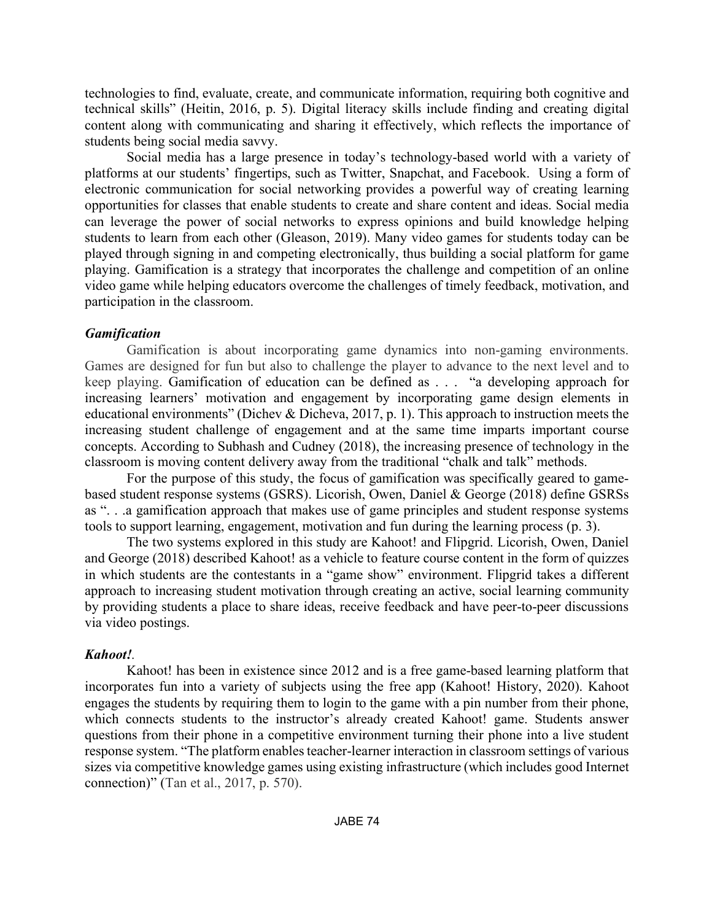technologies to find, evaluate, create, and communicate information, requiring both cognitive and technical skills" (Heitin, 2016, p. 5). Digital literacy skills include finding and creating digital content along with communicating and sharing it effectively, which reflects the importance of students being social media savvy.

Social media has a large presence in today's technology-based world with a variety of platforms at our students' fingertips, such as Twitter, Snapchat, and Facebook. Using a form of electronic communication for social networking provides a powerful way of creating learning opportunities for classes that enable students to create and share content and ideas. Social media can leverage the power of social networks to express opinions and build knowledge helping students to learn from each other (Gleason, 2019). Many video games for students today can be played through signing in and competing electronically, thus building a social platform for game playing. Gamification is a strategy that incorporates the challenge and competition of an online video game while helping educators overcome the challenges of timely feedback, motivation, and participation in the classroom.

## *Gamification*

Gamification is about incorporating game dynamics into non-gaming environments. Games are designed for fun but also to challenge the player to advance to the next level and to keep playing. Gamification of education can be defined as . . . "a developing approach for increasing learners' motivation and engagement by incorporating game design elements in educational environments" (Dichev & Dicheva, 2017, p. 1). This approach to instruction meets the increasing student challenge of engagement and at the same time imparts important course concepts. According to Subhash and Cudney (2018), the increasing presence of technology in the classroom is moving content delivery away from the traditional "chalk and talk" methods.

For the purpose of this study, the focus of gamification was specifically geared to gamebased student response systems (GSRS). Licorish, Owen, Daniel & George (2018) define GSRSs as ". . .a gamification approach that makes use of game principles and student response systems tools to support learning, engagement, motivation and fun during the learning process (p. 3).

The two systems explored in this study are Kahoot! and Flipgrid. Licorish, Owen, Daniel and George (2018) described Kahoot! as a vehicle to feature course content in the form of quizzes in which students are the contestants in a "game show" environment. Flipgrid takes a different approach to increasing student motivation through creating an active, social learning community by providing students a place to share ideas, receive feedback and have peer-to-peer discussions via video postings.

## *Kahoot!.*

Kahoot! has been in existence since 2012 and is a free game-based learning platform that incorporates fun into a variety of subjects using the free app (Kahoot! History, 2020). Kahoot engages the students by requiring them to login to the game with a pin number from their phone, which connects students to the instructor's already created Kahoot! game. Students answer questions from their phone in a competitive environment turning their phone into a live student response system. "The platform enables teacher-learner interaction in classroom settings of various sizes via competitive knowledge games using existing infrastructure (which includes good Internet connection)" (Tan et al., 2017, p. 570).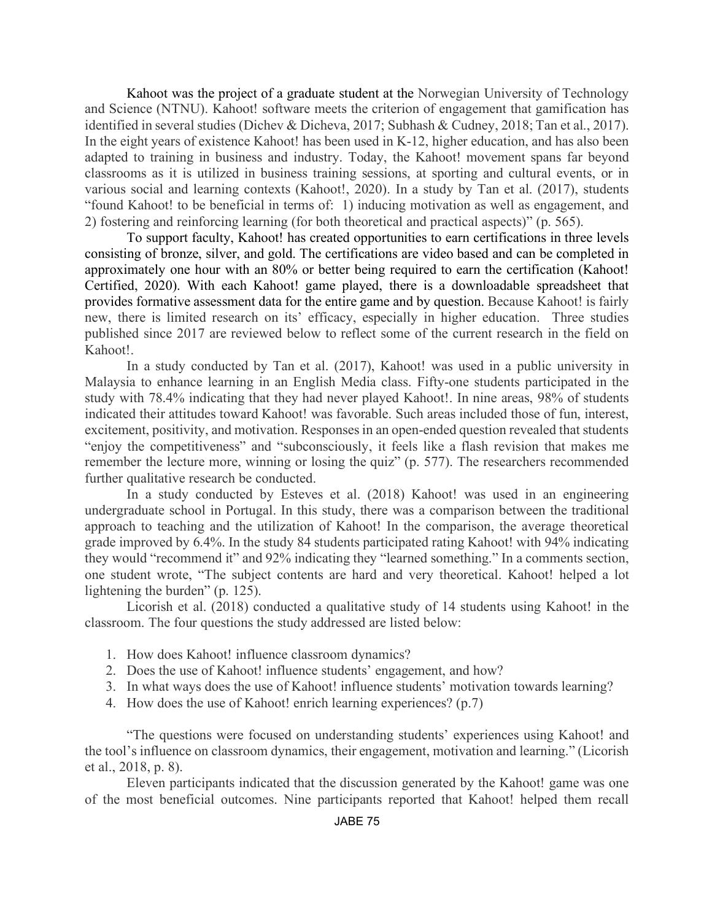Kahoot was the project of a graduate student at the Norwegian University of Technology and Science (NTNU). Kahoot! software meets the criterion of engagement that gamification has identified in several studies (Dichev & Dicheva, 2017; Subhash & Cudney, 2018; Tan et al., 2017). In the eight years of existence Kahoot! has been used in K-12, higher education, and has also been adapted to training in business and industry. Today, the Kahoot! movement spans far beyond classrooms as it is utilized in business training sessions, at sporting and cultural events, or in various social and learning contexts (Kahoot!, 2020). In a study by Tan et al. (2017), students "found Kahoot! to be beneficial in terms of: 1) inducing motivation as well as engagement, and 2) fostering and reinforcing learning (for both theoretical and practical aspects)" (p. 565).

To support faculty, Kahoot! has created opportunities to earn certifications in three levels consisting of bronze, silver, and gold. The certifications are video based and can be completed in approximately one hour with an 80% or better being required to earn the certification (Kahoot! Certified, 2020). With each Kahoot! game played, there is a downloadable spreadsheet that provides formative assessment data for the entire game and by question. Because Kahoot! is fairly new, there is limited research on its' efficacy, especially in higher education. Three studies published since 2017 are reviewed below to reflect some of the current research in the field on Kahoot!.

In a study conducted by Tan et al. (2017), Kahoot! was used in a public university in Malaysia to enhance learning in an English Media class. Fifty-one students participated in the study with 78.4% indicating that they had never played Kahoot!. In nine areas, 98% of students indicated their attitudes toward Kahoot! was favorable. Such areas included those of fun, interest, excitement, positivity, and motivation. Responses in an open-ended question revealed that students "enjoy the competitiveness" and "subconsciously, it feels like a flash revision that makes me remember the lecture more, winning or losing the quiz" (p. 577). The researchers recommended further qualitative research be conducted.

In a study conducted by Esteves et al. (2018) Kahoot! was used in an engineering undergraduate school in Portugal. In this study, there was a comparison between the traditional approach to teaching and the utilization of Kahoot! In the comparison, the average theoretical grade improved by 6.4%. In the study 84 students participated rating Kahoot! with 94% indicating they would "recommend it" and 92% indicating they "learned something." In a comments section, one student wrote, "The subject contents are hard and very theoretical. Kahoot! helped a lot lightening the burden" (p. 125).

Licorish et al. (2018) conducted a qualitative study of 14 students using Kahoot! in the classroom. The four questions the study addressed are listed below:

- 1. How does Kahoot! influence classroom dynamics?
- 2. Does the use of Kahoot! influence students' engagement, and how?
- 3. In what ways does the use of Kahoot! influence students' motivation towards learning?
- 4. How does the use of Kahoot! enrich learning experiences? (p.7)

"The questions were focused on understanding students' experiences using Kahoot! and the tool's influence on classroom dynamics, their engagement, motivation and learning." (Licorish et al., 2018, p. 8).

Eleven participants indicated that the discussion generated by the Kahoot! game was one of the most beneficial outcomes. Nine participants reported that Kahoot! helped them recall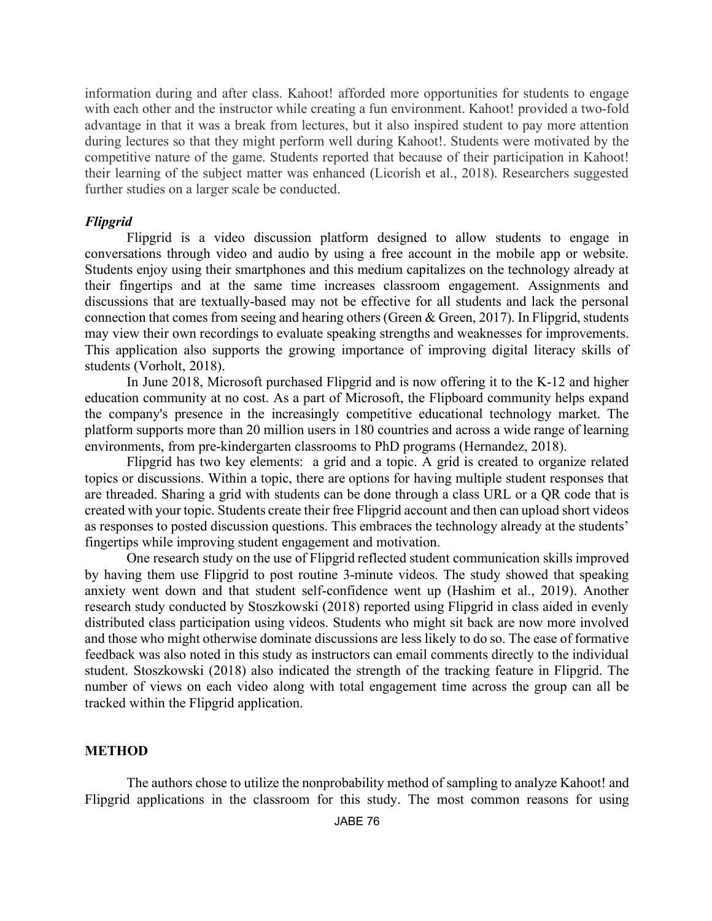information during and after class. Kahoot! afforded more opportunities for students to engage with each other and the instructor while creating a fun environment. Kahoot! provided a two-fold advantage in that it was a break from lectures, but it also inspired student to pay more attention during lectures so that they might perform well during Kahoot!. Students were motivated by the competitive nature of the game. Students reported that because of their participation in Kahoot! their learning of the subject matter was enhanced (Licorish et al., 2018). Researchers suggested further studies on a larger scale be conducted.

## *Flipgrid*

Flipgrid is a video discussion platform designed to allow students to engage in conversations through video and audio by using a free account in the mobile app or website. Students enjoy using their smartphones and this medium capitalizes on the technology already at their fingertips and at the same time increases classroom engagement. Assignments and discussions that are textually-based may not be effective for all students and lack the personal connection that comes from seeing and hearing others (Green & Green, 2017). In Flipgrid, students may view their own recordings to evaluate speaking strengths and weaknesses for improvements. This application also supports the growing importance of improving digital literacy skills of students (Vorholt, 2018).

In June 2018, Microsoft purchased Flipgrid and is now offering it to the K-12 and higher education community at no cost. As a part of Microsoft, the Flipboard community helps expand the company's presence in the increasingly competitive educational technology market. The platform supports more than 20 million users in 180 countries and across a wide range of learning environments, from pre-kindergarten classrooms to PhD programs (Hernandez, 2018).

Flipgrid has two key elements: a grid and a topic. A grid is created to organize related topics or discussions. Within a topic, there are options for having multiple student responses that are threaded. Sharing a grid with students can be done through a class URL or a QR code that is created with your topic. Students create their free Flipgrid account and then can upload short videos as responses to posted discussion questions. This embraces the technology already at the students' fingertips while improving student engagement and motivation.

One research study on the use of Flipgrid reflected student communication skills improved by having them use Flipgrid to post routine 3-minute videos. The study showed that speaking anxiety went down and that student self-confidence went up (Hashim et al., 2019). Another research study conducted by Stoszkowski (2018) reported using Flipgrid in class aided in evenly distributed class participation using videos. Students who might sit back are now more involved and those who might otherwise dominate discussions are less likely to do so. The ease of formative feedback was also noted in this study as instructors can email comments directly to the individual student. Stoszkowski (2018) also indicated the strength of the tracking feature in Flipgrid. The number of views on each video along with total engagement time across the group can all be tracked within the Flipgrid application.

### **METHOD**

The authors chose to utilize the nonprobability method of sampling to analyze Kahoot! and Flipgrid applications in the classroom for this study. The most common reasons for using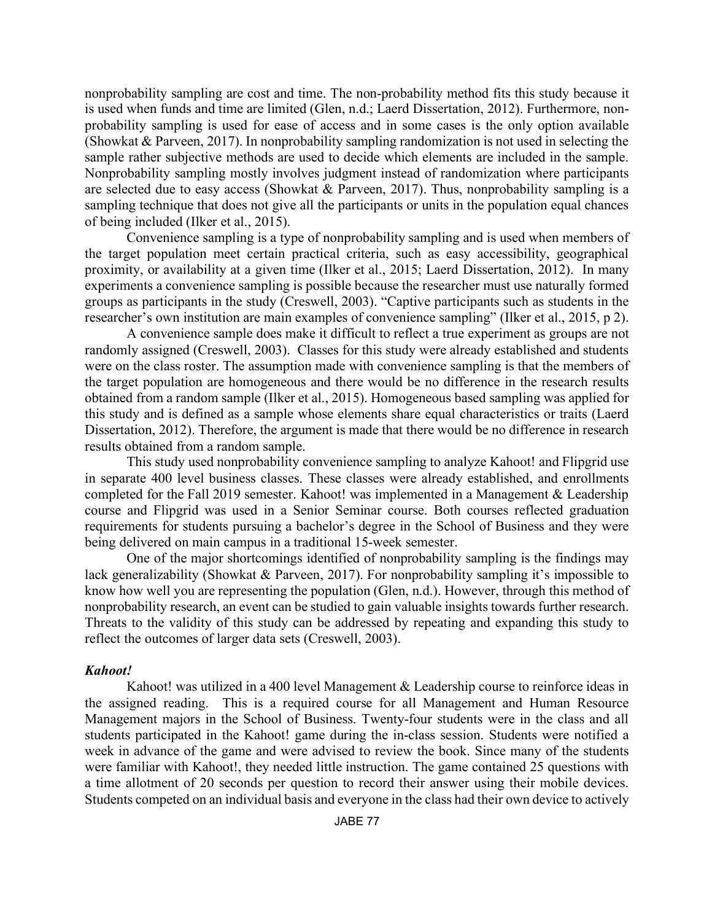nonprobability sampling are cost and time. The non-probability method fits this study because it is used when funds and time are limited (Glen, n.d.; Laerd Dissertation, 2012). Furthermore, nonprobability sampling is used for ease of access and in some cases is the only option available (Showkat & Parveen, 2017). In nonprobability sampling randomization is not used in selecting the sample rather subjective methods are used to decide which elements are included in the sample. Nonprobability sampling mostly involves judgment instead of randomization where participants are selected due to easy access (Showkat & Parveen, 2017). Thus, nonprobability sampling is a sampling technique that does not give all the participants or units in the population equal chances of being included (Ilker et al., 2015).

Convenience sampling is a type of nonprobability sampling and is used when members of the target population meet certain practical criteria, such as easy accessibility, geographical proximity, or availability at a given time (Ilker et al., 2015; Laerd Dissertation, 2012). In many experiments a convenience sampling is possible because the researcher must use naturally formed groups as participants in the study (Creswell, 2003). "Captive participants such as students in the researcher's own institution are main examples of convenience sampling" (Ilker et al., 2015, p 2).

A convenience sample does make it difficult to reflect a true experiment as groups are not randomly assigned (Creswell, 2003). Classes for this study were already established and students were on the class roster. The assumption made with convenience sampling is that the members of the target population are homogeneous and there would be no difference in the research results obtained from a random sample (Ilker et al., 2015). Homogeneous based sampling was applied for this study and is defined as a sample whose elements share equal characteristics or traits (Laerd Dissertation, 2012). Therefore, the argument is made that there would be no difference in research results obtained from a random sample.

This study used nonprobability convenience sampling to analyze Kahoot! and Flipgrid use in separate 400 level business classes. These classes were already established, and enrollments completed for the Fall 2019 semester. Kahoot! was implemented in a Management & Leadership course and Flipgrid was used in a Senior Seminar course. Both courses reflected graduation requirements for students pursuing a bachelor's degree in the School of Business and they were being delivered on main campus in a traditional 15-week semester.

One of the major shortcomings identified of nonprobability sampling is the findings may lack generalizability (Showkat & Parveen, 2017). For nonprobability sampling it's impossible to know how well you are representing the population (Glen, n.d.). However, through this method of nonprobability research, an event can be studied to gain valuable insights towards further research. Threats to the validity of this study can be addressed by repeating and expanding this study to reflect the outcomes of larger data sets (Creswell, 2003).

## *Kahoot!*

Kahoot! was utilized in a 400 level Management & Leadership course to reinforce ideas in the assigned reading. This is a required course for all Management and Human Resource Management majors in the School of Business. Twenty-four students were in the class and all students participated in the Kahoot! game during the in-class session. Students were notified a week in advance of the game and were advised to review the book. Since many of the students were familiar with Kahoot!, they needed little instruction. The game contained 25 questions with a time allotment of 20 seconds per question to record their answer using their mobile devices. Students competed on an individual basis and everyone in the class had their own device to actively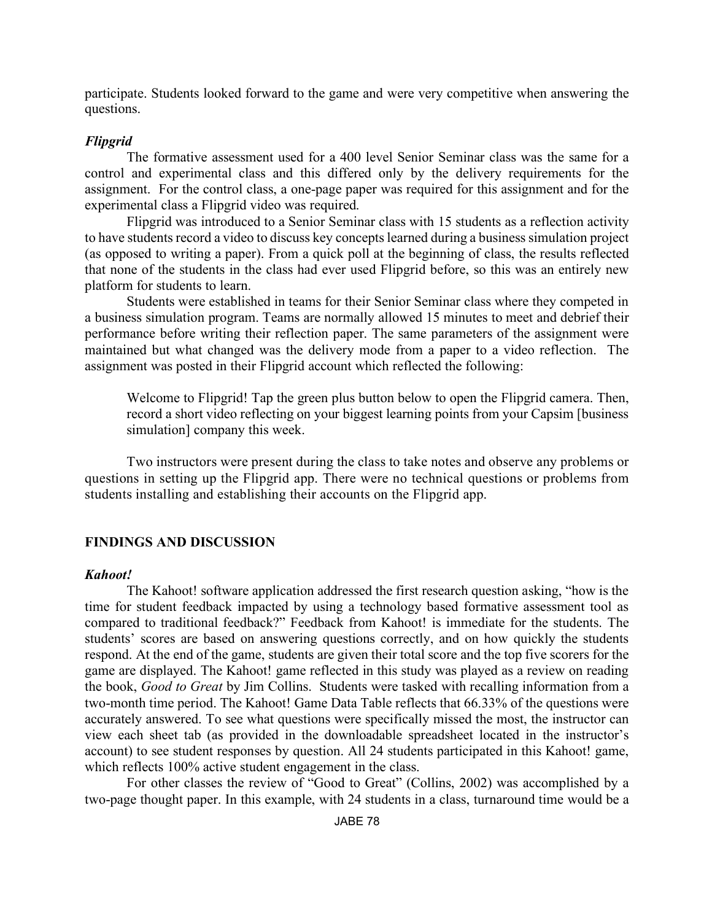participate. Students looked forward to the game and were very competitive when answering the questions.

### *Flipgrid*

The formative assessment used for a 400 level Senior Seminar class was the same for a control and experimental class and this differed only by the delivery requirements for the assignment. For the control class, a one-page paper was required for this assignment and for the experimental class a Flipgrid video was required.

Flipgrid was introduced to a Senior Seminar class with 15 students as a reflection activity to have students record a video to discuss key concepts learned during a business simulation project (as opposed to writing a paper). From a quick poll at the beginning of class, the results reflected that none of the students in the class had ever used Flipgrid before, so this was an entirely new platform for students to learn.

Students were established in teams for their Senior Seminar class where they competed in a business simulation program. Teams are normally allowed 15 minutes to meet and debrief their performance before writing their reflection paper. The same parameters of the assignment were maintained but what changed was the delivery mode from a paper to a video reflection. The assignment was posted in their Flipgrid account which reflected the following:

Welcome to Flipgrid! Tap the green plus button below to open the Flipgrid camera. Then, record a short video reflecting on your biggest learning points from your Capsim [business simulation] company this week.

Two instructors were present during the class to take notes and observe any problems or questions in setting up the Flipgrid app. There were no technical questions or problems from students installing and establishing their accounts on the Flipgrid app.

## **FINDINGS AND DISCUSSION**

### *Kahoot!*

The Kahoot! software application addressed the first research question asking, "how is the time for student feedback impacted by using a technology based formative assessment tool as compared to traditional feedback?" Feedback from Kahoot! is immediate for the students. The students' scores are based on answering questions correctly, and on how quickly the students respond. At the end of the game, students are given their total score and the top five scorers for the game are displayed. The Kahoot! game reflected in this study was played as a review on reading the book, *Good to Great* by Jim Collins. Students were tasked with recalling information from a two-month time period. The Kahoot! Game Data Table reflects that 66.33% of the questions were accurately answered. To see what questions were specifically missed the most, the instructor can view each sheet tab (as provided in the downloadable spreadsheet located in the instructor's account) to see student responses by question. All 24 students participated in this Kahoot! game, which reflects 100% active student engagement in the class.

For other classes the review of "Good to Great" (Collins, 2002) was accomplished by a two-page thought paper. In this example, with 24 students in a class, turnaround time would be a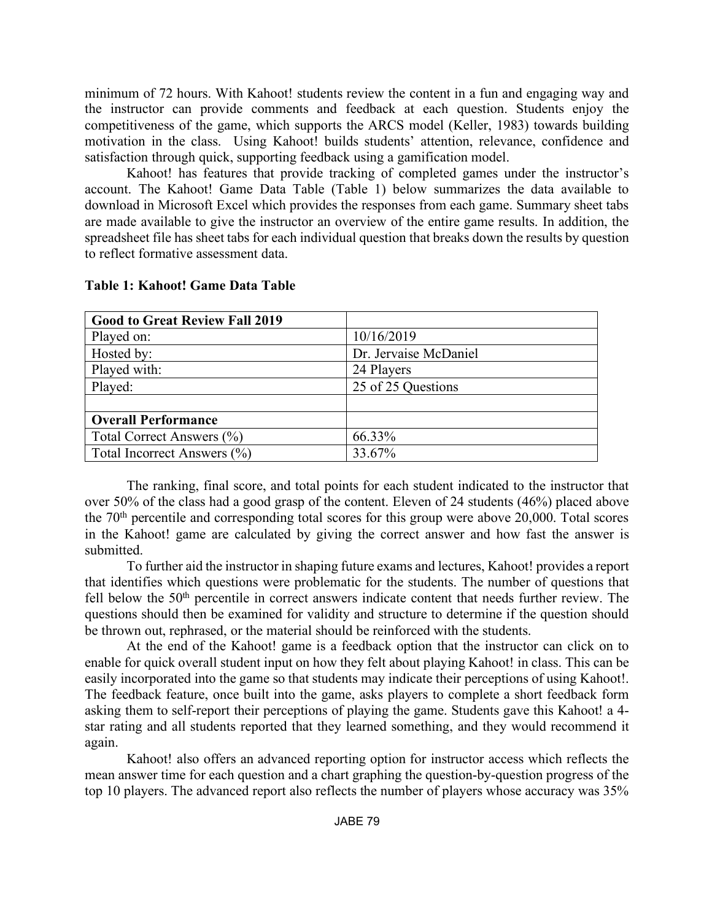minimum of 72 hours. With Kahoot! students review the content in a fun and engaging way and the instructor can provide comments and feedback at each question. Students enjoy the competitiveness of the game, which supports the ARCS model (Keller, 1983) towards building motivation in the class. Using Kahoot! builds students' attention, relevance, confidence and satisfaction through quick, supporting feedback using a gamification model.

Kahoot! has features that provide tracking of completed games under the instructor's account. The Kahoot! Game Data Table (Table 1) below summarizes the data available to download in Microsoft Excel which provides the responses from each game. Summary sheet tabs are made available to give the instructor an overview of the entire game results. In addition, the spreadsheet file has sheet tabs for each individual question that breaks down the results by question to reflect formative assessment data.

| <b>Good to Great Review Fall 2019</b> |                       |  |  |
|---------------------------------------|-----------------------|--|--|
| Played on:                            | 10/16/2019            |  |  |
| Hosted by:                            | Dr. Jervaise McDaniel |  |  |
| Played with:                          | 24 Players            |  |  |
| Played:                               | 25 of 25 Questions    |  |  |
|                                       |                       |  |  |
| <b>Overall Performance</b>            |                       |  |  |
| Total Correct Answers (%)             | 66.33%                |  |  |
| Total Incorrect Answers (%)           | 33.67%                |  |  |

### **Table 1: Kahoot! Game Data Table**

The ranking, final score, and total points for each student indicated to the instructor that over 50% of the class had a good grasp of the content. Eleven of 24 students (46%) placed above the 70th percentile and corresponding total scores for this group were above 20,000. Total scores in the Kahoot! game are calculated by giving the correct answer and how fast the answer is submitted.

To further aid the instructor in shaping future exams and lectures, Kahoot! provides a report that identifies which questions were problematic for the students. The number of questions that fell below the  $50<sup>th</sup>$  percentile in correct answers indicate content that needs further review. The questions should then be examined for validity and structure to determine if the question should be thrown out, rephrased, or the material should be reinforced with the students.

At the end of the Kahoot! game is a feedback option that the instructor can click on to enable for quick overall student input on how they felt about playing Kahoot! in class. This can be easily incorporated into the game so that students may indicate their perceptions of using Kahoot!. The feedback feature, once built into the game, asks players to complete a short feedback form asking them to self-report their perceptions of playing the game. Students gave this Kahoot! a 4 star rating and all students reported that they learned something, and they would recommend it again.

Kahoot! also offers an advanced reporting option for instructor access which reflects the mean answer time for each question and a chart graphing the question-by-question progress of the top 10 players. The advanced report also reflects the number of players whose accuracy was 35%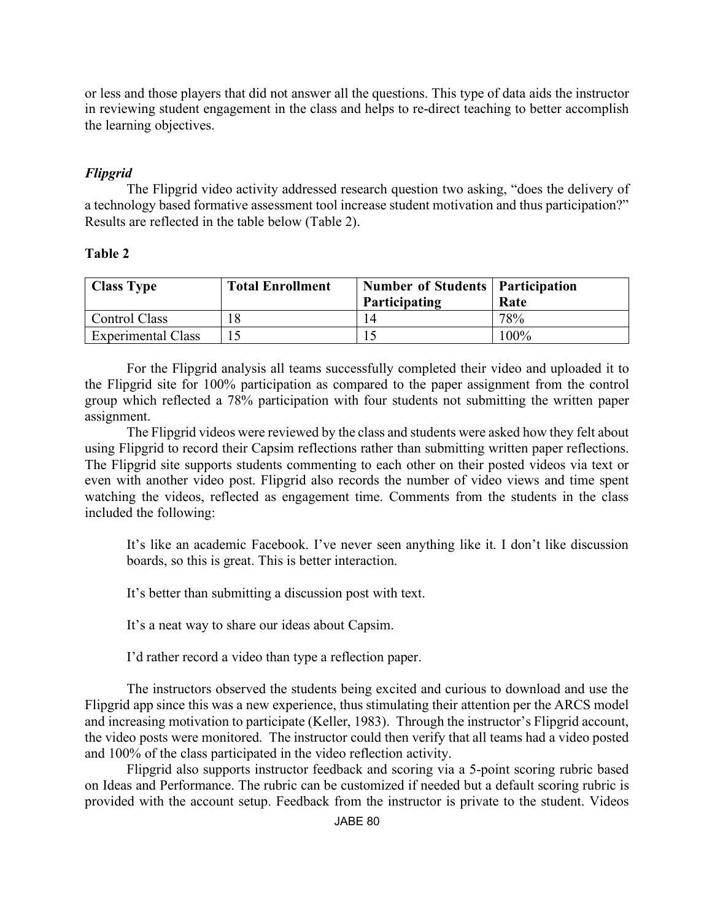or less and those players that did not answer all the questions. This type of data aids the instructor in reviewing student engagement in the class and helps to re-direct teaching to better accomplish the learning objectives.

# *Flipgrid*

The Flipgrid video activity addressed research question two asking, "does the delivery of a technology based formative assessment tool increase student motivation and thus participation?" Results are reflected in the table below (Table 2).

## **Table 2**

| <b>Class Type</b>         | <b>Total Enrollment</b> | <b>Number of Students   Participation</b><br>Participating | Rate    |
|---------------------------|-------------------------|------------------------------------------------------------|---------|
| Control Class             |                         |                                                            | 78%     |
| <b>Experimental Class</b> |                         |                                                            | $100\%$ |

For the Flipgrid analysis all teams successfully completed their video and uploaded it to the Flipgrid site for 100% participation as compared to the paper assignment from the control group which reflected a 78% participation with four students not submitting the written paper assignment.

The Flipgrid videos were reviewed by the class and students were asked how they felt about using Flipgrid to record their Capsim reflections rather than submitting written paper reflections. The Flipgrid site supports students commenting to each other on their posted videos via text or even with another video post. Flipgrid also records the number of video views and time spent watching the videos, reflected as engagement time. Comments from the students in the class included the following:

It's like an academic Facebook. I've never seen anything like it. I don't like discussion boards, so this is great. This is better interaction.

It's better than submitting a discussion post with text.

It's a neat way to share our ideas about Capsim.

I'd rather record a video than type a reflection paper.

The instructors observed the students being excited and curious to download and use the Flipgrid app since this was a new experience, thus stimulating their attention per the ARCS model and increasing motivation to participate (Keller, 1983). Through the instructor's Flipgrid account, the video posts were monitored. The instructor could then verify that all teams had a video posted and 100% of the class participated in the video reflection activity.

Flipgrid also supports instructor feedback and scoring via a 5-point scoring rubric based on Ideas and Performance. The rubric can be customized if needed but a default scoring rubric is provided with the account setup. Feedback from the instructor is private to the student. Videos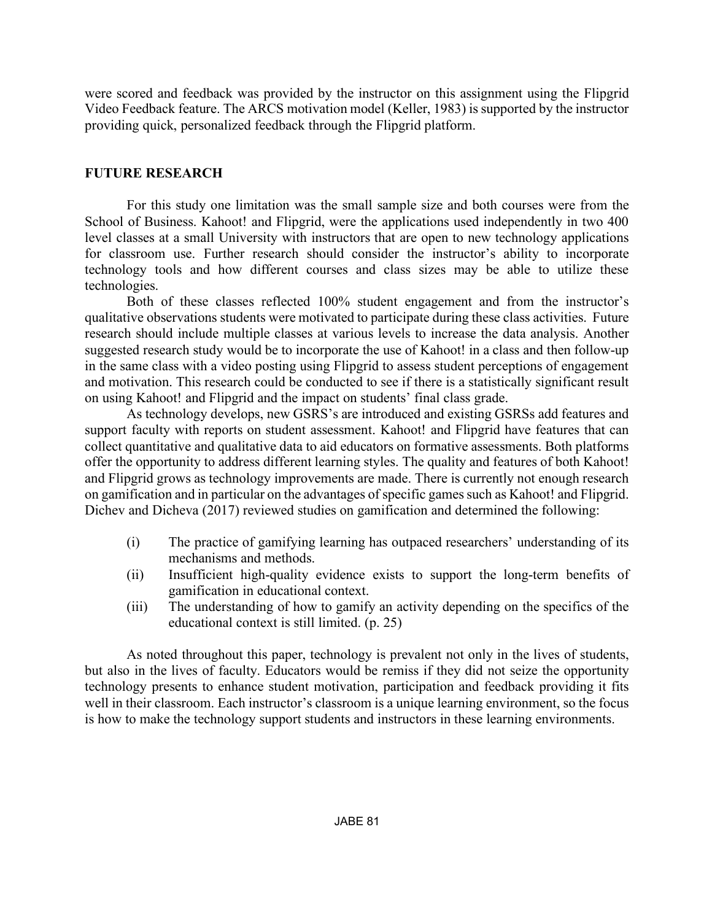were scored and feedback was provided by the instructor on this assignment using the Flipgrid Video Feedback feature. The ARCS motivation model (Keller, 1983) is supported by the instructor providing quick, personalized feedback through the Flipgrid platform.

## **FUTURE RESEARCH**

For this study one limitation was the small sample size and both courses were from the School of Business. Kahoot! and Flipgrid, were the applications used independently in two 400 level classes at a small University with instructors that are open to new technology applications for classroom use. Further research should consider the instructor's ability to incorporate technology tools and how different courses and class sizes may be able to utilize these technologies.

Both of these classes reflected 100% student engagement and from the instructor's qualitative observations students were motivated to participate during these class activities. Future research should include multiple classes at various levels to increase the data analysis. Another suggested research study would be to incorporate the use of Kahoot! in a class and then follow-up in the same class with a video posting using Flipgrid to assess student perceptions of engagement and motivation. This research could be conducted to see if there is a statistically significant result on using Kahoot! and Flipgrid and the impact on students' final class grade.

As technology develops, new GSRS's are introduced and existing GSRSs add features and support faculty with reports on student assessment. Kahoot! and Flipgrid have features that can collect quantitative and qualitative data to aid educators on formative assessments. Both platforms offer the opportunity to address different learning styles. The quality and features of both Kahoot! and Flipgrid grows as technology improvements are made. There is currently not enough research on gamification and in particular on the advantages of specific games such as Kahoot! and Flipgrid. Dichev and Dicheva (2017) reviewed studies on gamification and determined the following:

- (i) The practice of gamifying learning has outpaced researchers' understanding of its mechanisms and methods.
- (ii) Insufficient high-quality evidence exists to support the long-term benefits of gamification in educational context.
- (iii) The understanding of how to gamify an activity depending on the specifics of the educational context is still limited. (p. 25)

As noted throughout this paper, technology is prevalent not only in the lives of students, but also in the lives of faculty. Educators would be remiss if they did not seize the opportunity technology presents to enhance student motivation, participation and feedback providing it fits well in their classroom. Each instructor's classroom is a unique learning environment, so the focus is how to make the technology support students and instructors in these learning environments.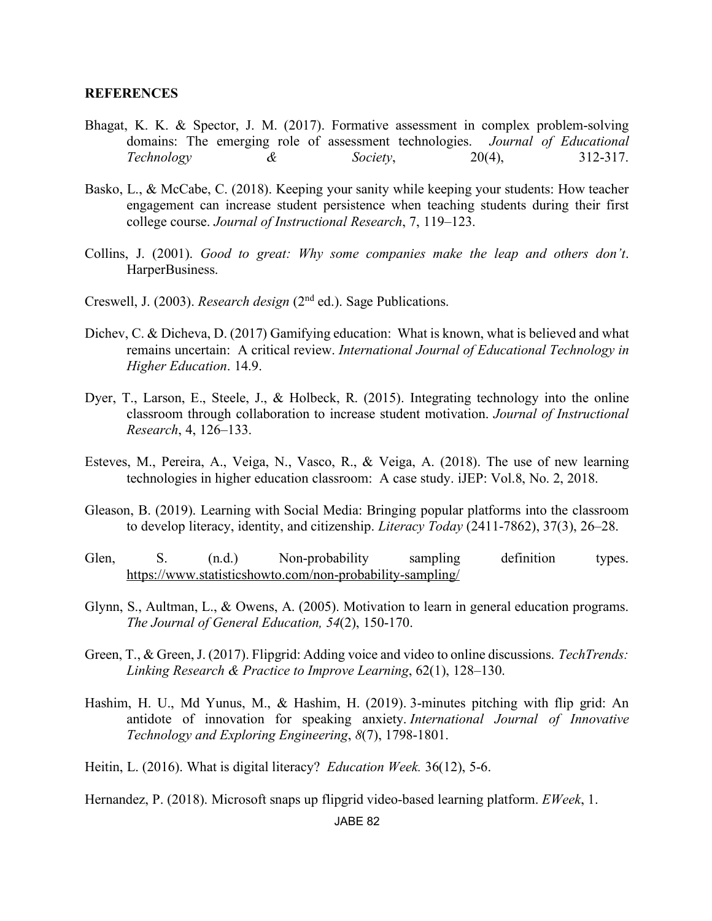### **REFERENCES**

- Bhagat, K. K. & Spector, J. M. (2017). Formative assessment in complex problem-solving domains: The emerging role of assessment technologies. *Journal of Educational Technology & Society*, 20(4), 312-317.
- Basko, L., & McCabe, C. (2018). Keeping your sanity while keeping your students: How teacher engagement can increase student persistence when teaching students during their first college course. *Journal of Instructional Research*, 7, 119–123.
- Collins, J. (2001). *Good to great: Why some companies make the leap and others don't*. HarperBusiness.
- Creswell, J. (2003). *Research design* (2nd ed.). Sage Publications.
- Dichev, C. & Dicheva, D. (2017) Gamifying education: What is known, what is believed and what remains uncertain: A critical review. *International Journal of Educational Technology in Higher Education*. 14.9.
- Dyer, T., Larson, E., Steele, J., & Holbeck, R. (2015). Integrating technology into the online classroom through collaboration to increase student motivation. *Journal of Instructional Research*, 4, 126–133.
- Esteves, M., Pereira, A., Veiga, N., Vasco, R., & Veiga, A. (2018). The use of new learning technologies in higher education classroom: A case study. iJEP: Vol.8, No. 2, 2018.
- Gleason, B. (2019). Learning with Social Media: Bringing popular platforms into the classroom to develop literacy, identity, and citizenship. *Literacy Today* (2411-7862), 37(3), 26–28.
- Glen, S. (n.d.) Non-probability sampling definition types. https://www.statisticshowto.com/non-probability-sampling/
- Glynn, S., Aultman, L., & Owens, A. (2005). Motivation to learn in general education programs. *The Journal of General Education, 54*(2), 150-170.
- Green, T., & Green, J. (2017). Flipgrid: Adding voice and video to online discussions. *TechTrends: Linking Research & Practice to Improve Learning*, 62(1), 128–130.
- Hashim, H. U., Md Yunus, M., & Hashim, H. (2019). 3-minutes pitching with flip grid: An antidote of innovation for speaking anxiety. *International Journal of Innovative Technology and Exploring Engineering*, *8*(7), 1798-1801.
- Heitin, L. (2016). What is digital literacy? *Education Week.* 36(12), 5-6.

Hernandez, P. (2018). Microsoft snaps up flipgrid video-based learning platform. *EWeek*, 1.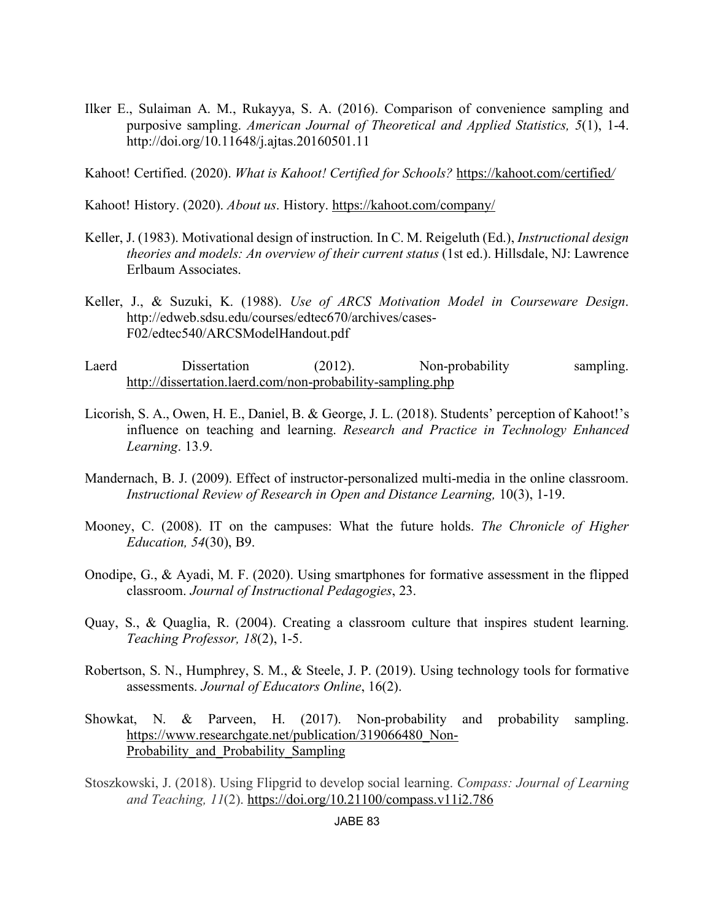Ilker E., Sulaiman A. M., Rukayya, S. A. (2016). Comparison of convenience sampling and purposive sampling. *American Journal of Theoretical and Applied Statistics, 5*(1), 1-4. http://doi.org/10.11648/j.ajtas.20160501.11

Kahoot! Certified. (2020). *What is Kahoot! Certified for Schools?* https://kahoot.com/certified*/*

Kahoot! History. (2020). *About us*. History. https://kahoot.com/company/

- Keller, J. (1983). Motivational design of instruction. In C. M. Reigeluth (Ed.), *Instructional design theories and models: An overview of their current status* (1st ed.). Hillsdale, NJ: Lawrence Erlbaum Associates.
- Keller, J., & Suzuki, K. (1988). *Use of ARCS Motivation Model in Courseware Design*. http://edweb.sdsu.edu/courses/edtec670/archives/cases-F02/edtec540/ARCSModelHandout.pdf
- Laerd Dissertation (2012). Non-probability sampling. http://dissertation.laerd.com/non-probability-sampling.php
- Licorish, S. A., Owen, H. E., Daniel, B. & George, J. L. (2018). Students' perception of Kahoot!'s influence on teaching and learning. *Research and Practice in Technology Enhanced Learning*. 13.9.
- Mandernach, B. J. (2009). Effect of instructor-personalized multi-media in the online classroom. *Instructional Review of Research in Open and Distance Learning, 10(3), 1-19.*
- Mooney, C. (2008). IT on the campuses: What the future holds. *The Chronicle of Higher Education, 54*(30), B9.
- Onodipe, G., & Ayadi, M. F. (2020). Using smartphones for formative assessment in the flipped classroom. *Journal of Instructional Pedagogies*, 23.
- Quay, S., & Quaglia, R. (2004). Creating a classroom culture that inspires student learning. *Teaching Professor, 18*(2), 1-5.
- Robertson, S. N., Humphrey, S. M., & Steele, J. P. (2019). Using technology tools for formative assessments. *Journal of Educators Online*, 16(2).
- Showkat, N. & Parveen, H. (2017). Non-probability and probability sampling. https://www.researchgate.net/publication/319066480\_Non-Probability\_and\_Probability\_Sampling
- Stoszkowski, J. (2018). Using Flipgrid to develop social learning. *Compass: Journal of Learning and Teaching, 11*(2). https://doi.org/10.21100/compass.v11i2.786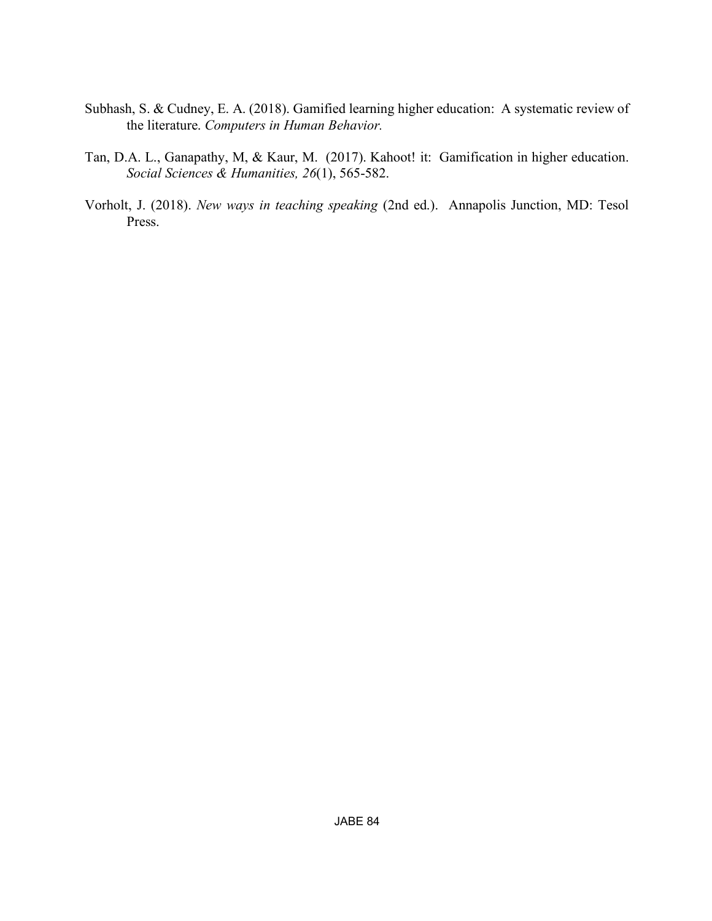- Subhash, S. & Cudney, E. A. (2018). Gamified learning higher education: A systematic review of the literature. *Computers in Human Behavior.*
- Tan, D.A. L., Ganapathy, M, & Kaur, M. (2017). Kahoot! it: Gamification in higher education. *Social Sciences & Humanities, 26*(1), 565-582.
- Vorholt, J. (2018). *New ways in teaching speaking* (2nd ed.). Annapolis Junction, MD: Tesol Press.